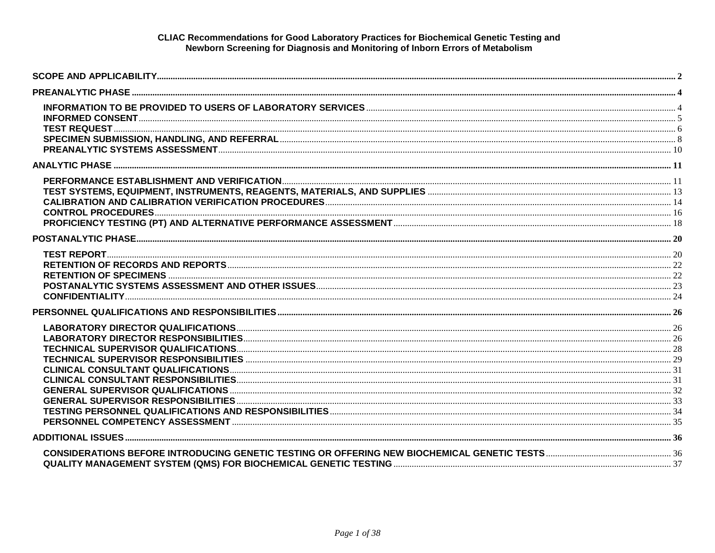#### CLIAC Recommendations for Good Laboratory Practices for Biochemical Genetic Testing and Newborn Screening for Diagnosis and Monitoring of Inborn Errors of Metabolism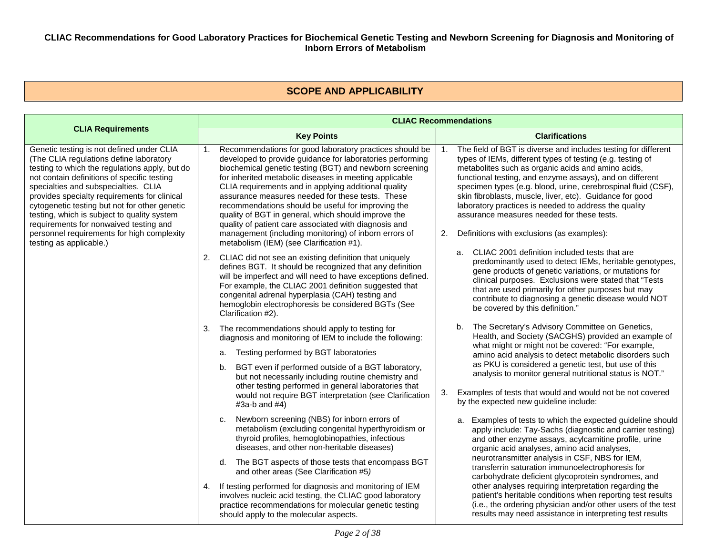#### **CLIAC Recommendations for Good Laboratory Practices for Biochemical Genetic Testing and Newborn Screening for Diagnosis and Monitoring of Inborn Errors of Metabolism**

### **SCOPE AND APPLICABILITY**

<span id="page-1-0"></span>

|                                                                                                                                                                                                                                                                                                                                                                                                                                                                                                  | <b>CLIAC Recommendations</b>                                                                                                                                                                                                                                                                                                                                                                                                                                                                                                                                                                                                           |                                                                                                                                                                                                                                                                                                                                                                                                                                                                                                                                        |  |
|--------------------------------------------------------------------------------------------------------------------------------------------------------------------------------------------------------------------------------------------------------------------------------------------------------------------------------------------------------------------------------------------------------------------------------------------------------------------------------------------------|----------------------------------------------------------------------------------------------------------------------------------------------------------------------------------------------------------------------------------------------------------------------------------------------------------------------------------------------------------------------------------------------------------------------------------------------------------------------------------------------------------------------------------------------------------------------------------------------------------------------------------------|----------------------------------------------------------------------------------------------------------------------------------------------------------------------------------------------------------------------------------------------------------------------------------------------------------------------------------------------------------------------------------------------------------------------------------------------------------------------------------------------------------------------------------------|--|
| <b>CLIA Requirements</b>                                                                                                                                                                                                                                                                                                                                                                                                                                                                         | <b>Key Points</b>                                                                                                                                                                                                                                                                                                                                                                                                                                                                                                                                                                                                                      | <b>Clarifications</b>                                                                                                                                                                                                                                                                                                                                                                                                                                                                                                                  |  |
| Genetic testing is not defined under CLIA<br>(The CLIA regulations define laboratory<br>testing to which the regulations apply, but do<br>not contain definitions of specific testing<br>specialties and subspecialties. CLIA<br>provides specialty requirements for clinical<br>cytogenetic testing but not for other genetic<br>testing, which is subject to quality system<br>requirements for nonwaived testing and<br>personnel requirements for high complexity<br>testing as applicable.) | Recommendations for good laboratory practices should be<br>1.<br>developed to provide guidance for laboratories performing<br>biochemical genetic testing (BGT) and newborn screening<br>for inherited metabolic diseases in meeting applicable<br>CLIA requirements and in applying additional quality<br>assurance measures needed for these tests. These<br>recommendations should be useful for improving the<br>quality of BGT in general, which should improve the<br>quality of patient care associated with diagnosis and<br>management (including monitoring) of inborn errors of<br>metabolism (IEM) (see Clarification #1). | The field of BGT is diverse and includes testing for different<br>types of IEMs, different types of testing (e.g. testing of<br>metabolites such as organic acids and amino acids,<br>functional testing, and enzyme assays), and on different<br>specimen types (e.g. blood, urine, cerebrospinal fluid (CSF),<br>skin fibroblasts, muscle, liver, etc). Guidance for good<br>laboratory practices is needed to address the quality<br>assurance measures needed for these tests.<br>Definitions with exclusions (as examples):<br>2. |  |
|                                                                                                                                                                                                                                                                                                                                                                                                                                                                                                  | 2. CLIAC did not see an existing definition that uniquely<br>defines BGT. It should be recognized that any definition<br>will be imperfect and will need to have exceptions defined.<br>For example, the CLIAC 2001 definition suggested that<br>congenital adrenal hyperplasia (CAH) testing and<br>hemoglobin electrophoresis be considered BGTs (See<br>Clarification #2).                                                                                                                                                                                                                                                          | a. CLIAC 2001 definition included tests that are<br>predominantly used to detect IEMs, heritable genotypes,<br>gene products of genetic variations, or mutations for<br>clinical purposes. Exclusions were stated that "Tests<br>that are used primarily for other purposes but may<br>contribute to diagnosing a genetic disease would NOT<br>be covered by this definition."                                                                                                                                                         |  |
|                                                                                                                                                                                                                                                                                                                                                                                                                                                                                                  | The recommendations should apply to testing for<br>3.<br>diagnosis and monitoring of IEM to include the following:                                                                                                                                                                                                                                                                                                                                                                                                                                                                                                                     | The Secretary's Advisory Committee on Genetics,<br>b.<br>Health, and Society (SACGHS) provided an example of                                                                                                                                                                                                                                                                                                                                                                                                                           |  |
|                                                                                                                                                                                                                                                                                                                                                                                                                                                                                                  | Testing performed by BGT laboratories<br>a.                                                                                                                                                                                                                                                                                                                                                                                                                                                                                                                                                                                            | what might or might not be covered: "For example,<br>amino acid analysis to detect metabolic disorders such                                                                                                                                                                                                                                                                                                                                                                                                                            |  |
|                                                                                                                                                                                                                                                                                                                                                                                                                                                                                                  | BGT even if performed outside of a BGT laboratory,<br>b.<br>but not necessarily including routine chemistry and                                                                                                                                                                                                                                                                                                                                                                                                                                                                                                                        | as PKU is considered a genetic test, but use of this<br>analysis to monitor general nutritional status is NOT."                                                                                                                                                                                                                                                                                                                                                                                                                        |  |
|                                                                                                                                                                                                                                                                                                                                                                                                                                                                                                  | other testing performed in general laboratories that<br>would not require BGT interpretation (see Clarification<br>$#3a-b$ and $#4)$                                                                                                                                                                                                                                                                                                                                                                                                                                                                                                   | Examples of tests that would and would not be not covered<br>3.<br>by the expected new guideline include:                                                                                                                                                                                                                                                                                                                                                                                                                              |  |
|                                                                                                                                                                                                                                                                                                                                                                                                                                                                                                  | Newborn screening (NBS) for inborn errors of<br>C.<br>metabolism (excluding congenital hyperthyroidism or<br>thyroid profiles, hemoglobinopathies, infectious<br>diseases, and other non-heritable diseases)                                                                                                                                                                                                                                                                                                                                                                                                                           | a. Examples of tests to which the expected guideline should<br>apply include: Tay-Sachs (diagnostic and carrier testing)<br>and other enzyme assays, acylcarnitine profile, urine<br>organic acid analyses, amino acid analyses,                                                                                                                                                                                                                                                                                                       |  |
|                                                                                                                                                                                                                                                                                                                                                                                                                                                                                                  | d. The BGT aspects of those tests that encompass BGT<br>and other areas (See Clarification #5)                                                                                                                                                                                                                                                                                                                                                                                                                                                                                                                                         | neurotransmitter analysis in CSF, NBS for IEM,<br>transferrin saturation immunoelectrophoresis for<br>carbohydrate deficient glycoprotein syndromes, and                                                                                                                                                                                                                                                                                                                                                                               |  |
|                                                                                                                                                                                                                                                                                                                                                                                                                                                                                                  | 4. If testing performed for diagnosis and monitoring of IEM<br>involves nucleic acid testing, the CLIAC good laboratory<br>practice recommendations for molecular genetic testing<br>should apply to the molecular aspects.                                                                                                                                                                                                                                                                                                                                                                                                            | other analyses requiring interpretation regarding the<br>patient's heritable conditions when reporting test results<br>(i.e., the ordering physician and/or other users of the test<br>results may need assistance in interpreting test results                                                                                                                                                                                                                                                                                        |  |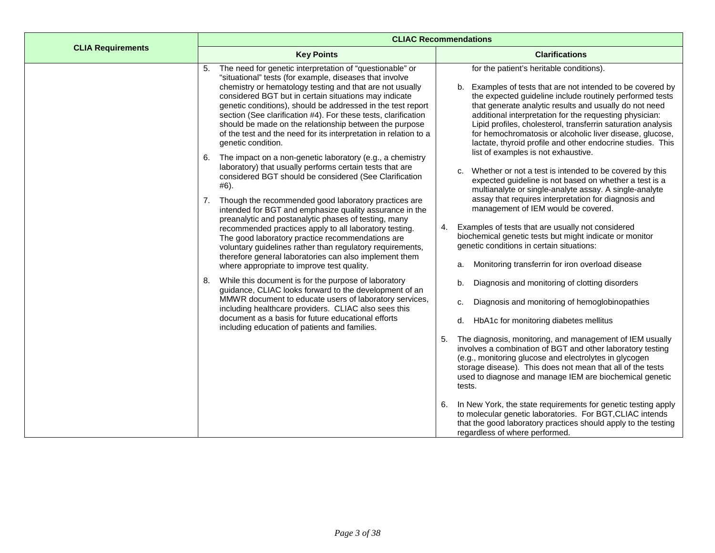|                          | <b>CLIAC Recommendations</b>                                                                                                                                                                                                                                                                                                                                                                                                                                                                                                  |                                                                                                                                                                                                                                                                                                                                                                                                                                                                                                                           |  |  |  |  |
|--------------------------|-------------------------------------------------------------------------------------------------------------------------------------------------------------------------------------------------------------------------------------------------------------------------------------------------------------------------------------------------------------------------------------------------------------------------------------------------------------------------------------------------------------------------------|---------------------------------------------------------------------------------------------------------------------------------------------------------------------------------------------------------------------------------------------------------------------------------------------------------------------------------------------------------------------------------------------------------------------------------------------------------------------------------------------------------------------------|--|--|--|--|
| <b>CLIA Requirements</b> | <b>Key Points</b>                                                                                                                                                                                                                                                                                                                                                                                                                                                                                                             | <b>Clarifications</b>                                                                                                                                                                                                                                                                                                                                                                                                                                                                                                     |  |  |  |  |
|                          | The need for genetic interpretation of "questionable" or<br>"situational" tests (for example, diseases that involve<br>chemistry or hematology testing and that are not usually<br>considered BGT but in certain situations may indicate<br>genetic conditions), should be addressed in the test report<br>section (See clarification #4). For these tests, clarification<br>should be made on the relationship between the purpose<br>of the test and the need for its interpretation in relation to a<br>genetic condition. | for the patient's heritable conditions).<br>b. Examples of tests that are not intended to be covered by<br>the expected guideline include routinely performed tests<br>that generate analytic results and usually do not need<br>additional interpretation for the requesting physician:<br>Lipid profiles, cholesterol, transferrin saturation analysis<br>for hemochromatosis or alcoholic liver disease, glucose,<br>lactate, thyroid profile and other endocrine studies. This<br>list of examples is not exhaustive. |  |  |  |  |
|                          | The impact on a non-genetic laboratory (e.g., a chemistry<br>6.<br>laboratory) that usually performs certain tests that are<br>considered BGT should be considered (See Clarification<br>#6).                                                                                                                                                                                                                                                                                                                                 | Whether or not a test is intended to be covered by this<br>C.<br>expected guideline is not based on whether a test is a<br>multianalyte or single-analyte assay. A single-analyte                                                                                                                                                                                                                                                                                                                                         |  |  |  |  |
|                          | Though the recommended good laboratory practices are<br>7.<br>intended for BGT and emphasize quality assurance in the<br>preanalytic and postanalytic phases of testing, many<br>recommended practices apply to all laboratory testing.<br>The good laboratory practice recommendations are<br>voluntary guidelines rather than regulatory requirements,<br>therefore general laboratories can also implement them                                                                                                            | assay that requires interpretation for diagnosis and<br>management of IEM would be covered.<br>Examples of tests that are usually not considered<br>4.<br>biochemical genetic tests but might indicate or monitor<br>genetic conditions in certain situations:                                                                                                                                                                                                                                                            |  |  |  |  |
|                          | where appropriate to improve test quality.<br>While this document is for the purpose of laboratory<br>8.<br>guidance, CLIAC looks forward to the development of an<br>MMWR document to educate users of laboratory services,<br>including healthcare providers. CLIAC also sees this                                                                                                                                                                                                                                          | Monitoring transferrin for iron overload disease<br>a.<br>b.<br>Diagnosis and monitoring of clotting disorders<br>Diagnosis and monitoring of hemoglobinopathies<br>c.                                                                                                                                                                                                                                                                                                                                                    |  |  |  |  |
|                          | document as a basis for future educational efforts<br>including education of patients and families.                                                                                                                                                                                                                                                                                                                                                                                                                           | HbA1c for monitoring diabetes mellitus<br>d.<br>The diagnosis, monitoring, and management of IEM usually<br>5.<br>involves a combination of BGT and other laboratory testing<br>(e.g., monitoring glucose and electrolytes in glycogen<br>storage disease). This does not mean that all of the tests<br>used to diagnose and manage IEM are biochemical genetic<br>tests.                                                                                                                                                 |  |  |  |  |
|                          |                                                                                                                                                                                                                                                                                                                                                                                                                                                                                                                               | In New York, the state requirements for genetic testing apply<br>6.<br>to molecular genetic laboratories. For BGT, CLIAC intends<br>that the good laboratory practices should apply to the testing<br>regardless of where performed.                                                                                                                                                                                                                                                                                      |  |  |  |  |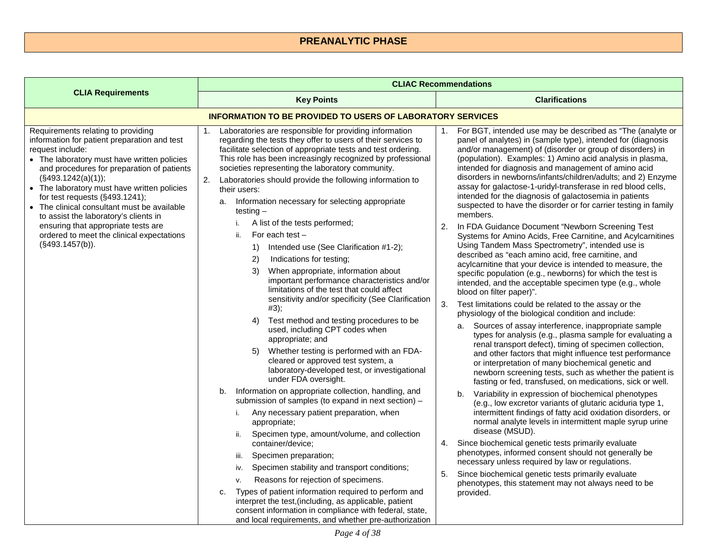## **PREANALYTIC PHASE**

<span id="page-3-1"></span><span id="page-3-0"></span>

|                                                                                                                                                                                                                                                                                                                                                                                                                                                                                                           | <b>CLIAC Recommendations</b>                                                                                                                                                                                                                                                                                                                                                                                                                                                                                                                                                                                                                                                                                                                                                                                                                                                                                                                                                                                                                                                                                                                                                                                                                                                                                                                                                                                                                                                                                                                                                                                                                                                                                                                             |                                                                                                                                                                                                                                                                                                                                                                                                                                                                                                                                                                                                                                                                                                                                                                                                                                                                                                                                                                                                                                                                                                                                                                                                                                                                                                                                                                                                                                                                                                                                                                                                                                                                                                                                                                                                                                                                                                                                                                                                                                                                                                                                                                                 |  |
|-----------------------------------------------------------------------------------------------------------------------------------------------------------------------------------------------------------------------------------------------------------------------------------------------------------------------------------------------------------------------------------------------------------------------------------------------------------------------------------------------------------|----------------------------------------------------------------------------------------------------------------------------------------------------------------------------------------------------------------------------------------------------------------------------------------------------------------------------------------------------------------------------------------------------------------------------------------------------------------------------------------------------------------------------------------------------------------------------------------------------------------------------------------------------------------------------------------------------------------------------------------------------------------------------------------------------------------------------------------------------------------------------------------------------------------------------------------------------------------------------------------------------------------------------------------------------------------------------------------------------------------------------------------------------------------------------------------------------------------------------------------------------------------------------------------------------------------------------------------------------------------------------------------------------------------------------------------------------------------------------------------------------------------------------------------------------------------------------------------------------------------------------------------------------------------------------------------------------------------------------------------------------------|---------------------------------------------------------------------------------------------------------------------------------------------------------------------------------------------------------------------------------------------------------------------------------------------------------------------------------------------------------------------------------------------------------------------------------------------------------------------------------------------------------------------------------------------------------------------------------------------------------------------------------------------------------------------------------------------------------------------------------------------------------------------------------------------------------------------------------------------------------------------------------------------------------------------------------------------------------------------------------------------------------------------------------------------------------------------------------------------------------------------------------------------------------------------------------------------------------------------------------------------------------------------------------------------------------------------------------------------------------------------------------------------------------------------------------------------------------------------------------------------------------------------------------------------------------------------------------------------------------------------------------------------------------------------------------------------------------------------------------------------------------------------------------------------------------------------------------------------------------------------------------------------------------------------------------------------------------------------------------------------------------------------------------------------------------------------------------------------------------------------------------------------------------------------------------|--|
| <b>CLIA Requirements</b>                                                                                                                                                                                                                                                                                                                                                                                                                                                                                  | <b>Key Points</b>                                                                                                                                                                                                                                                                                                                                                                                                                                                                                                                                                                                                                                                                                                                                                                                                                                                                                                                                                                                                                                                                                                                                                                                                                                                                                                                                                                                                                                                                                                                                                                                                                                                                                                                                        | <b>Clarifications</b>                                                                                                                                                                                                                                                                                                                                                                                                                                                                                                                                                                                                                                                                                                                                                                                                                                                                                                                                                                                                                                                                                                                                                                                                                                                                                                                                                                                                                                                                                                                                                                                                                                                                                                                                                                                                                                                                                                                                                                                                                                                                                                                                                           |  |
|                                                                                                                                                                                                                                                                                                                                                                                                                                                                                                           | <b>INFORMATION TO BE PROVIDED TO USERS OF LABORATORY SERVICES</b>                                                                                                                                                                                                                                                                                                                                                                                                                                                                                                                                                                                                                                                                                                                                                                                                                                                                                                                                                                                                                                                                                                                                                                                                                                                                                                                                                                                                                                                                                                                                                                                                                                                                                        |                                                                                                                                                                                                                                                                                                                                                                                                                                                                                                                                                                                                                                                                                                                                                                                                                                                                                                                                                                                                                                                                                                                                                                                                                                                                                                                                                                                                                                                                                                                                                                                                                                                                                                                                                                                                                                                                                                                                                                                                                                                                                                                                                                                 |  |
| Requirements relating to providing<br>information for patient preparation and test<br>request include:<br>• The laboratory must have written policies<br>and procedures for preparation of patients<br>(S493.1242(a)(1));<br>• The laboratory must have written policies<br>for test requests (§493.1241);<br>• The clinical consultant must be available<br>to assist the laboratory's clients in<br>ensuring that appropriate tests are<br>ordered to meet the clinical expectations<br>(S493.1457(b)). | Laboratories are responsible for providing information<br>1.<br>regarding the tests they offer to users of their services to<br>facilitate selection of appropriate tests and test ordering.<br>This role has been increasingly recognized by professional<br>societies representing the laboratory community.<br>2.<br>Laboratories should provide the following information to<br>their users:<br>a. Information necessary for selecting appropriate<br>testing $-$<br>A list of the tests performed;<br>For each test $-$<br>ii.<br>Intended use (See Clarification #1-2);<br>1)<br>Indications for testing;<br>2)<br>When appropriate, information about<br>3)<br>important performance characteristics and/or<br>limitations of the test that could affect<br>sensitivity and/or specificity (See Clarification<br>#3);<br>Test method and testing procedures to be<br>4)<br>used, including CPT codes when<br>appropriate; and<br>Whether testing is performed with an FDA-<br>5)<br>cleared or approved test system, a<br>laboratory-developed test, or investigational<br>under FDA oversight.<br>Information on appropriate collection, handling, and<br>b.<br>submission of samples (to expand in next section) -<br>Any necessary patient preparation, when<br>i.<br>appropriate;<br>Specimen type, amount/volume, and collection<br>ii.<br>container/device;<br>Specimen preparation;<br>iii.<br>Specimen stability and transport conditions;<br>iv.<br>Reasons for rejection of specimens.<br>v.<br>Types of patient information required to perform and<br>c.<br>interpret the test, (including, as applicable, patient<br>consent information in compliance with federal, state,<br>and local requirements, and whether pre-authorization | 1. For BGT, intended use may be described as "The (analyte or<br>panel of analytes) in (sample type), intended for (diagnosis<br>and/or management) of (disorder or group of disorders) in<br>(population). Examples: 1) Amino acid analysis in plasma,<br>intended for diagnosis and management of amino acid<br>disorders in newborns/infants/children/adults; and 2) Enzyme<br>assay for galactose-1-uridyl-transferase in red blood cells,<br>intended for the diagnosis of galactosemia in patients<br>suspected to have the disorder or for carrier testing in family<br>members.<br>2.<br>In FDA Guidance Document "Newborn Screening Test<br>Systems for Amino Acids, Free Carnitine, and Acylcarnitines<br>Using Tandem Mass Spectrometry", intended use is<br>described as "each amino acid, free carnitine, and<br>acylcarnitine that your device is intended to measure, the<br>specific population (e.g., newborns) for which the test is<br>intended, and the acceptable specimen type (e.g., whole<br>blood on filter paper)".<br>3.<br>Test limitations could be related to the assay or the<br>physiology of the biological condition and include:<br>Sources of assay interference, inappropriate sample<br>a.<br>types for analysis (e.g., plasma sample for evaluating a<br>renal transport defect), timing of specimen collection,<br>and other factors that might influence test performance<br>or interpretation of many biochemical genetic and<br>newborn screening tests, such as whether the patient is<br>fasting or fed, transfused, on medications, sick or well.<br>Variability in expression of biochemical phenotypes<br>b.<br>(e.g., low excretor variants of glutaric aciduria type 1,<br>intermittent findings of fatty acid oxidation disorders, or<br>normal analyte levels in intermittent maple syrup urine<br>disease (MSUD).<br>Since biochemical genetic tests primarily evaluate<br>4.<br>phenotypes, informed consent should not generally be<br>necessary unless required by law or regulations.<br>Since biochemical genetic tests primarily evaluate<br>5.<br>phenotypes, this statement may not always need to be<br>provided. |  |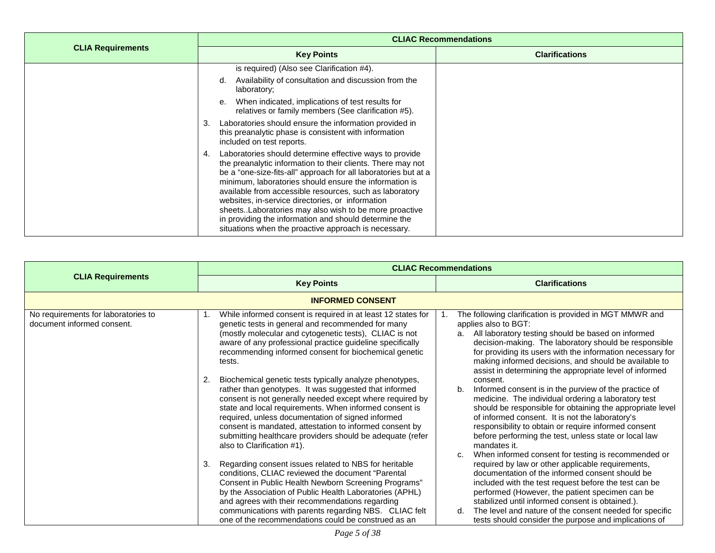|                          | <b>CLIAC Recommendations</b>                                                                                                                                                                                                                                                                                                                                                                                                                                                                                                                                                                                                                                                                                                                                     |                       |  |
|--------------------------|------------------------------------------------------------------------------------------------------------------------------------------------------------------------------------------------------------------------------------------------------------------------------------------------------------------------------------------------------------------------------------------------------------------------------------------------------------------------------------------------------------------------------------------------------------------------------------------------------------------------------------------------------------------------------------------------------------------------------------------------------------------|-----------------------|--|
| <b>CLIA Requirements</b> | <b>Key Points</b>                                                                                                                                                                                                                                                                                                                                                                                                                                                                                                                                                                                                                                                                                                                                                | <b>Clarifications</b> |  |
|                          | is required) (Also see Clarification #4).<br>Availability of consultation and discussion from the<br>d.<br>laboratory;<br>e. When indicated, implications of test results for<br>relatives or family members (See clarification #5).<br>Laboratories should ensure the information provided in<br>3.<br>this preanalytic phase is consistent with information<br>included on test reports.<br>Laboratories should determine effective ways to provide<br>the preanalytic information to their clients. There may not<br>be a "one-size-fits-all" approach for all laboratories but at a<br>minimum, laboratories should ensure the information is<br>available from accessible resources, such as laboratory<br>websites, in-service directories, or information |                       |  |
|                          | sheetsLaboratories may also wish to be more proactive<br>in providing the information and should determine the<br>situations when the proactive approach is necessary.                                                                                                                                                                                                                                                                                                                                                                                                                                                                                                                                                                                           |                       |  |

<span id="page-4-0"></span>

|                                                                   | <b>CLIAC Recommendations</b>                                                                                                                                                                                                                                                                                                                                                                                                                                                                                                                                                                                                                                                                                                                                                                                                                                                                                                                                                                                                                                                                                                                                                     |                                                                                                                                                                                                                                                                                                                                                                                                                                                                                                                                                                                                                                                                                                                                                                                                                                                                                                                                                                                                                                                                                                                                                                                                                                          |  |
|-------------------------------------------------------------------|----------------------------------------------------------------------------------------------------------------------------------------------------------------------------------------------------------------------------------------------------------------------------------------------------------------------------------------------------------------------------------------------------------------------------------------------------------------------------------------------------------------------------------------------------------------------------------------------------------------------------------------------------------------------------------------------------------------------------------------------------------------------------------------------------------------------------------------------------------------------------------------------------------------------------------------------------------------------------------------------------------------------------------------------------------------------------------------------------------------------------------------------------------------------------------|------------------------------------------------------------------------------------------------------------------------------------------------------------------------------------------------------------------------------------------------------------------------------------------------------------------------------------------------------------------------------------------------------------------------------------------------------------------------------------------------------------------------------------------------------------------------------------------------------------------------------------------------------------------------------------------------------------------------------------------------------------------------------------------------------------------------------------------------------------------------------------------------------------------------------------------------------------------------------------------------------------------------------------------------------------------------------------------------------------------------------------------------------------------------------------------------------------------------------------------|--|
| <b>CLIA Requirements</b>                                          | <b>Key Points</b>                                                                                                                                                                                                                                                                                                                                                                                                                                                                                                                                                                                                                                                                                                                                                                                                                                                                                                                                                                                                                                                                                                                                                                | <b>Clarifications</b>                                                                                                                                                                                                                                                                                                                                                                                                                                                                                                                                                                                                                                                                                                                                                                                                                                                                                                                                                                                                                                                                                                                                                                                                                    |  |
|                                                                   | <b>INFORMED CONSENT</b>                                                                                                                                                                                                                                                                                                                                                                                                                                                                                                                                                                                                                                                                                                                                                                                                                                                                                                                                                                                                                                                                                                                                                          |                                                                                                                                                                                                                                                                                                                                                                                                                                                                                                                                                                                                                                                                                                                                                                                                                                                                                                                                                                                                                                                                                                                                                                                                                                          |  |
| No requirements for laboratories to<br>document informed consent. | While informed consent is required in at least 12 states for<br>genetic tests in general and recommended for many<br>(mostly molecular and cytogenetic tests), CLIAC is not<br>aware of any professional practice guideline specifically<br>recommending informed consent for biochemical genetic<br>tests.<br>Biochemical genetic tests typically analyze phenotypes,<br>2.<br>rather than genotypes. It was suggested that informed<br>consent is not generally needed except where required by<br>state and local requirements. When informed consent is<br>required, unless documentation of signed informed<br>consent is mandated, attestation to informed consent by<br>submitting healthcare providers should be adequate (refer<br>also to Clarification #1).<br>Regarding consent issues related to NBS for heritable<br>3.<br>conditions, CLIAC reviewed the document "Parental<br>Consent in Public Health Newborn Screening Programs"<br>by the Association of Public Health Laboratories (APHL)<br>and agrees with their recommendations regarding<br>communications with parents regarding NBS. CLIAC felt<br>one of the recommendations could be construed as an | The following clarification is provided in MGT MMWR and<br>applies also to BGT:<br>All laboratory testing should be based on informed<br>a.<br>decision-making. The laboratory should be responsible<br>for providing its users with the information necessary for<br>making informed decisions, and should be available to<br>assist in determining the appropriate level of informed<br>consent.<br>Informed consent is in the purview of the practice of<br>b.<br>medicine. The individual ordering a laboratory test<br>should be responsible for obtaining the appropriate level<br>of informed consent. It is not the laboratory's<br>responsibility to obtain or require informed consent<br>before performing the test, unless state or local law<br>mandates it.<br>When informed consent for testing is recommended or<br>C.<br>required by law or other applicable requirements,<br>documentation of the informed consent should be<br>included with the test request before the test can be<br>performed (However, the patient specimen can be<br>stabilized until informed consent is obtained.).<br>The level and nature of the consent needed for specific<br>d.<br>tests should consider the purpose and implications of |  |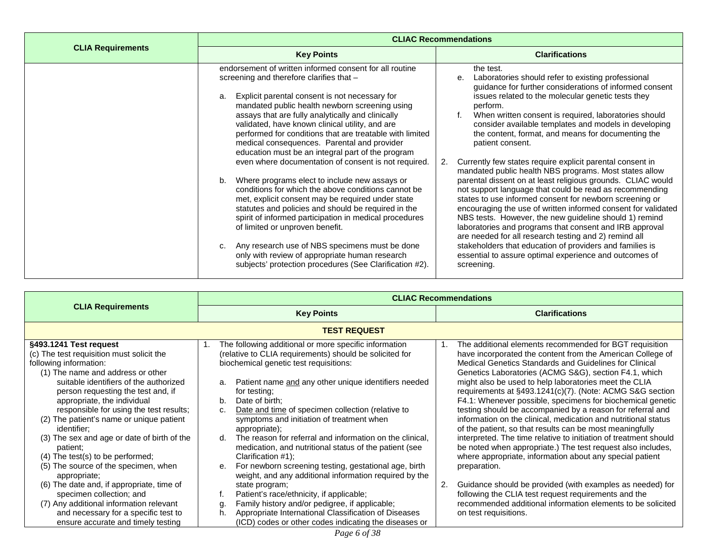|                          | <b>CLIAC Recommendations</b>                                                                                                                                                                                                                                                                                                                                                                                                                                                                                                                                                                                                                                                                                                                                                                                                                                                                                                                                                                                                              |                                                                                                                                                                                                                                                                                                                                                                                                                                                                                                                                                                                                                                                                                                                                                                                                                                                                                                                                                                                                                                                                                                     |  |
|--------------------------|-------------------------------------------------------------------------------------------------------------------------------------------------------------------------------------------------------------------------------------------------------------------------------------------------------------------------------------------------------------------------------------------------------------------------------------------------------------------------------------------------------------------------------------------------------------------------------------------------------------------------------------------------------------------------------------------------------------------------------------------------------------------------------------------------------------------------------------------------------------------------------------------------------------------------------------------------------------------------------------------------------------------------------------------|-----------------------------------------------------------------------------------------------------------------------------------------------------------------------------------------------------------------------------------------------------------------------------------------------------------------------------------------------------------------------------------------------------------------------------------------------------------------------------------------------------------------------------------------------------------------------------------------------------------------------------------------------------------------------------------------------------------------------------------------------------------------------------------------------------------------------------------------------------------------------------------------------------------------------------------------------------------------------------------------------------------------------------------------------------------------------------------------------------|--|
| <b>CLIA Requirements</b> | <b>Key Points</b>                                                                                                                                                                                                                                                                                                                                                                                                                                                                                                                                                                                                                                                                                                                                                                                                                                                                                                                                                                                                                         | <b>Clarifications</b>                                                                                                                                                                                                                                                                                                                                                                                                                                                                                                                                                                                                                                                                                                                                                                                                                                                                                                                                                                                                                                                                               |  |
|                          | endorsement of written informed consent for all routine<br>screening and therefore clarifies that -<br>Explicit parental consent is not necessary for<br>a.<br>mandated public health newborn screening using<br>assays that are fully analytically and clinically<br>validated, have known clinical utility, and are<br>performed for conditions that are treatable with limited<br>medical consequences. Parental and provider<br>education must be an integral part of the program<br>even where documentation of consent is not required.<br>Where programs elect to include new assays or<br>b.<br>conditions for which the above conditions cannot be<br>met, explicit consent may be required under state<br>statutes and policies and should be required in the<br>spirit of informed participation in medical procedures<br>of limited or unproven benefit.<br>Any research use of NBS specimens must be done<br>c.<br>only with review of appropriate human research<br>subjects' protection procedures (See Clarification #2). | the test.<br>Laboratories should refer to existing professional<br>е.<br>guidance for further considerations of informed consent<br>issues related to the molecular genetic tests they<br>perform.<br>When written consent is required, laboratories should<br>consider available templates and models in developing<br>the content, format, and means for documenting the<br>patient consent.<br>Currently few states require explicit parental consent in<br>2.<br>mandated public health NBS programs. Most states allow<br>parental dissent on at least religious grounds. CLIAC would<br>not support language that could be read as recommending<br>states to use informed consent for newborn screening or<br>encouraging the use of written informed consent for validated<br>NBS tests. However, the new guideline should 1) remind<br>laboratories and programs that consent and IRB approval<br>are needed for all research testing and 2) remind all<br>stakeholders that education of providers and families is<br>essential to assure optimal experience and outcomes of<br>screening. |  |

<span id="page-5-0"></span>

|                                                                                                                                                                                                                                                                                                                                                                                                                                                                                                                                                                                                                                      | <b>CLIAC Recommendations</b>           |                                                                                                                                                                                                                                                                                                                                                                                                                                                                                                                                                                                                                                                                                                                                                        |    |                                                                                                                                                                                                                                                                                                                                                                                                                                                                                                                                                                                                                                                                                                                                                                                                                                                                                                                                                                                                                            |
|--------------------------------------------------------------------------------------------------------------------------------------------------------------------------------------------------------------------------------------------------------------------------------------------------------------------------------------------------------------------------------------------------------------------------------------------------------------------------------------------------------------------------------------------------------------------------------------------------------------------------------------|----------------------------------------|--------------------------------------------------------------------------------------------------------------------------------------------------------------------------------------------------------------------------------------------------------------------------------------------------------------------------------------------------------------------------------------------------------------------------------------------------------------------------------------------------------------------------------------------------------------------------------------------------------------------------------------------------------------------------------------------------------------------------------------------------------|----|----------------------------------------------------------------------------------------------------------------------------------------------------------------------------------------------------------------------------------------------------------------------------------------------------------------------------------------------------------------------------------------------------------------------------------------------------------------------------------------------------------------------------------------------------------------------------------------------------------------------------------------------------------------------------------------------------------------------------------------------------------------------------------------------------------------------------------------------------------------------------------------------------------------------------------------------------------------------------------------------------------------------------|
| <b>CLIA Requirements</b>                                                                                                                                                                                                                                                                                                                                                                                                                                                                                                                                                                                                             | <b>Key Points</b>                      |                                                                                                                                                                                                                                                                                                                                                                                                                                                                                                                                                                                                                                                                                                                                                        |    | <b>Clarifications</b>                                                                                                                                                                                                                                                                                                                                                                                                                                                                                                                                                                                                                                                                                                                                                                                                                                                                                                                                                                                                      |
|                                                                                                                                                                                                                                                                                                                                                                                                                                                                                                                                                                                                                                      |                                        | <b>TEST REQUEST</b>                                                                                                                                                                                                                                                                                                                                                                                                                                                                                                                                                                                                                                                                                                                                    |    |                                                                                                                                                                                                                                                                                                                                                                                                                                                                                                                                                                                                                                                                                                                                                                                                                                                                                                                                                                                                                            |
| §493.1241 Test request<br>(c) The test requisition must solicit the<br>following information:<br>(1) The name and address or other<br>suitable identifiers of the authorized<br>person requesting the test and, if<br>appropriate, the individual<br>responsible for using the test results;<br>(2) The patient's name or unique patient<br>identifier;<br>(3) The sex and age or date of birth of the<br>patient;<br>$(4)$ The test(s) to be performed;<br>(5) The source of the specimen, when<br>appropriate;<br>(6) The date and, if appropriate, time of<br>specimen collection; and<br>(7) Any additional information relevant | 1.<br>a.<br>b.<br>c.<br>d.<br>е.<br>g. | The following additional or more specific information<br>(relative to CLIA requirements) should be solicited for<br>biochemical genetic test requisitions:<br>Patient name and any other unique identifiers needed<br>for testing;<br>Date of birth:<br>Date and time of specimen collection (relative to<br>symptoms and initiation of treatment when<br>appropriate);<br>The reason for referral and information on the clinical.<br>medication, and nutritional status of the patient (see<br>Clarification #1);<br>For newborn screening testing, gestational age, birth<br>weight, and any additional information required by the<br>state program;<br>Patient's race/ethnicity, if applicable;<br>Family history and/or pedigree, if applicable; | 2. | The additional elements recommended for BGT requisition<br>have incorporated the content from the American College of<br>Medical Genetics Standards and Guidelines for Clinical<br>Genetics Laboratories (ACMG S&G), section F4.1, which<br>might also be used to help laboratories meet the CLIA<br>requirements at §493.1241(c)(7). (Note: ACMG S&G section<br>F4.1: Whenever possible, specimens for biochemical genetic<br>testing should be accompanied by a reason for referral and<br>information on the clinical, medication and nutritional status<br>of the patient, so that results can be most meaningfully<br>interpreted. The time relative to initiation of treatment should<br>be noted when appropriate.) The test request also includes,<br>where appropriate, information about any special patient<br>preparation.<br>Guidance should be provided (with examples as needed) for<br>following the CLIA test request requirements and the<br>recommended additional information elements to be solicited |
| and necessary for a specific test to<br>ensure accurate and timely testing                                                                                                                                                                                                                                                                                                                                                                                                                                                                                                                                                           | h.                                     | Appropriate International Classification of Diseases<br>(ICD) codes or other codes indicating the diseases or                                                                                                                                                                                                                                                                                                                                                                                                                                                                                                                                                                                                                                          |    | on test requisitions.                                                                                                                                                                                                                                                                                                                                                                                                                                                                                                                                                                                                                                                                                                                                                                                                                                                                                                                                                                                                      |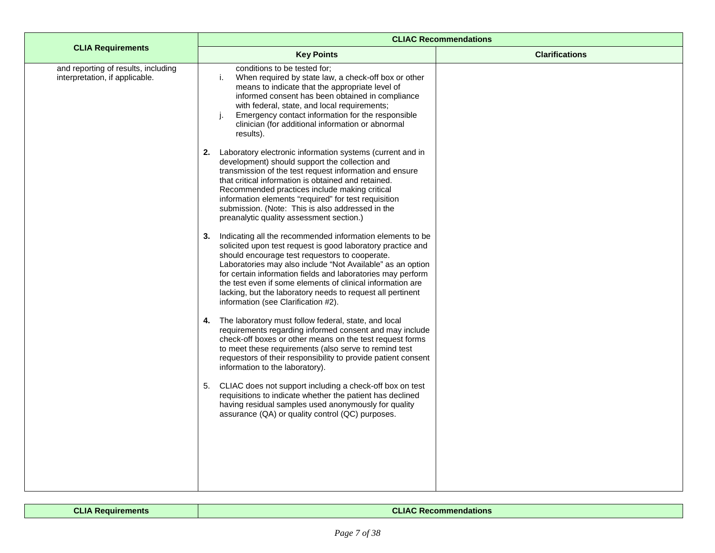|                                                                       | <b>CLIAC Recommendations</b>                                                                                                                                                                                                                                                                                                                                                                                                                                                     |                       |  |  |
|-----------------------------------------------------------------------|----------------------------------------------------------------------------------------------------------------------------------------------------------------------------------------------------------------------------------------------------------------------------------------------------------------------------------------------------------------------------------------------------------------------------------------------------------------------------------|-----------------------|--|--|
| <b>CLIA Requirements</b>                                              | <b>Key Points</b>                                                                                                                                                                                                                                                                                                                                                                                                                                                                | <b>Clarifications</b> |  |  |
| and reporting of results, including<br>interpretation, if applicable. | conditions to be tested for;<br>When required by state law, a check-off box or other<br>i.<br>means to indicate that the appropriate level of<br>informed consent has been obtained in compliance<br>with federal, state, and local requirements;<br>Emergency contact information for the responsible<br>J.<br>clinician (for additional information or abnormal<br>results).                                                                                                   |                       |  |  |
|                                                                       | Laboratory electronic information systems (current and in<br>2.<br>development) should support the collection and<br>transmission of the test request information and ensure<br>that critical information is obtained and retained.<br>Recommended practices include making critical<br>information elements "required" for test requisition<br>submission. (Note: This is also addressed in the<br>preanalytic quality assessment section.)                                     |                       |  |  |
|                                                                       | Indicating all the recommended information elements to be<br>3.<br>solicited upon test request is good laboratory practice and<br>should encourage test requestors to cooperate.<br>Laboratories may also include "Not Available" as an option<br>for certain information fields and laboratories may perform<br>the test even if some elements of clinical information are<br>lacking, but the laboratory needs to request all pertinent<br>information (see Clarification #2). |                       |  |  |
|                                                                       | The laboratory must follow federal, state, and local<br>4.<br>requirements regarding informed consent and may include<br>check-off boxes or other means on the test request forms<br>to meet these requirements (also serve to remind test<br>requestors of their responsibility to provide patient consent<br>information to the laboratory).                                                                                                                                   |                       |  |  |
|                                                                       | CLIAC does not support including a check-off box on test<br>5.<br>requisitions to indicate whether the patient has declined<br>having residual samples used anonymously for quality<br>assurance (QA) or quality control (QC) purposes.                                                                                                                                                                                                                                          |                       |  |  |

#### **CLIA Requirements CLIAC Recommendations**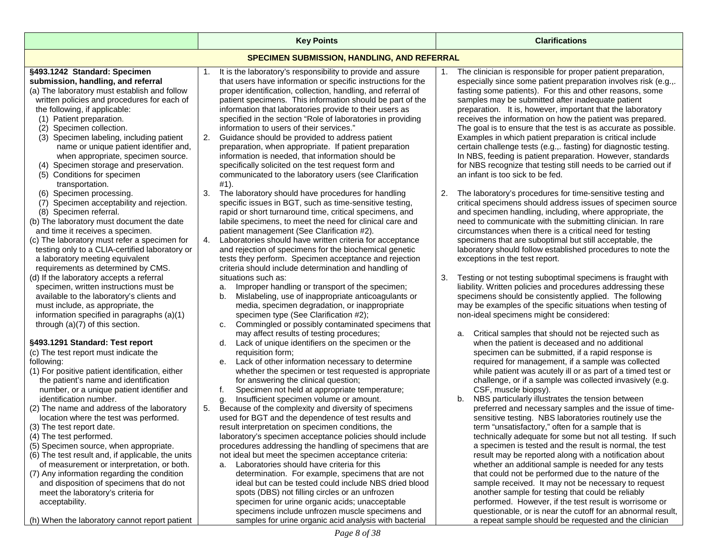<span id="page-7-0"></span>

|                                                                                                                                                                                                                                                                                                                                          | <b>Key Points</b>                                                                                                                                                                                                                                                                                                                                                                                                                                             | <b>Clarifications</b>                                                                                                                                                                                                                                                                                                                                                                                                                                                   |  |
|------------------------------------------------------------------------------------------------------------------------------------------------------------------------------------------------------------------------------------------------------------------------------------------------------------------------------------------|---------------------------------------------------------------------------------------------------------------------------------------------------------------------------------------------------------------------------------------------------------------------------------------------------------------------------------------------------------------------------------------------------------------------------------------------------------------|-------------------------------------------------------------------------------------------------------------------------------------------------------------------------------------------------------------------------------------------------------------------------------------------------------------------------------------------------------------------------------------------------------------------------------------------------------------------------|--|
| <b>SPECIMEN SUBMISSION, HANDLING, AND REFERRAL</b>                                                                                                                                                                                                                                                                                       |                                                                                                                                                                                                                                                                                                                                                                                                                                                               |                                                                                                                                                                                                                                                                                                                                                                                                                                                                         |  |
| §493.1242 Standard: Specimen<br>submission, handling, and referral<br>(a) The laboratory must establish and follow<br>written policies and procedures for each of<br>the following, if applicable:<br>(1) Patient preparation.<br>(2) Specimen collection.                                                                               | It is the laboratory's responsibility to provide and assure<br>1.<br>that users have information or specific instructions for the<br>proper identification, collection, handling, and referral of<br>patient specimens. This information should be part of the<br>information that laboratories provide to their users as<br>specified in the section "Role of laboratories in providing<br>information to users of their services."                          | The clinician is responsible for proper patient preparation,<br>especially since some patient preparation involves risk (e.g.,.<br>fasting some patients). For this and other reasons, some<br>samples may be submitted after inadequate patient<br>preparation. It is, however, important that the laboratory<br>receives the information on how the patient was prepared.                                                                                             |  |
| (3) Specimen labeling, including patient<br>name or unique patient identifier and,<br>when appropriate, specimen source.<br>(4) Specimen storage and preservation.<br>(5) Conditions for specimen<br>transportation.                                                                                                                     | 2.<br>Guidance should be provided to address patient<br>preparation, when appropriate. If patient preparation<br>information is needed, that information should be<br>specifically solicited on the test request form and<br>communicated to the laboratory users (see Clarification<br>#1).                                                                                                                                                                  | The goal is to ensure that the test is as accurate as possible.<br>Examples in which patient preparation is critical include<br>certain challenge tests (e.g.,. fasting) for diagnostic testing.<br>In NBS, feeding is patient preparation. However, standards<br>for NBS recognize that testing still needs to be carried out if<br>an infant is too sick to be fed.                                                                                                   |  |
| (6) Specimen processing.<br>(7) Specimen acceptability and rejection.<br>(8) Specimen referral.<br>(b) The laboratory must document the date<br>and time it receives a specimen.                                                                                                                                                         | The laboratory should have procedures for handling<br>3.<br>specific issues in BGT, such as time-sensitive testing,<br>rapid or short turnaround time, critical specimens, and<br>labile specimens, to meet the need for clinical care and<br>patient management (See Clarification #2).                                                                                                                                                                      | 2.<br>The laboratory's procedures for time-sensitive testing and<br>critical specimens should address issues of specimen source<br>and specimen handling, including, where appropriate, the<br>need to communicate with the submitting clinician. In rare<br>circumstances when there is a critical need for testing                                                                                                                                                    |  |
| (c) The laboratory must refer a specimen for<br>testing only to a CLIA-certified laboratory or<br>a laboratory meeting equivalent<br>requirements as determined by CMS.<br>(d) If the laboratory accepts a referral                                                                                                                      | 4.<br>Laboratories should have written criteria for acceptance<br>and rejection of specimens for the biochemical genetic<br>tests they perform. Specimen acceptance and rejection<br>criteria should include determination and handling of<br>situations such as:                                                                                                                                                                                             | specimens that are suboptimal but still acceptable, the<br>laboratory should follow established procedures to note the<br>exceptions in the test report.<br>3.<br>Testing or not testing suboptimal specimens is fraught with                                                                                                                                                                                                                                           |  |
| specimen, written instructions must be<br>available to the laboratory's clients and<br>must include, as appropriate, the<br>information specified in paragraphs (a)(1)<br>through (a)(7) of this section.                                                                                                                                | Improper handling or transport of the specimen;<br>a.<br>Mislabeling, use of inappropriate anticoagulants or<br>b.<br>media, specimen degradation, or inappropriate<br>specimen type (See Clarification #2);<br>Commingled or possibly contaminated specimens that<br>c.                                                                                                                                                                                      | liability. Written policies and procedures addressing these<br>specimens should be consistently applied. The following<br>may be examples of the specific situations when testing of<br>non-ideal specimens might be considered:                                                                                                                                                                                                                                        |  |
| §493.1291 Standard: Test report<br>(c) The test report must indicate the<br>following:<br>(1) For positive patient identification, either<br>the patient's name and identification<br>number, or a unique patient identifier and<br>identification number.                                                                               | may affect results of testing procedures;<br>Lack of unique identifiers on the specimen or the<br>d.<br>requisition form;<br>Lack of other information necessary to determine<br>е.<br>whether the specimen or test requested is appropriate<br>for answering the clinical question;<br>Specimen not held at appropriate temperature;<br>f.<br>Insufficient specimen volume or amount.<br>q.                                                                  | Critical samples that should not be rejected such as<br>a.<br>when the patient is deceased and no additional<br>specimen can be submitted, if a rapid response is<br>required for management, if a sample was collected<br>while patient was acutely ill or as part of a timed test or<br>challenge, or if a sample was collected invasively (e.g.<br>CSF, muscle biopsy).<br>NBS particularly illustrates the tension between<br>b.                                    |  |
| (2) The name and address of the laboratory<br>location where the test was performed.<br>(3) The test report date.<br>(4) The test performed.<br>(5) Specimen source, when appropriate.<br>(6) The test result and, if applicable, the units<br>of measurement or interpretation, or both.<br>(7) Any information regarding the condition | 5.<br>Because of the complexity and diversity of specimens<br>used for BGT and the dependence of test results and<br>result interpretation on specimen conditions, the<br>laboratory's specimen acceptance policies should include<br>procedures addressing the handling of specimens that are<br>not ideal but meet the specimen acceptance criteria:<br>a. Laboratories should have criteria for this<br>determination. For example, specimens that are not | preferred and necessary samples and the issue of time-<br>sensitive testing. NBS laboratories routinely use the<br>term "unsatisfactory," often for a sample that is<br>technically adequate for some but not all testing. If such<br>a specimen is tested and the result is normal, the test<br>result may be reported along with a notification about<br>whether an additional sample is needed for any tests<br>that could not be performed due to the nature of the |  |
| and disposition of specimens that do not<br>meet the laboratory's criteria for<br>acceptability.<br>(h) When the laboratory cannot report patient                                                                                                                                                                                        | ideal but can be tested could include NBS dried blood<br>spots (DBS) not filling circles or an unfrozen<br>specimen for urine organic acids; unacceptable<br>specimens include unfrozen muscle specimens and<br>samples for urine organic acid analysis with bacterial                                                                                                                                                                                        | sample received. It may not be necessary to request<br>another sample for testing that could be reliably<br>performed. However, if the test result is worrisome or<br>questionable, or is near the cutoff for an abnormal result,<br>a repeat sample should be requested and the clinician                                                                                                                                                                              |  |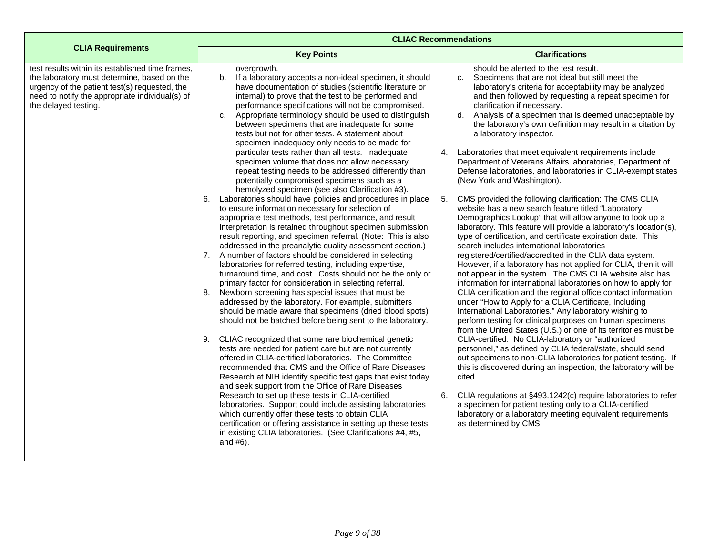|                                                                                                                                                                                                                             | <b>CLIAC Recommendations</b>                                                                                                                                                                                                                                                                                                                                                                                                                                                                                                                                                                                                                                                                                                                                                                                                                                                                                                                                                                                                                                                                                                                                                                                                                                                                                                                                                                                                                                                                                                                                                                                                                                                                                                                                                                                                                                                                                                                                                                                                                                                                                                                                                                                                                                                                                       |                                                                                                                                                                                                                                                                                                                                                                                                                                                                                                                                                                                                                                                                                                                                                                                                                                                                                                                                                                                                                                                                                                                                                                                                                                                                                                                                                                                                                                                                                                                                                                                                                                                                                                                                                                                                                                                                                                                                                                                                                                                                                                  |  |
|-----------------------------------------------------------------------------------------------------------------------------------------------------------------------------------------------------------------------------|--------------------------------------------------------------------------------------------------------------------------------------------------------------------------------------------------------------------------------------------------------------------------------------------------------------------------------------------------------------------------------------------------------------------------------------------------------------------------------------------------------------------------------------------------------------------------------------------------------------------------------------------------------------------------------------------------------------------------------------------------------------------------------------------------------------------------------------------------------------------------------------------------------------------------------------------------------------------------------------------------------------------------------------------------------------------------------------------------------------------------------------------------------------------------------------------------------------------------------------------------------------------------------------------------------------------------------------------------------------------------------------------------------------------------------------------------------------------------------------------------------------------------------------------------------------------------------------------------------------------------------------------------------------------------------------------------------------------------------------------------------------------------------------------------------------------------------------------------------------------------------------------------------------------------------------------------------------------------------------------------------------------------------------------------------------------------------------------------------------------------------------------------------------------------------------------------------------------------------------------------------------------------------------------------------------------|--------------------------------------------------------------------------------------------------------------------------------------------------------------------------------------------------------------------------------------------------------------------------------------------------------------------------------------------------------------------------------------------------------------------------------------------------------------------------------------------------------------------------------------------------------------------------------------------------------------------------------------------------------------------------------------------------------------------------------------------------------------------------------------------------------------------------------------------------------------------------------------------------------------------------------------------------------------------------------------------------------------------------------------------------------------------------------------------------------------------------------------------------------------------------------------------------------------------------------------------------------------------------------------------------------------------------------------------------------------------------------------------------------------------------------------------------------------------------------------------------------------------------------------------------------------------------------------------------------------------------------------------------------------------------------------------------------------------------------------------------------------------------------------------------------------------------------------------------------------------------------------------------------------------------------------------------------------------------------------------------------------------------------------------------------------------------------------------------|--|
| <b>CLIA Requirements</b>                                                                                                                                                                                                    | <b>Key Points</b>                                                                                                                                                                                                                                                                                                                                                                                                                                                                                                                                                                                                                                                                                                                                                                                                                                                                                                                                                                                                                                                                                                                                                                                                                                                                                                                                                                                                                                                                                                                                                                                                                                                                                                                                                                                                                                                                                                                                                                                                                                                                                                                                                                                                                                                                                                  | <b>Clarifications</b>                                                                                                                                                                                                                                                                                                                                                                                                                                                                                                                                                                                                                                                                                                                                                                                                                                                                                                                                                                                                                                                                                                                                                                                                                                                                                                                                                                                                                                                                                                                                                                                                                                                                                                                                                                                                                                                                                                                                                                                                                                                                            |  |
| test results within its established time frames,<br>the laboratory must determine, based on the<br>urgency of the patient test(s) requested, the<br>need to notify the appropriate individual(s) of<br>the delayed testing. | overgrowth.<br>If a laboratory accepts a non-ideal specimen, it should<br>b.<br>have documentation of studies (scientific literature or<br>internal) to prove that the test to be performed and<br>performance specifications will not be compromised.<br>Appropriate terminology should be used to distinguish<br>C <sub>1</sub><br>between specimens that are inadequate for some<br>tests but not for other tests. A statement about<br>specimen inadequacy only needs to be made for<br>particular tests rather than all tests. Inadequate<br>specimen volume that does not allow necessary<br>repeat testing needs to be addressed differently than<br>potentially compromised specimens such as a<br>hemolyzed specimen (see also Clarification #3).<br>Laboratories should have policies and procedures in place<br>6.<br>to ensure information necessary for selection of<br>appropriate test methods, test performance, and result<br>interpretation is retained throughout specimen submission,<br>result reporting, and specimen referral. (Note: This is also<br>addressed in the preanalytic quality assessment section.)<br>7. A number of factors should be considered in selecting<br>laboratories for referred testing, including expertise,<br>turnaround time, and cost. Costs should not be the only or<br>primary factor for consideration in selecting referral.<br>8. Newborn screening has special issues that must be<br>addressed by the laboratory. For example, submitters<br>should be made aware that specimens (dried blood spots)<br>should not be batched before being sent to the laboratory.<br>CLIAC recognized that some rare biochemical genetic<br>9.<br>tests are needed for patient care but are not currently<br>offered in CLIA-certified laboratories. The Committee<br>recommended that CMS and the Office of Rare Diseases<br>Research at NIH identify specific test gaps that exist today<br>and seek support from the Office of Rare Diseases<br>Research to set up these tests in CLIA-certified<br>laboratories. Support could include assisting laboratories<br>which currently offer these tests to obtain CLIA<br>certification or offering assistance in setting up these tests<br>in existing CLIA laboratories. (See Clarifications #4, #5,<br>and $#6$ ). | should be alerted to the test result.<br>Specimens that are not ideal but still meet the<br>C <sub>1</sub><br>laboratory's criteria for acceptability may be analyzed<br>and then followed by requesting a repeat specimen for<br>clarification if necessary.<br>d. Analysis of a specimen that is deemed unacceptable by<br>the laboratory's own definition may result in a citation by<br>a laboratory inspector.<br>Laboratories that meet equivalent requirements include<br>4.<br>Department of Veterans Affairs laboratories, Department of<br>Defense laboratories, and laboratories in CLIA-exempt states<br>(New York and Washington).<br>CMS provided the following clarification: The CMS CLIA<br>5.<br>website has a new search feature titled "Laboratory<br>Demographics Lookup" that will allow anyone to look up a<br>laboratory. This feature will provide a laboratory's location(s),<br>type of certification, and certificate expiration date. This<br>search includes international laboratories<br>registered/certified/accredited in the CLIA data system.<br>However, if a laboratory has not applied for CLIA, then it will<br>not appear in the system. The CMS CLIA website also has<br>information for international laboratories on how to apply for<br>CLIA certification and the regional office contact information<br>under "How to Apply for a CLIA Certificate, Including<br>International Laboratories." Any laboratory wishing to<br>perform testing for clinical purposes on human specimens<br>from the United States (U.S.) or one of its territories must be<br>CLIA-certified. No CLIA-laboratory or "authorized<br>personnel," as defined by CLIA federal/state, should send<br>out specimens to non-CLIA laboratories for patient testing. If<br>this is discovered during an inspection, the laboratory will be<br>cited.<br>CLIA regulations at §493.1242(c) require laboratories to refer<br>6.<br>a specimen for patient testing only to a CLIA-certified<br>laboratory or a laboratory meeting equivalent requirements<br>as determined by CMS. |  |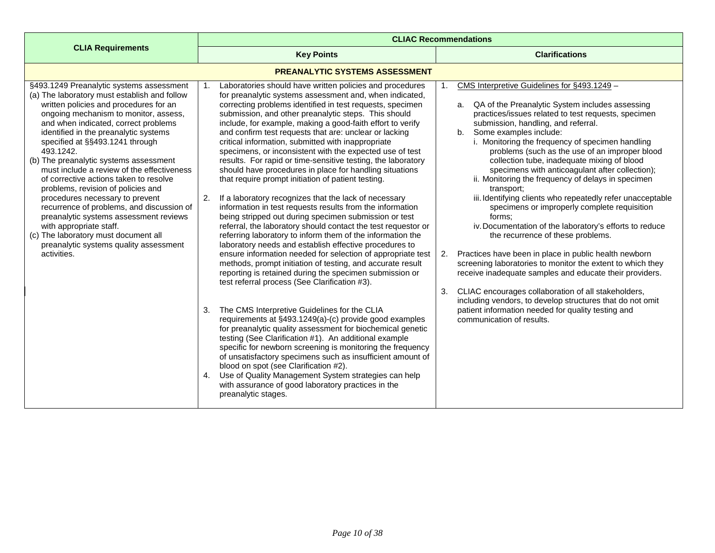<span id="page-9-0"></span>

|                                                                                                                                                                                                                                                                                                                                                                                                                                                                                                                                                                                                                                                                                                                                            | <b>CLIAC Recommendations</b>                                                                                                                                                                                                                                                                                                                                                                                                                                                                                                                                                                                                                                                                                                                                                                                                                                                                                                                                                                                                                                                                                                                                                                                                                                                                                                                                                                                                                                                                                                                                                                                                                                                                                                                                                                                                                            |                                                                                                                                                                                                                                                                                                                                                                                                                                                                                                                                                                                                                                                                                                                                                                                                                                                                                                                                                                                                                                                                                                                                          |
|--------------------------------------------------------------------------------------------------------------------------------------------------------------------------------------------------------------------------------------------------------------------------------------------------------------------------------------------------------------------------------------------------------------------------------------------------------------------------------------------------------------------------------------------------------------------------------------------------------------------------------------------------------------------------------------------------------------------------------------------|---------------------------------------------------------------------------------------------------------------------------------------------------------------------------------------------------------------------------------------------------------------------------------------------------------------------------------------------------------------------------------------------------------------------------------------------------------------------------------------------------------------------------------------------------------------------------------------------------------------------------------------------------------------------------------------------------------------------------------------------------------------------------------------------------------------------------------------------------------------------------------------------------------------------------------------------------------------------------------------------------------------------------------------------------------------------------------------------------------------------------------------------------------------------------------------------------------------------------------------------------------------------------------------------------------------------------------------------------------------------------------------------------------------------------------------------------------------------------------------------------------------------------------------------------------------------------------------------------------------------------------------------------------------------------------------------------------------------------------------------------------------------------------------------------------------------------------------------------------|------------------------------------------------------------------------------------------------------------------------------------------------------------------------------------------------------------------------------------------------------------------------------------------------------------------------------------------------------------------------------------------------------------------------------------------------------------------------------------------------------------------------------------------------------------------------------------------------------------------------------------------------------------------------------------------------------------------------------------------------------------------------------------------------------------------------------------------------------------------------------------------------------------------------------------------------------------------------------------------------------------------------------------------------------------------------------------------------------------------------------------------|
| <b>CLIA Requirements</b>                                                                                                                                                                                                                                                                                                                                                                                                                                                                                                                                                                                                                                                                                                                   | <b>Key Points</b>                                                                                                                                                                                                                                                                                                                                                                                                                                                                                                                                                                                                                                                                                                                                                                                                                                                                                                                                                                                                                                                                                                                                                                                                                                                                                                                                                                                                                                                                                                                                                                                                                                                                                                                                                                                                                                       | <b>Clarifications</b>                                                                                                                                                                                                                                                                                                                                                                                                                                                                                                                                                                                                                                                                                                                                                                                                                                                                                                                                                                                                                                                                                                                    |
|                                                                                                                                                                                                                                                                                                                                                                                                                                                                                                                                                                                                                                                                                                                                            | <b>PREANALYTIC SYSTEMS ASSESSMENT</b>                                                                                                                                                                                                                                                                                                                                                                                                                                                                                                                                                                                                                                                                                                                                                                                                                                                                                                                                                                                                                                                                                                                                                                                                                                                                                                                                                                                                                                                                                                                                                                                                                                                                                                                                                                                                                   |                                                                                                                                                                                                                                                                                                                                                                                                                                                                                                                                                                                                                                                                                                                                                                                                                                                                                                                                                                                                                                                                                                                                          |
| §493.1249 Preanalytic systems assessment<br>(a) The laboratory must establish and follow<br>written policies and procedures for an<br>ongoing mechanism to monitor, assess,<br>and when indicated, correct problems<br>identified in the preanalytic systems<br>specified at §§493.1241 through<br>493.1242.<br>(b) The preanalytic systems assessment<br>must include a review of the effectiveness<br>of corrective actions taken to resolve<br>problems, revision of policies and<br>procedures necessary to prevent<br>recurrence of problems, and discussion of<br>preanalytic systems assessment reviews<br>with appropriate staff.<br>(c) The laboratory must document all<br>preanalytic systems quality assessment<br>activities. | Laboratories should have written policies and procedures<br>1.<br>for preanalytic systems assessment and, when indicated,<br>correcting problems identified in test requests, specimen<br>submission, and other preanalytic steps. This should<br>include, for example, making a good-faith effort to verify<br>and confirm test requests that are: unclear or lacking<br>critical information, submitted with inappropriate<br>specimens, or inconsistent with the expected use of test<br>results. For rapid or time-sensitive testing, the laboratory<br>should have procedures in place for handling situations<br>that require prompt initiation of patient testing.<br>2.<br>If a laboratory recognizes that the lack of necessary<br>information in test requests results from the information<br>being stripped out during specimen submission or test<br>referral, the laboratory should contact the test requestor or<br>referring laboratory to inform them of the information the<br>laboratory needs and establish effective procedures to<br>ensure information needed for selection of appropriate test<br>methods, prompt initiation of testing, and accurate result<br>reporting is retained during the specimen submission or<br>test referral process (See Clarification #3).<br>The CMS Interpretive Guidelines for the CLIA<br>3.<br>requirements at §493.1249(a)-(c) provide good examples<br>for preanalytic quality assessment for biochemical genetic<br>testing (See Clarification #1). An additional example<br>specific for newborn screening is monitoring the frequency<br>of unsatisfactory specimens such as insufficient amount of<br>blood on spot (see Clarification #2).<br>Use of Quality Management System strategies can help<br>4.<br>with assurance of good laboratory practices in the<br>preanalytic stages. | CMS Interpretive Guidelines for §493.1249 -<br>a. QA of the Preanalytic System includes assessing<br>practices/issues related to test requests, specimen<br>submission, handling, and referral.<br>Some examples include:<br>b.<br>i. Monitoring the frequency of specimen handling<br>problems (such as the use of an improper blood<br>collection tube, inadequate mixing of blood<br>specimens with anticoagulant after collection);<br>ii. Monitoring the frequency of delays in specimen<br>transport;<br>iii. Identifying clients who repeatedly refer unacceptable<br>specimens or improperly complete requisition<br>forms:<br>iv. Documentation of the laboratory's efforts to reduce<br>the recurrence of these problems.<br>Practices have been in place in public health newborn<br>2.<br>screening laboratories to monitor the extent to which they<br>receive inadequate samples and educate their providers.<br>CLIAC encourages collaboration of all stakeholders,<br>3.<br>including vendors, to develop structures that do not omit<br>patient information needed for quality testing and<br>communication of results. |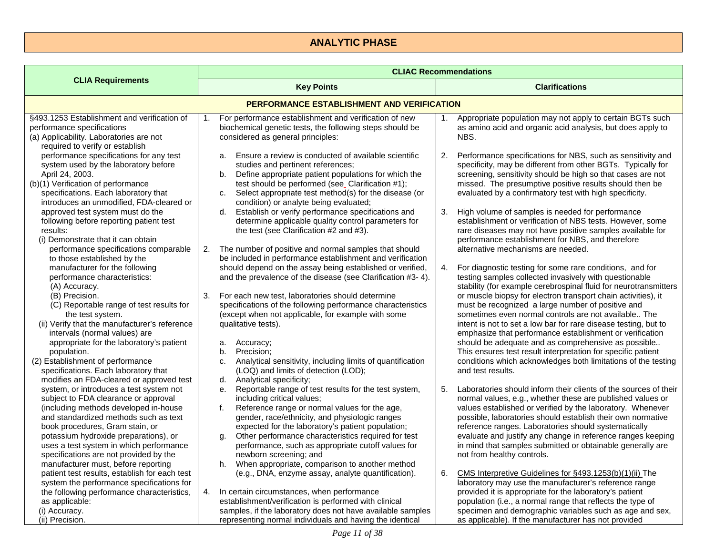## **ANALYTIC PHASE**

<span id="page-10-1"></span><span id="page-10-0"></span>

|                                                                                                                                                                                                                                                                                                                                                                                                                                                                       | <b>CLIAC Recommendations</b>                                                                                                                                                                                                                                                                                                                                                                                                                                                                                                                                              |                                                                                                                                                                                                                                                                                                                                                                                                                                                                                                                                                                                                                                                                                                                        |
|-----------------------------------------------------------------------------------------------------------------------------------------------------------------------------------------------------------------------------------------------------------------------------------------------------------------------------------------------------------------------------------------------------------------------------------------------------------------------|---------------------------------------------------------------------------------------------------------------------------------------------------------------------------------------------------------------------------------------------------------------------------------------------------------------------------------------------------------------------------------------------------------------------------------------------------------------------------------------------------------------------------------------------------------------------------|------------------------------------------------------------------------------------------------------------------------------------------------------------------------------------------------------------------------------------------------------------------------------------------------------------------------------------------------------------------------------------------------------------------------------------------------------------------------------------------------------------------------------------------------------------------------------------------------------------------------------------------------------------------------------------------------------------------------|
| <b>CLIA Requirements</b>                                                                                                                                                                                                                                                                                                                                                                                                                                              | <b>Key Points</b>                                                                                                                                                                                                                                                                                                                                                                                                                                                                                                                                                         | <b>Clarifications</b>                                                                                                                                                                                                                                                                                                                                                                                                                                                                                                                                                                                                                                                                                                  |
|                                                                                                                                                                                                                                                                                                                                                                                                                                                                       | PERFORMANCE ESTABLISHMENT AND VERIFICATION                                                                                                                                                                                                                                                                                                                                                                                                                                                                                                                                |                                                                                                                                                                                                                                                                                                                                                                                                                                                                                                                                                                                                                                                                                                                        |
| §493.1253 Establishment and verification of<br>performance specifications<br>(a) Applicability. Laboratories are not<br>required to verify or establish                                                                                                                                                                                                                                                                                                               | For performance establishment and verification of new<br>1.<br>biochemical genetic tests, the following steps should be<br>considered as general principles:                                                                                                                                                                                                                                                                                                                                                                                                              | Appropriate population may not apply to certain BGTs such<br>1.<br>as amino acid and organic acid analysis, but does apply to<br>NBS.                                                                                                                                                                                                                                                                                                                                                                                                                                                                                                                                                                                  |
| performance specifications for any test<br>system used by the laboratory before<br>April 24, 2003.<br>(b)(1) Verification of performance<br>specifications. Each laboratory that<br>introduces an unmodified, FDA-cleared or                                                                                                                                                                                                                                          | a. Ensure a review is conducted of available scientific<br>studies and pertinent references;<br>Define appropriate patient populations for which the<br>b.<br>test should be performed (see_Clarification #1);<br>Select appropriate test method(s) for the disease (or<br>c.<br>condition) or analyte being evaluated;                                                                                                                                                                                                                                                   | Performance specifications for NBS, such as sensitivity and<br>2.<br>specificity, may be different from other BGTs. Typically for<br>screening, sensitivity should be high so that cases are not<br>missed. The presumptive positive results should then be<br>evaluated by a confirmatory test with high specificity.                                                                                                                                                                                                                                                                                                                                                                                                 |
| approved test system must do the<br>following before reporting patient test<br>results:<br>(i) Demonstrate that it can obtain<br>performance specifications comparable                                                                                                                                                                                                                                                                                                | Establish or verify performance specifications and<br>d.<br>determine applicable quality control parameters for<br>the test (see Clarification #2 and #3).<br>The number of positive and normal samples that should<br>2.                                                                                                                                                                                                                                                                                                                                                 | High volume of samples is needed for performance<br>3.<br>establishment or verification of NBS tests. However, some<br>rare diseases may not have positive samples available for<br>performance establishment for NBS, and therefore<br>alternative mechanisms are needed.                                                                                                                                                                                                                                                                                                                                                                                                                                             |
| to those established by the<br>manufacturer for the following<br>performance characteristics:<br>(A) Accuracy.<br>(B) Precision.<br>(C) Reportable range of test results for<br>the test system.<br>(ii) Verify that the manufacturer's reference<br>intervals (normal values) are<br>appropriate for the laboratory's patient<br>population.<br>(2) Establishment of performance<br>specifications. Each laboratory that<br>modifies an FDA-cleared or approved test | be included in performance establishment and verification<br>should depend on the assay being established or verified,<br>and the prevalence of the disease (see Clarification #3-4).<br>3.<br>For each new test, laboratories should determine<br>specifications of the following performance characteristics<br>(except when not applicable, for example with some<br>qualitative tests).<br>Accuracy;<br>a.<br>Precision;<br>b.<br>Analytical sensitivity, including limits of quantification<br>c.<br>(LOQ) and limits of detection (LOD);<br>Analytical specificity; | For diagnostic testing for some rare conditions, and for<br>4.<br>testing samples collected invasively with questionable<br>stability (for example cerebrospinal fluid for neurotransmitters<br>or muscle biopsy for electron transport chain activities), it<br>must be recognized a large number of positive and<br>sometimes even normal controls are not available The<br>intent is not to set a low bar for rare disease testing, but to<br>emphasize that performance establishment or verification<br>should be adequate and as comprehensive as possible<br>This ensures test result interpretation for specific patient<br>conditions which acknowledges both limitations of the testing<br>and test results. |
| system, or introduces a test system not<br>subject to FDA clearance or approval<br>(including methods developed in-house<br>and standardized methods such as text<br>book procedures, Gram stain, or<br>potassium hydroxide preparations), or<br>uses a test system in which performance<br>specifications are not provided by the<br>manufacturer must, before reporting                                                                                             | d.<br>Reportable range of test results for the test system,<br>е.<br>including critical values;<br>Reference range or normal values for the age,<br>f.<br>gender, race/ethnicity, and physiologic ranges<br>expected for the laboratory's patient population;<br>Other performance characteristics required for test<br>g.<br>performance, such as appropriate cutoff values for<br>newborn screening; and<br>When appropriate, comparison to another method<br>h.                                                                                                        | Laboratories should inform their clients of the sources of their<br>5.<br>normal values, e.g., whether these are published values or<br>values established or verified by the laboratory. Whenever<br>possible, laboratories should establish their own normative<br>reference ranges. Laboratories should systematically<br>evaluate and justify any change in reference ranges keeping<br>in mind that samples submitted or obtainable generally are<br>not from healthy controls.                                                                                                                                                                                                                                   |
| patient test results, establish for each test<br>system the performance specifications for<br>the following performance characteristics,<br>as applicable:<br>(i) Accuracy.<br>(ii) Precision.                                                                                                                                                                                                                                                                        | (e.g., DNA, enzyme assay, analyte quantification).<br>In certain circumstances, when performance<br>4.<br>establishment/verification is performed with clinical<br>samples, if the laboratory does not have available samples<br>representing normal individuals and having the identical                                                                                                                                                                                                                                                                                 | CMS Interpretive Guidelines for §493.1253(b)(1)(ii) The<br>6.<br>laboratory may use the manufacturer's reference range<br>provided it is appropriate for the laboratory's patient<br>population (i.e., a normal range that reflects the type of<br>specimen and demographic variables such as age and sex,<br>as applicable). If the manufacturer has not provided                                                                                                                                                                                                                                                                                                                                                     |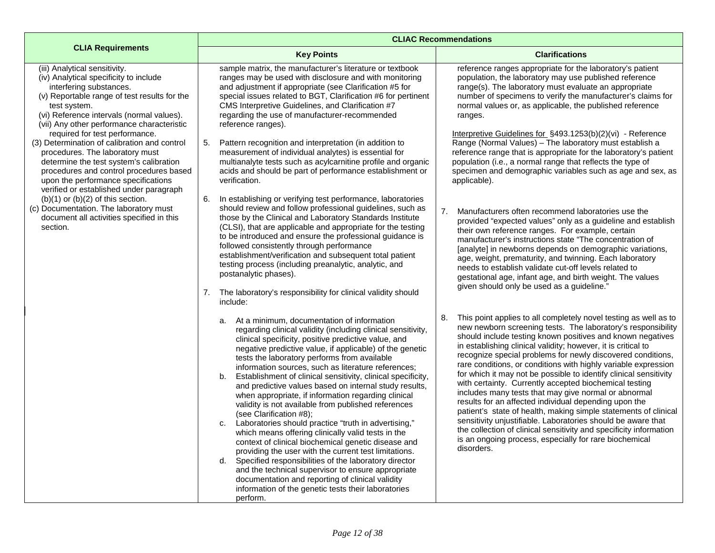|                                                                                                                                                                                                                                                                                                                                                 | <b>CLIAC Recommendations</b>                                                                                                                                                                                                                                                                                                                                                                                                                                                                                                                                                                                                                                                                                                                                                                                                                                                                                                                                                                                                                                                                   |                                                                                                                                                                                                                                                                                                                                                                                                                                                                                                                                                                                                                                                                                                                                                                                                                                                                                                                                         |
|-------------------------------------------------------------------------------------------------------------------------------------------------------------------------------------------------------------------------------------------------------------------------------------------------------------------------------------------------|------------------------------------------------------------------------------------------------------------------------------------------------------------------------------------------------------------------------------------------------------------------------------------------------------------------------------------------------------------------------------------------------------------------------------------------------------------------------------------------------------------------------------------------------------------------------------------------------------------------------------------------------------------------------------------------------------------------------------------------------------------------------------------------------------------------------------------------------------------------------------------------------------------------------------------------------------------------------------------------------------------------------------------------------------------------------------------------------|-----------------------------------------------------------------------------------------------------------------------------------------------------------------------------------------------------------------------------------------------------------------------------------------------------------------------------------------------------------------------------------------------------------------------------------------------------------------------------------------------------------------------------------------------------------------------------------------------------------------------------------------------------------------------------------------------------------------------------------------------------------------------------------------------------------------------------------------------------------------------------------------------------------------------------------------|
| <b>CLIA Requirements</b>                                                                                                                                                                                                                                                                                                                        | <b>Key Points</b>                                                                                                                                                                                                                                                                                                                                                                                                                                                                                                                                                                                                                                                                                                                                                                                                                                                                                                                                                                                                                                                                              | <b>Clarifications</b>                                                                                                                                                                                                                                                                                                                                                                                                                                                                                                                                                                                                                                                                                                                                                                                                                                                                                                                   |
| (iii) Analytical sensitivity.<br>(iv) Analytical specificity to include<br>interfering substances.<br>(v) Reportable range of test results for the<br>test system.<br>(vi) Reference intervals (normal values).<br>(vii) Any other performance characteristic<br>required for test performance.<br>(3) Determination of calibration and control | sample matrix, the manufacturer's literature or textbook<br>ranges may be used with disclosure and with monitoring<br>and adjustment if appropriate (see Clarification #5 for<br>special issues related to BGT, Clarification #6 for pertinent<br>CMS Interpretive Guidelines, and Clarification #7<br>regarding the use of manufacturer-recommended<br>reference ranges).<br>Pattern recognition and interpretation (in addition to<br>5.                                                                                                                                                                                                                                                                                                                                                                                                                                                                                                                                                                                                                                                     | reference ranges appropriate for the laboratory's patient<br>population, the laboratory may use published reference<br>range(s). The laboratory must evaluate an appropriate<br>number of specimens to verify the manufacturer's claims for<br>normal values or, as applicable, the published reference<br>ranges.<br>Interpretive Guidelines for $\S$ 493.1253(b)(2)(vi) - Reference<br>Range (Normal Values) - The laboratory must establish a                                                                                                                                                                                                                                                                                                                                                                                                                                                                                        |
| procedures. The laboratory must<br>determine the test system's calibration<br>procedures and control procedures based<br>upon the performance specifications<br>verified or established under paragraph                                                                                                                                         | measurement of individual analytes) is essential for<br>multianalyte tests such as acylcarnitine profile and organic<br>acids and should be part of performance establishment or<br>verification.                                                                                                                                                                                                                                                                                                                                                                                                                                                                                                                                                                                                                                                                                                                                                                                                                                                                                              | reference range that is appropriate for the laboratory's patient<br>population (i.e., a normal range that reflects the type of<br>specimen and demographic variables such as age and sex, as<br>applicable).                                                                                                                                                                                                                                                                                                                                                                                                                                                                                                                                                                                                                                                                                                                            |
| $(b)(1)$ or $(b)(2)$ of this section.<br>(c) Documentation. The laboratory must<br>document all activities specified in this<br>section.                                                                                                                                                                                                        | In establishing or verifying test performance, laboratories<br>6.<br>should review and follow professional guidelines, such as<br>those by the Clinical and Laboratory Standards Institute<br>(CLSI), that are applicable and appropriate for the testing<br>to be introduced and ensure the professional guidance is<br>followed consistently through performance<br>establishment/verification and subsequent total patient<br>testing process (including preanalytic, analytic, and<br>postanalytic phases).<br>7. The laboratory's responsibility for clinical validity should<br>include:                                                                                                                                                                                                                                                                                                                                                                                                                                                                                                 | 7.<br>Manufacturers often recommend laboratories use the<br>provided "expected values" only as a guideline and establish<br>their own reference ranges. For example, certain<br>manufacturer's instructions state "The concentration of<br>[analyte] in newborns depends on demographic variations,<br>age, weight, prematurity, and twinning. Each laboratory<br>needs to establish validate cut-off levels related to<br>gestational age, infant age, and birth weight. The values<br>given should only be used as a guideline."                                                                                                                                                                                                                                                                                                                                                                                                      |
|                                                                                                                                                                                                                                                                                                                                                 | a. At a minimum, documentation of information<br>regarding clinical validity (including clinical sensitivity,<br>clinical specificity, positive predictive value, and<br>negative predictive value, if applicable) of the genetic<br>tests the laboratory performs from available<br>information sources, such as literature references;<br>Establishment of clinical sensitivity, clinical specificity,<br>b.<br>and predictive values based on internal study results,<br>when appropriate, if information regarding clinical<br>validity is not available from published references<br>(see Clarification #8);<br>Laboratories should practice "truth in advertising,"<br>C.<br>which means offering clinically valid tests in the<br>context of clinical biochemical genetic disease and<br>providing the user with the current test limitations.<br>d. Specified responsibilities of the laboratory director<br>and the technical supervisor to ensure appropriate<br>documentation and reporting of clinical validity<br>information of the genetic tests their laboratories<br>perform. | This point applies to all completely novel testing as well as to<br>8.<br>new newborn screening tests. The laboratory's responsibility<br>should include testing known positives and known negatives<br>in establishing clinical validity; however, it is critical to<br>recognize special problems for newly discovered conditions,<br>rare conditions, or conditions with highly variable expression<br>for which it may not be possible to identify clinical sensitivity<br>with certainty. Currently accepted biochemical testing<br>includes many tests that may give normal or abnormal<br>results for an affected individual depending upon the<br>patient's state of health, making simple statements of clinical<br>sensitivity unjustifiable. Laboratories should be aware that<br>the collection of clinical sensitivity and specificity information<br>is an ongoing process, especially for rare biochemical<br>disorders. |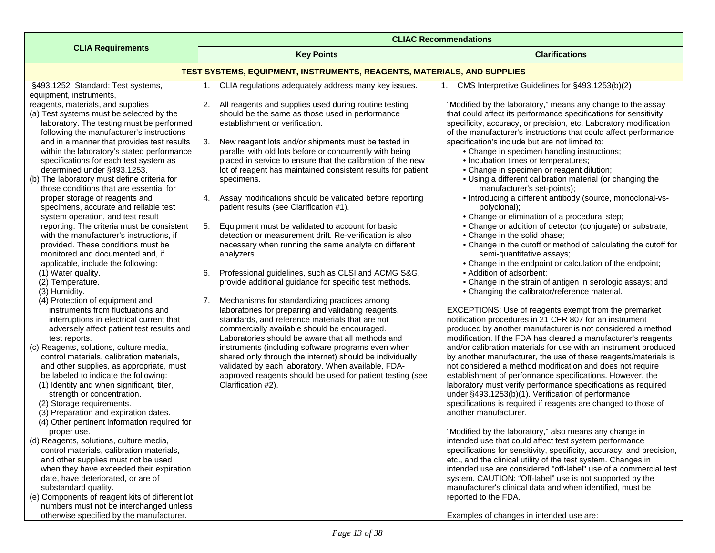<span id="page-12-0"></span>

|                                                                                            | <b>CLIAC Recommendations</b>                                                      |                                                                                                                                        |  |
|--------------------------------------------------------------------------------------------|-----------------------------------------------------------------------------------|----------------------------------------------------------------------------------------------------------------------------------------|--|
| <b>CLIA Requirements</b>                                                                   | <b>Key Points</b>                                                                 | <b>Clarifications</b>                                                                                                                  |  |
|                                                                                            | <b>TEST SYSTEMS, EQUIPMENT, INSTRUMENTS, REAGENTS, MATERIALS, AND SUPPLIES</b>    |                                                                                                                                        |  |
| §493.1252 Standard: Test systems,                                                          | CLIA regulations adequately address many key issues.<br>1.                        | CMS Interpretive Guidelines for §493.1253(b)(2)                                                                                        |  |
| equipment, instruments,                                                                    |                                                                                   |                                                                                                                                        |  |
| reagents, materials, and supplies                                                          | 2. All reagents and supplies used during routine testing                          | "Modified by the laboratory," means any change to the assay                                                                            |  |
| (a) Test systems must be selected by the<br>laboratory. The testing must be performed      | should be the same as those used in performance<br>establishment or verification. | that could affect its performance specifications for sensitivity,<br>specificity, accuracy, or precision, etc. Laboratory modification |  |
| following the manufacturer's instructions                                                  |                                                                                   | of the manufacturer's instructions that could affect performance                                                                       |  |
| and in a manner that provides test results                                                 | 3.<br>New reagent lots and/or shipments must be tested in                         | specification's include but are not limited to:                                                                                        |  |
| within the laboratory's stated performance                                                 | parallel with old lots before or concurrently with being                          | • Change in specimen handling instructions;                                                                                            |  |
| specifications for each test system as                                                     | placed in service to ensure that the calibration of the new                       | • Incubation times or temperatures;                                                                                                    |  |
| determined under §493.1253.                                                                | lot of reagent has maintained consistent results for patient                      | • Change in specimen or reagent dilution;                                                                                              |  |
| (b) The laboratory must define criteria for                                                | specimens.                                                                        | • Using a different calibration material (or changing the                                                                              |  |
| those conditions that are essential for                                                    |                                                                                   | manufacturer's set-points);                                                                                                            |  |
| proper storage of reagents and                                                             | 4. Assay modifications should be validated before reporting                       | • Introducing a different antibody (source, monoclonal-vs-                                                                             |  |
| specimens, accurate and reliable test                                                      | patient results (see Clarification #1).                                           | polyclonal);                                                                                                                           |  |
| system operation, and test result                                                          |                                                                                   | • Change or elimination of a procedural step;                                                                                          |  |
| reporting. The criteria must be consistent                                                 | Equipment must be validated to account for basic<br>5.                            | • Change or addition of detector (conjugate) or substrate;                                                                             |  |
| with the manufacturer's instructions, if                                                   | detection or measurement drift. Re-verification is also                           | • Change in the solid phase;                                                                                                           |  |
| provided. These conditions must be                                                         | necessary when running the same analyte on different                              | • Change in the cutoff or method of calculating the cutoff for                                                                         |  |
| monitored and documented and, if                                                           | analyzers.                                                                        | semi-quantitative assays;<br>• Change in the endpoint or calculation of the endpoint;                                                  |  |
| applicable, include the following:<br>(1) Water quality.                                   | Professional guidelines, such as CLSI and ACMG S&G,<br>6.                         | • Addition of adsorbent;                                                                                                               |  |
| (2) Temperature.                                                                           | provide additional guidance for specific test methods.                            | • Change in the strain of antigen in serologic assays; and                                                                             |  |
| (3) Humidity.                                                                              |                                                                                   | • Changing the calibrator/reference material.                                                                                          |  |
| (4) Protection of equipment and                                                            | Mechanisms for standardizing practices among<br>7.                                |                                                                                                                                        |  |
| instruments from fluctuations and                                                          | laboratories for preparing and validating reagents,                               | EXCEPTIONS: Use of reagents exempt from the premarket                                                                                  |  |
| interruptions in electrical current that                                                   | standards, and reference materials that are not                                   | notification procedures in 21 CFR 807 for an instrument                                                                                |  |
| adversely affect patient test results and                                                  | commercially available should be encouraged.                                      | produced by another manufacturer is not considered a method                                                                            |  |
| test reports.                                                                              | Laboratories should be aware that all methods and                                 | modification. If the FDA has cleared a manufacturer's reagents                                                                         |  |
| (c) Reagents, solutions, culture media,                                                    | instruments (including software programs even when                                | and/or calibration materials for use with an instrument produced                                                                       |  |
| control materials, calibration materials,                                                  | shared only through the internet) should be individually                          | by another manufacturer, the use of these reagents/materials is                                                                        |  |
| and other supplies, as appropriate, must                                                   | validated by each laboratory. When available, FDA-                                | not considered a method modification and does not require                                                                              |  |
| be labeled to indicate the following:<br>(1) Identity and when significant, titer,         | approved reagents should be used for patient testing (see<br>Clarification #2).   | establishment of performance specifications. However, the<br>laboratory must verify performance specifications as required             |  |
| strength or concentration.                                                                 |                                                                                   | under §493.1253(b)(1). Verification of performance                                                                                     |  |
| (2) Storage requirements.                                                                  |                                                                                   | specifications is required if reagents are changed to those of                                                                         |  |
| (3) Preparation and expiration dates.                                                      |                                                                                   | another manufacturer.                                                                                                                  |  |
| (4) Other pertinent information required for                                               |                                                                                   |                                                                                                                                        |  |
| proper use.                                                                                |                                                                                   | "Modified by the laboratory," also means any change in                                                                                 |  |
| (d) Reagents, solutions, culture media,                                                    |                                                                                   | intended use that could affect test system performance                                                                                 |  |
| control materials, calibration materials,                                                  |                                                                                   | specifications for sensitivity, specificity, accuracy, and precision,                                                                  |  |
| and other supplies must not be used                                                        |                                                                                   | etc., and the clinical utility of the test system. Changes in                                                                          |  |
| when they have exceeded their expiration                                                   |                                                                                   | intended use are considered "off-label" use of a commercial test                                                                       |  |
| date, have deteriorated, or are of                                                         |                                                                                   | system. CAUTION: "Off-label" use is not supported by the                                                                               |  |
| substandard quality.                                                                       |                                                                                   | manufacturer's clinical data and when identified, must be                                                                              |  |
| (e) Components of reagent kits of different lot<br>numbers must not be interchanged unless |                                                                                   | reported to the FDA.                                                                                                                   |  |
| otherwise specified by the manufacturer.                                                   |                                                                                   | Examples of changes in intended use are:                                                                                               |  |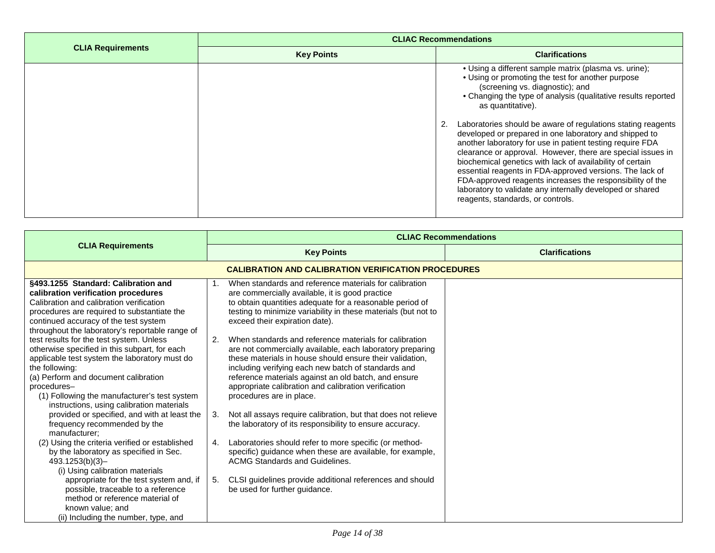|                          | <b>CLIAC Recommendations</b> |                                                                                                                                                                                                                                                                                                                                                                                                                                                                                                                                                                                                                                                                                                                                                                                   |
|--------------------------|------------------------------|-----------------------------------------------------------------------------------------------------------------------------------------------------------------------------------------------------------------------------------------------------------------------------------------------------------------------------------------------------------------------------------------------------------------------------------------------------------------------------------------------------------------------------------------------------------------------------------------------------------------------------------------------------------------------------------------------------------------------------------------------------------------------------------|
| <b>CLIA Requirements</b> | <b>Key Points</b>            | <b>Clarifications</b>                                                                                                                                                                                                                                                                                                                                                                                                                                                                                                                                                                                                                                                                                                                                                             |
|                          |                              | • Using a different sample matrix (plasma vs. urine);<br>• Using or promoting the test for another purpose<br>(screening vs. diagnostic); and<br>• Changing the type of analysis (qualitative results reported<br>as quantitative).<br>Laboratories should be aware of regulations stating reagents<br>developed or prepared in one laboratory and shipped to<br>another laboratory for use in patient testing require FDA<br>clearance or approval. However, there are special issues in<br>biochemical genetics with lack of availability of certain<br>essential reagents in FDA-approved versions. The lack of<br>FDA-approved reagents increases the responsibility of the<br>laboratory to validate any internally developed or shared<br>reagents, standards, or controls. |

<span id="page-13-0"></span>

|                                                                                                                                                                                                                                                                                                                  | <b>CLIAC Recommendations</b>                                                                                                                                                                                                                                                                                                                                                             |                       |
|------------------------------------------------------------------------------------------------------------------------------------------------------------------------------------------------------------------------------------------------------------------------------------------------------------------|------------------------------------------------------------------------------------------------------------------------------------------------------------------------------------------------------------------------------------------------------------------------------------------------------------------------------------------------------------------------------------------|-----------------------|
| <b>CLIA Requirements</b>                                                                                                                                                                                                                                                                                         | <b>Key Points</b>                                                                                                                                                                                                                                                                                                                                                                        | <b>Clarifications</b> |
|                                                                                                                                                                                                                                                                                                                  | <b>CALIBRATION AND CALIBRATION VERIFICATION PROCEDURES</b>                                                                                                                                                                                                                                                                                                                               |                       |
| §493.1255 Standard: Calibration and<br>calibration verification procedures<br>Calibration and calibration verification<br>procedures are required to substantiate the<br>continued accuracy of the test system<br>throughout the laboratory's reportable range of                                                | When standards and reference materials for calibration<br>are commercially available, it is good practice<br>to obtain quantities adequate for a reasonable period of<br>testing to minimize variability in these materials (but not to<br>exceed their expiration date).                                                                                                                |                       |
| test results for the test system. Unless<br>otherwise specified in this subpart, for each<br>applicable test system the laboratory must do<br>the following:<br>(a) Perform and document calibration<br>procedures-<br>(1) Following the manufacturer's test system<br>instructions, using calibration materials | When standards and reference materials for calibration<br>2.<br>are not commercially available, each laboratory preparing<br>these materials in house should ensure their validation.<br>including verifying each new batch of standards and<br>reference materials against an old batch, and ensure<br>appropriate calibration and calibration verification<br>procedures are in place. |                       |
| provided or specified, and with at least the<br>frequency recommended by the<br>manufacturer:                                                                                                                                                                                                                    | Not all assays require calibration, but that does not relieve<br>3.<br>the laboratory of its responsibility to ensure accuracy.                                                                                                                                                                                                                                                          |                       |
| (2) Using the criteria verified or established<br>by the laboratory as specified in Sec.<br>493.1253(b)(3)<br>(i) Using calibration materials                                                                                                                                                                    | Laboratories should refer to more specific (or method-<br>4.<br>specific) guidance when these are available, for example,<br><b>ACMG Standards and Guidelines.</b>                                                                                                                                                                                                                       |                       |
| appropriate for the test system and, if<br>possible, traceable to a reference<br>method or reference material of<br>known value; and<br>(ii) Including the number, type, and                                                                                                                                     | CLSI guidelines provide additional references and should<br>5.<br>be used for further guidance.                                                                                                                                                                                                                                                                                          |                       |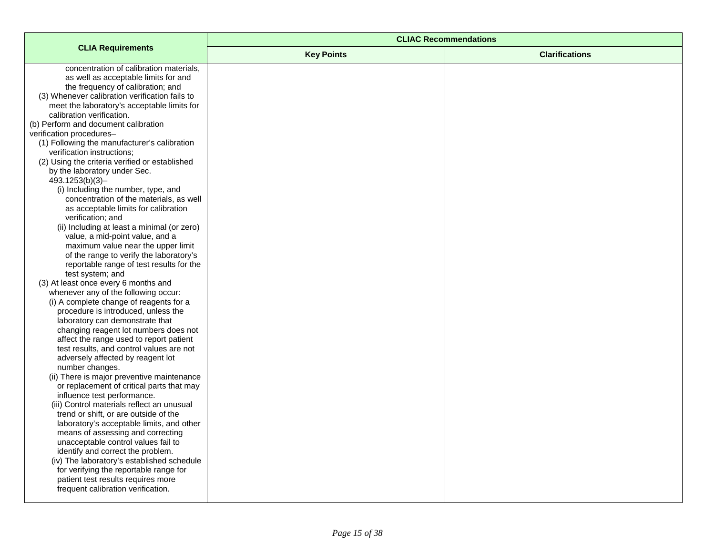|                                                                           | <b>CLIAC Recommendations</b> |                       |
|---------------------------------------------------------------------------|------------------------------|-----------------------|
| <b>CLIA Requirements</b>                                                  | <b>Key Points</b>            | <b>Clarifications</b> |
| concentration of calibration materials,                                   |                              |                       |
| as well as acceptable limits for and                                      |                              |                       |
| the frequency of calibration; and                                         |                              |                       |
| (3) Whenever calibration verification fails to                            |                              |                       |
| meet the laboratory's acceptable limits for                               |                              |                       |
| calibration verification.<br>(b) Perform and document calibration         |                              |                       |
| verification procedures-                                                  |                              |                       |
| (1) Following the manufacturer's calibration                              |                              |                       |
| verification instructions;                                                |                              |                       |
| (2) Using the criteria verified or established                            |                              |                       |
| by the laboratory under Sec.                                              |                              |                       |
| 493.1253(b)(3)-                                                           |                              |                       |
| (i) Including the number, type, and                                       |                              |                       |
| concentration of the materials, as well                                   |                              |                       |
| as acceptable limits for calibration                                      |                              |                       |
| verification; and                                                         |                              |                       |
| (ii) Including at least a minimal (or zero)                               |                              |                       |
| value, a mid-point value, and a                                           |                              |                       |
| maximum value near the upper limit                                        |                              |                       |
| of the range to verify the laboratory's                                   |                              |                       |
| reportable range of test results for the<br>test system; and              |                              |                       |
| (3) At least once every 6 months and                                      |                              |                       |
| whenever any of the following occur:                                      |                              |                       |
| (i) A complete change of reagents for a                                   |                              |                       |
| procedure is introduced, unless the                                       |                              |                       |
| laboratory can demonstrate that                                           |                              |                       |
| changing reagent lot numbers does not                                     |                              |                       |
| affect the range used to report patient                                   |                              |                       |
| test results, and control values are not                                  |                              |                       |
| adversely affected by reagent lot                                         |                              |                       |
| number changes.                                                           |                              |                       |
| (ii) There is major preventive maintenance                                |                              |                       |
| or replacement of critical parts that may                                 |                              |                       |
| influence test performance.<br>(iii) Control materials reflect an unusual |                              |                       |
| trend or shift, or are outside of the                                     |                              |                       |
| laboratory's acceptable limits, and other                                 |                              |                       |
| means of assessing and correcting                                         |                              |                       |
| unacceptable control values fail to                                       |                              |                       |
| identify and correct the problem.                                         |                              |                       |
| (iv) The laboratory's established schedule                                |                              |                       |
| for verifying the reportable range for                                    |                              |                       |
| patient test results requires more                                        |                              |                       |
| frequent calibration verification.                                        |                              |                       |
|                                                                           |                              |                       |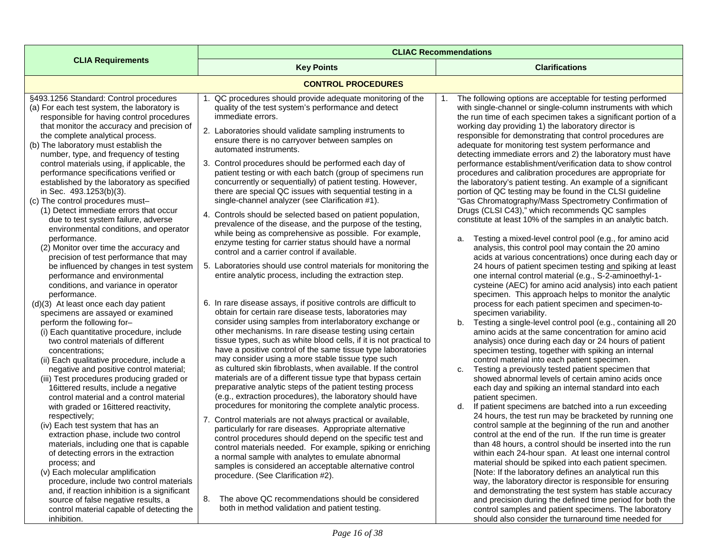<span id="page-15-0"></span>

|                                                                                                                                                                                                                                                                                                                                                                                                                                                                                                                                                                                                                                                                                                                                                                                                                                                                                                                                                                                                                                                                                                                                                                                                                                                                                                                                                                                                                                                                                                                                                                                                                                                                                                                                                                                                            | <b>CLIAC Recommendations</b>                                                                                                                                                                                                                                                                                                                                                                                                                                                                                                                                                                                                                                                                                                                                                                                                                                                                                                                                                                                                                                                                                                                                                                                                                                                                                                                                                                                                                                                                                                                                                                                                                                                                                                                                                                                                                                                                                                                                                                                                                                                                                                                                                                                                                                                                                       |                                                                                                                                                                                                                                                                                                                                                                                                                                                                                                                                                                                                                                                                                                                                                                                                                                                                                                                                                                                                                                                                                                                                                                                                                                                                                                                                                                                                                                                                                                                                                                                                                                                                                                                                                                                                                                                                                                                                                                                                                                                                                                                                                                                                                                                                                                                                                                                                                                                                                                                                                                                                                                                                                    |
|------------------------------------------------------------------------------------------------------------------------------------------------------------------------------------------------------------------------------------------------------------------------------------------------------------------------------------------------------------------------------------------------------------------------------------------------------------------------------------------------------------------------------------------------------------------------------------------------------------------------------------------------------------------------------------------------------------------------------------------------------------------------------------------------------------------------------------------------------------------------------------------------------------------------------------------------------------------------------------------------------------------------------------------------------------------------------------------------------------------------------------------------------------------------------------------------------------------------------------------------------------------------------------------------------------------------------------------------------------------------------------------------------------------------------------------------------------------------------------------------------------------------------------------------------------------------------------------------------------------------------------------------------------------------------------------------------------------------------------------------------------------------------------------------------------|--------------------------------------------------------------------------------------------------------------------------------------------------------------------------------------------------------------------------------------------------------------------------------------------------------------------------------------------------------------------------------------------------------------------------------------------------------------------------------------------------------------------------------------------------------------------------------------------------------------------------------------------------------------------------------------------------------------------------------------------------------------------------------------------------------------------------------------------------------------------------------------------------------------------------------------------------------------------------------------------------------------------------------------------------------------------------------------------------------------------------------------------------------------------------------------------------------------------------------------------------------------------------------------------------------------------------------------------------------------------------------------------------------------------------------------------------------------------------------------------------------------------------------------------------------------------------------------------------------------------------------------------------------------------------------------------------------------------------------------------------------------------------------------------------------------------------------------------------------------------------------------------------------------------------------------------------------------------------------------------------------------------------------------------------------------------------------------------------------------------------------------------------------------------------------------------------------------------------------------------------------------------------------------------------------------------|------------------------------------------------------------------------------------------------------------------------------------------------------------------------------------------------------------------------------------------------------------------------------------------------------------------------------------------------------------------------------------------------------------------------------------------------------------------------------------------------------------------------------------------------------------------------------------------------------------------------------------------------------------------------------------------------------------------------------------------------------------------------------------------------------------------------------------------------------------------------------------------------------------------------------------------------------------------------------------------------------------------------------------------------------------------------------------------------------------------------------------------------------------------------------------------------------------------------------------------------------------------------------------------------------------------------------------------------------------------------------------------------------------------------------------------------------------------------------------------------------------------------------------------------------------------------------------------------------------------------------------------------------------------------------------------------------------------------------------------------------------------------------------------------------------------------------------------------------------------------------------------------------------------------------------------------------------------------------------------------------------------------------------------------------------------------------------------------------------------------------------------------------------------------------------------------------------------------------------------------------------------------------------------------------------------------------------------------------------------------------------------------------------------------------------------------------------------------------------------------------------------------------------------------------------------------------------------------------------------------------------------------------------------------------------|
| <b>CLIA Requirements</b>                                                                                                                                                                                                                                                                                                                                                                                                                                                                                                                                                                                                                                                                                                                                                                                                                                                                                                                                                                                                                                                                                                                                                                                                                                                                                                                                                                                                                                                                                                                                                                                                                                                                                                                                                                                   | <b>Key Points</b>                                                                                                                                                                                                                                                                                                                                                                                                                                                                                                                                                                                                                                                                                                                                                                                                                                                                                                                                                                                                                                                                                                                                                                                                                                                                                                                                                                                                                                                                                                                                                                                                                                                                                                                                                                                                                                                                                                                                                                                                                                                                                                                                                                                                                                                                                                  | <b>Clarifications</b>                                                                                                                                                                                                                                                                                                                                                                                                                                                                                                                                                                                                                                                                                                                                                                                                                                                                                                                                                                                                                                                                                                                                                                                                                                                                                                                                                                                                                                                                                                                                                                                                                                                                                                                                                                                                                                                                                                                                                                                                                                                                                                                                                                                                                                                                                                                                                                                                                                                                                                                                                                                                                                                              |
|                                                                                                                                                                                                                                                                                                                                                                                                                                                                                                                                                                                                                                                                                                                                                                                                                                                                                                                                                                                                                                                                                                                                                                                                                                                                                                                                                                                                                                                                                                                                                                                                                                                                                                                                                                                                            | <b>CONTROL PROCEDURES</b>                                                                                                                                                                                                                                                                                                                                                                                                                                                                                                                                                                                                                                                                                                                                                                                                                                                                                                                                                                                                                                                                                                                                                                                                                                                                                                                                                                                                                                                                                                                                                                                                                                                                                                                                                                                                                                                                                                                                                                                                                                                                                                                                                                                                                                                                                          |                                                                                                                                                                                                                                                                                                                                                                                                                                                                                                                                                                                                                                                                                                                                                                                                                                                                                                                                                                                                                                                                                                                                                                                                                                                                                                                                                                                                                                                                                                                                                                                                                                                                                                                                                                                                                                                                                                                                                                                                                                                                                                                                                                                                                                                                                                                                                                                                                                                                                                                                                                                                                                                                                    |
| §493.1256 Standard: Control procedures<br>(a) For each test system, the laboratory is<br>responsible for having control procedures<br>that monitor the accuracy and precision of<br>the complete analytical process.<br>(b) The laboratory must establish the<br>number, type, and frequency of testing<br>control materials using, if applicable, the<br>performance specifications verified or<br>established by the laboratory as specified<br>in Sec. 493.1253(b)(3).<br>(c) The control procedures must-<br>(1) Detect immediate errors that occur<br>due to test system failure, adverse<br>environmental conditions, and operator<br>performance.<br>(2) Monitor over time the accuracy and<br>precision of test performance that may<br>be influenced by changes in test system<br>performance and environmental<br>conditions, and variance in operator<br>performance.<br>(d)(3) At least once each day patient<br>specimens are assayed or examined<br>perform the following for-<br>(i) Each quantitative procedure, include<br>two control materials of different<br>concentrations;<br>(ii) Each qualitative procedure, include a<br>negative and positive control material;<br>(iii) Test procedures producing graded or<br>16ittered results, include a negative<br>control material and a control material<br>with graded or 16ittered reactivity,<br>respectively;<br>(iv) Each test system that has an<br>extraction phase, include two control<br>materials, including one that is capable<br>of detecting errors in the extraction<br>process; and<br>(v) Each molecular amplification<br>procedure, include two control materials<br>and, if reaction inhibition is a significant<br>source of false negative results, a<br>control material capable of detecting the<br>inhibition. | QC procedures should provide adequate monitoring of the<br>1.<br>quality of the test system's performance and detect<br>immediate errors.<br>2. Laboratories should validate sampling instruments to<br>ensure there is no carryover between samples on<br>automated instruments.<br>3. Control procedures should be performed each day of<br>patient testing or with each batch (group of specimens run<br>concurrently or sequentially) of patient testing. However,<br>there are special QC issues with sequential testing in a<br>single-channel analyzer (see Clarification #1).<br>4. Controls should be selected based on patient population,<br>prevalence of the disease, and the purpose of the testing,<br>while being as comprehensive as possible. For example,<br>enzyme testing for carrier status should have a normal<br>control and a carrier control if available.<br>5. Laboratories should use control materials for monitoring the<br>entire analytic process, including the extraction step.<br>6. In rare disease assays, if positive controls are difficult to<br>obtain for certain rare disease tests, laboratories may<br>consider using samples from interlaboratory exchange or<br>other mechanisms. In rare disease testing using certain<br>tissue types, such as white blood cells, if it is not practical to<br>have a positive control of the same tissue type laboratories<br>may consider using a more stable tissue type such<br>as cultured skin fibroblasts, when available. If the control<br>materials are of a different tissue type that bypass certain<br>preparative analytic steps of the patient testing process<br>(e.g., extraction procedures), the laboratory should have<br>procedures for monitoring the complete analytic process.<br>7. Control materials are not always practical or available,<br>particularly for rare diseases. Appropriate alternative<br>control procedures should depend on the specific test and<br>control materials needed. For example, spiking or enriching<br>a normal sample with analytes to emulate abnormal<br>samples is considered an acceptable alternative control<br>procedure. (See Clarification #2).<br>The above QC recommendations should be considered<br>8.<br>both in method validation and patient testing. | The following options are acceptable for testing performed<br>with single-channel or single-column instruments with which<br>the run time of each specimen takes a significant portion of a<br>working day providing 1) the laboratory director is<br>responsible for demonstrating that control procedures are<br>adequate for monitoring test system performance and<br>detecting immediate errors and 2) the laboratory must have<br>performance establishment/verification data to show control<br>procedures and calibration procedures are appropriate for<br>the laboratory's patient testing. An example of a significant<br>portion of QC testing may be found in the CLSI guideline<br>"Gas Chromatography/Mass Spectrometry Confirmation of<br>Drugs (CLSI C43)," which recommends QC samples<br>constitute at least 10% of the samples in an analytic batch.<br>Testing a mixed-level control pool (e.g., for amino acid<br>a.<br>analysis, this control pool may contain the 20 amino<br>acids at various concentrations) once during each day or<br>24 hours of patient specimen testing and spiking at least<br>one internal control material (e.g., S-2-aminoethyl-1-<br>cysteine (AEC) for amino acid analysis) into each patient<br>specimen. This approach helps to monitor the analytic<br>process for each patient specimen and specimen-to-<br>specimen variability.<br>Testing a single-level control pool (e.g., containing all 20<br>b.<br>amino acids at the same concentration for amino acid<br>analysis) once during each day or 24 hours of patient<br>specimen testing, together with spiking an internal<br>control material into each patient specimen.<br>Testing a previously tested patient specimen that<br>C.<br>showed abnormal levels of certain amino acids once<br>each day and spiking an internal standard into each<br>patient specimen.<br>If patient specimens are batched into a run exceeding<br>d.<br>24 hours, the test run may be bracketed by running one<br>control sample at the beginning of the run and another<br>control at the end of the run. If the run time is greater<br>than 48 hours, a control should be inserted into the run<br>within each 24-hour span. At least one internal control<br>material should be spiked into each patient specimen.<br>[Note: If the laboratory defines an analytical run this<br>way, the laboratory director is responsible for ensuring<br>and demonstrating the test system has stable accuracy<br>and precision during the defined time period for both the<br>control samples and patient specimens. The laboratory<br>should also consider the turnaround time needed for |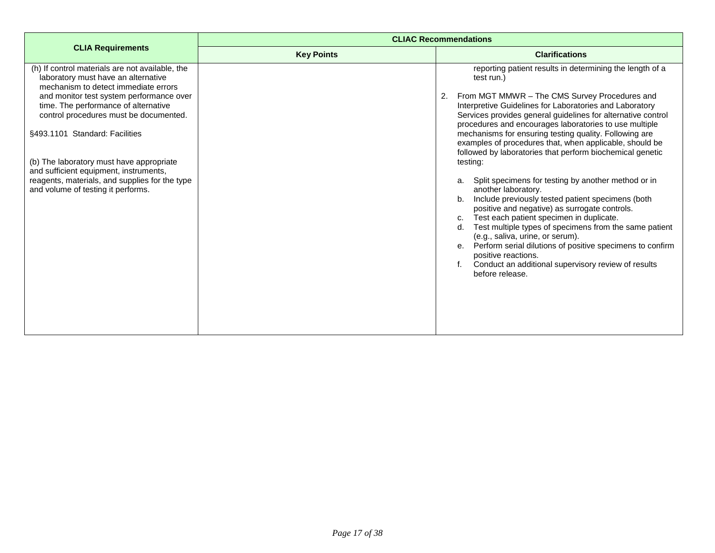|                                                                                                                                | <b>CLIAC Recommendations</b> |                                                                                                                                                                                                                                                                                                                                                                                                                                                                                                                                 |
|--------------------------------------------------------------------------------------------------------------------------------|------------------------------|---------------------------------------------------------------------------------------------------------------------------------------------------------------------------------------------------------------------------------------------------------------------------------------------------------------------------------------------------------------------------------------------------------------------------------------------------------------------------------------------------------------------------------|
| <b>CLIA Requirements</b>                                                                                                       | <b>Key Points</b>            | <b>Clarifications</b>                                                                                                                                                                                                                                                                                                                                                                                                                                                                                                           |
| (h) If control materials are not available, the<br>laboratory must have an alternative<br>mechanism to detect immediate errors |                              | reporting patient results in determining the length of a<br>test run.)                                                                                                                                                                                                                                                                                                                                                                                                                                                          |
| and monitor test system performance over<br>time. The performance of alternative<br>control procedures must be documented.     |                              | From MGT MMWR - The CMS Survey Procedures and<br>2.<br>Interpretive Guidelines for Laboratories and Laboratory<br>Services provides general guidelines for alternative control                                                                                                                                                                                                                                                                                                                                                  |
| §493.1101 Standard: Facilities                                                                                                 |                              | procedures and encourages laboratories to use multiple<br>mechanisms for ensuring testing quality. Following are<br>examples of procedures that, when applicable, should be<br>followed by laboratories that perform biochemical genetic                                                                                                                                                                                                                                                                                        |
| (b) The laboratory must have appropriate<br>and sufficient equipment, instruments,                                             |                              | testing:                                                                                                                                                                                                                                                                                                                                                                                                                                                                                                                        |
| reagents, materials, and supplies for the type<br>and volume of testing it performs.                                           |                              | Split specimens for testing by another method or in<br>a.<br>another laboratory.<br>Include previously tested patient specimens (both<br>b <sub>1</sub><br>positive and negative) as surrogate controls.<br>Test each patient specimen in duplicate.<br>C.<br>Test multiple types of specimens from the same patient<br>d.<br>(e.g., saliva, urine, or serum).<br>e. Perform serial dilutions of positive specimens to confirm<br>positive reactions.<br>Conduct an additional supervisory review of results<br>before release. |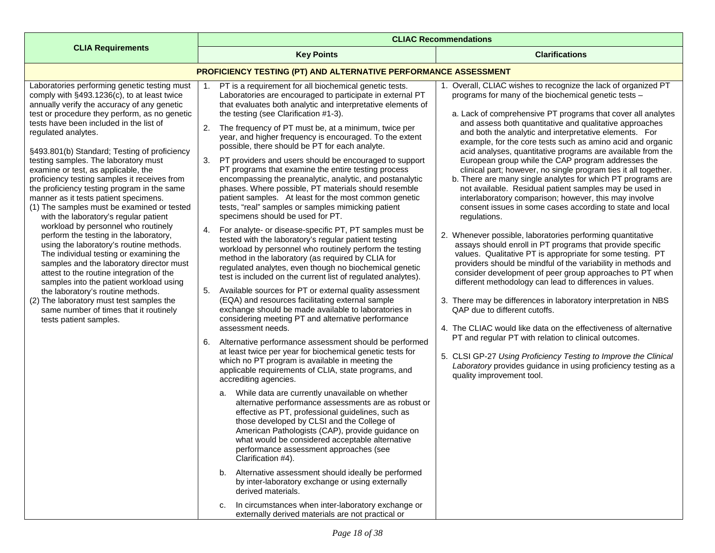<span id="page-17-0"></span>

|                                                                                                                                                                                                                                                                                                                                                                                                                          | <b>CLIAC Recommendations</b>                                                                                                                                                                                                                                                                                                                                                                                                                                                                                                                                                                                                                                                                                                                                                                                        |                                                                                                                                                                                                                                                                                                                                                                                                                                                                                                                                                                             |  |
|--------------------------------------------------------------------------------------------------------------------------------------------------------------------------------------------------------------------------------------------------------------------------------------------------------------------------------------------------------------------------------------------------------------------------|---------------------------------------------------------------------------------------------------------------------------------------------------------------------------------------------------------------------------------------------------------------------------------------------------------------------------------------------------------------------------------------------------------------------------------------------------------------------------------------------------------------------------------------------------------------------------------------------------------------------------------------------------------------------------------------------------------------------------------------------------------------------------------------------------------------------|-----------------------------------------------------------------------------------------------------------------------------------------------------------------------------------------------------------------------------------------------------------------------------------------------------------------------------------------------------------------------------------------------------------------------------------------------------------------------------------------------------------------------------------------------------------------------------|--|
| <b>CLIA Requirements</b>                                                                                                                                                                                                                                                                                                                                                                                                 | <b>Key Points</b>                                                                                                                                                                                                                                                                                                                                                                                                                                                                                                                                                                                                                                                                                                                                                                                                   | <b>Clarifications</b>                                                                                                                                                                                                                                                                                                                                                                                                                                                                                                                                                       |  |
|                                                                                                                                                                                                                                                                                                                                                                                                                          | PROFICIENCY TESTING (PT) AND ALTERNATIVE PERFORMANCE ASSESSMENT                                                                                                                                                                                                                                                                                                                                                                                                                                                                                                                                                                                                                                                                                                                                                     |                                                                                                                                                                                                                                                                                                                                                                                                                                                                                                                                                                             |  |
| Laboratories performing genetic testing must<br>comply with §493.1236(c), to at least twice<br>annually verify the accuracy of any genetic<br>test or procedure they perform, as no genetic<br>tests have been included in the list of                                                                                                                                                                                   | PT is a requirement for all biochemical genetic tests.<br>Laboratories are encouraged to participate in external PT<br>that evaluates both analytic and interpretative elements of<br>the testing (see Clarification #1-3).<br>2.<br>The frequency of PT must be, at a minimum, twice per                                                                                                                                                                                                                                                                                                                                                                                                                                                                                                                           | 1. Overall, CLIAC wishes to recognize the lack of organized PT<br>programs for many of the biochemical genetic tests -<br>a. Lack of comprehensive PT programs that cover all analytes<br>and assess both quantitative and qualitative approaches                                                                                                                                                                                                                                                                                                                           |  |
| regulated analytes.<br>§493.801(b) Standard; Testing of proficiency<br>testing samples. The laboratory must<br>examine or test, as applicable, the<br>proficiency testing samples it receives from<br>the proficiency testing program in the same<br>manner as it tests patient specimens.<br>(1) The samples must be examined or tested<br>with the laboratory's regular patient<br>workload by personnel who routinely | year, and higher frequency is encouraged. To the extent<br>possible, there should be PT for each analyte.<br>3.<br>PT providers and users should be encouraged to support<br>PT programs that examine the entire testing process<br>encompassing the preanalytic, analytic, and postanalytic<br>phases. Where possible, PT materials should resemble<br>patient samples. At least for the most common genetic<br>tests, "real" samples or samples mimicking patient<br>specimens should be used for PT.                                                                                                                                                                                                                                                                                                             | and both the analytic and interpretative elements. For<br>example, for the core tests such as amino acid and organic<br>acid analyses, quantitative programs are available from the<br>European group while the CAP program addresses the<br>clinical part; however, no single program ties it all together.<br>b. There are many single analytes for which PT programs are<br>not available. Residual patient samples may be used in<br>interlaboratory comparison; however, this may involve<br>consent issues in some cases according to state and local<br>regulations. |  |
| perform the testing in the laboratory,<br>using the laboratory's routine methods.<br>The individual testing or examining the<br>samples and the laboratory director must<br>attest to the routine integration of the<br>samples into the patient workload using<br>the laboratory's routine methods.<br>(2) The laboratory must test samples the<br>same number of times that it routinely<br>tests patient samples.     | For analyte- or disease-specific PT, PT samples must be<br>4.<br>tested with the laboratory's regular patient testing<br>workload by personnel who routinely perform the testing<br>method in the laboratory (as required by CLIA for<br>regulated analytes, even though no biochemical genetic<br>test is included on the current list of regulated analytes).<br>Available sources for PT or external quality assessment<br>5.<br>(EQA) and resources facilitating external sample<br>exchange should be made available to laboratories in<br>considering meeting PT and alternative performance                                                                                                                                                                                                                  | 2. Whenever possible, laboratories performing quantitative<br>assays should enroll in PT programs that provide specific<br>values. Qualitative PT is appropriate for some testing. PT<br>providers should be mindful of the variability in methods and<br>consider development of peer group approaches to PT when<br>different methodology can lead to differences in values.<br>3. There may be differences in laboratory interpretation in NBS<br>QAP due to different cutoffs.                                                                                          |  |
|                                                                                                                                                                                                                                                                                                                                                                                                                          | assessment needs.<br>6.<br>Alternative performance assessment should be performed<br>at least twice per year for biochemical genetic tests for<br>which no PT program is available in meeting the<br>applicable requirements of CLIA, state programs, and<br>accrediting agencies.<br>While data are currently unavailable on whether<br>a.<br>alternative performance assessments are as robust or<br>effective as PT, professional guidelines, such as<br>those developed by CLSI and the College of<br>American Pathologists (CAP), provide guidance on<br>what would be considered acceptable alternative<br>performance assessment approaches (see<br>Clarification #4).<br>Alternative assessment should ideally be performed<br>b.<br>by inter-laboratory exchange or using externally<br>derived materials. | 4. The CLIAC would like data on the effectiveness of alternative<br>PT and regular PT with relation to clinical outcomes.<br>5. CLSI GP-27 Using Proficiency Testing to Improve the Clinical<br>Laboratory provides guidance in using proficiency testing as a<br>quality improvement tool.                                                                                                                                                                                                                                                                                 |  |
|                                                                                                                                                                                                                                                                                                                                                                                                                          | In circumstances when inter-laboratory exchange or<br>с.<br>externally derived materials are not practical or                                                                                                                                                                                                                                                                                                                                                                                                                                                                                                                                                                                                                                                                                                       |                                                                                                                                                                                                                                                                                                                                                                                                                                                                                                                                                                             |  |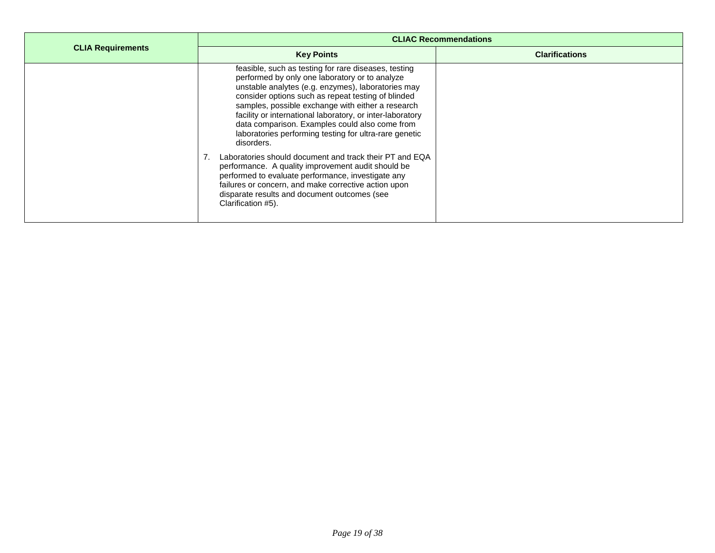|                          | <b>CLIAC Recommendations</b>                                                                                                                                                                                                                                                                                                                                                                                                                                   |                       |
|--------------------------|----------------------------------------------------------------------------------------------------------------------------------------------------------------------------------------------------------------------------------------------------------------------------------------------------------------------------------------------------------------------------------------------------------------------------------------------------------------|-----------------------|
| <b>CLIA Requirements</b> | <b>Key Points</b>                                                                                                                                                                                                                                                                                                                                                                                                                                              | <b>Clarifications</b> |
|                          | feasible, such as testing for rare diseases, testing<br>performed by only one laboratory or to analyze<br>unstable analytes (e.g. enzymes), laboratories may<br>consider options such as repeat testing of blinded<br>samples, possible exchange with either a research<br>facility or international laboratory, or inter-laboratory<br>data comparison. Examples could also come from<br>laboratories performing testing for ultra-rare genetic<br>disorders. |                       |
|                          | Laboratories should document and track their PT and EQA<br>performance. A quality improvement audit should be<br>performed to evaluate performance, investigate any<br>failures or concern, and make corrective action upon<br>disparate results and document outcomes (see<br>Clarification #5).                                                                                                                                                              |                       |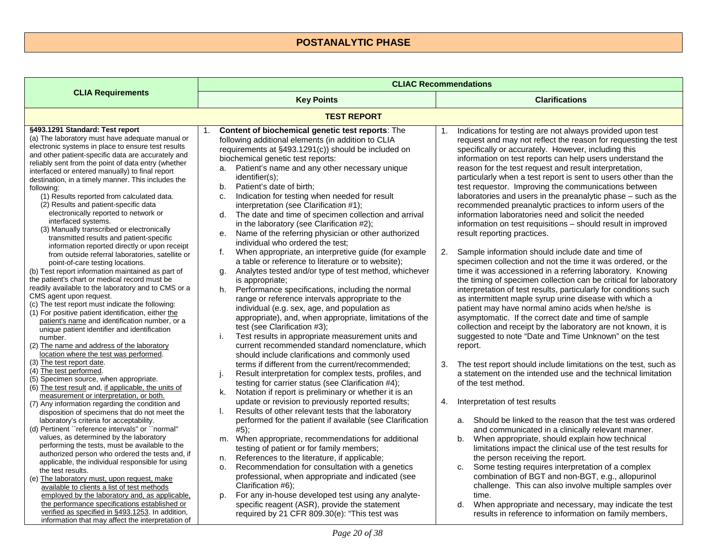## **POSTANALYTIC PHASE**

<span id="page-19-1"></span><span id="page-19-0"></span>

|                                                                                                                                                                                                                                                                                                                                                                                                                                                                                                                                                                                                                                                                                                                                                                                                                                                                                                                                                                                                                                                                                                                                                                                                                                                                                                                                                                                                                                                                                                                                                                                                                                                                                                                                                                                                                                                                                                                                                                                                                                                                 | <b>CLIAC Recommendations</b>                                                                                                                                                                                                                                                                                                                                                                                                                                                                                                                                                                                                                                                                                                                                                                                                                                                                                                                                                                                                                                                                                                                                                                                                                                                                                                                                                                                                                                                                                                                                                                                                                                                                                                                                                                                                                                                                                                                                                                                                                                   |                                                                                                                                                                                                                                                                                                                                                                                                                                                                                                                                                                                                                                                                                                                                                                                                                                                                                                                                                                                                                                                                                                                                                                                                                                                                                                                                                                                                                                                                                                                                                                                                                                                                                                                                                                                                                                                                                                                                                                                                                                               |
|-----------------------------------------------------------------------------------------------------------------------------------------------------------------------------------------------------------------------------------------------------------------------------------------------------------------------------------------------------------------------------------------------------------------------------------------------------------------------------------------------------------------------------------------------------------------------------------------------------------------------------------------------------------------------------------------------------------------------------------------------------------------------------------------------------------------------------------------------------------------------------------------------------------------------------------------------------------------------------------------------------------------------------------------------------------------------------------------------------------------------------------------------------------------------------------------------------------------------------------------------------------------------------------------------------------------------------------------------------------------------------------------------------------------------------------------------------------------------------------------------------------------------------------------------------------------------------------------------------------------------------------------------------------------------------------------------------------------------------------------------------------------------------------------------------------------------------------------------------------------------------------------------------------------------------------------------------------------------------------------------------------------------------------------------------------------|----------------------------------------------------------------------------------------------------------------------------------------------------------------------------------------------------------------------------------------------------------------------------------------------------------------------------------------------------------------------------------------------------------------------------------------------------------------------------------------------------------------------------------------------------------------------------------------------------------------------------------------------------------------------------------------------------------------------------------------------------------------------------------------------------------------------------------------------------------------------------------------------------------------------------------------------------------------------------------------------------------------------------------------------------------------------------------------------------------------------------------------------------------------------------------------------------------------------------------------------------------------------------------------------------------------------------------------------------------------------------------------------------------------------------------------------------------------------------------------------------------------------------------------------------------------------------------------------------------------------------------------------------------------------------------------------------------------------------------------------------------------------------------------------------------------------------------------------------------------------------------------------------------------------------------------------------------------------------------------------------------------------------------------------------------------|-----------------------------------------------------------------------------------------------------------------------------------------------------------------------------------------------------------------------------------------------------------------------------------------------------------------------------------------------------------------------------------------------------------------------------------------------------------------------------------------------------------------------------------------------------------------------------------------------------------------------------------------------------------------------------------------------------------------------------------------------------------------------------------------------------------------------------------------------------------------------------------------------------------------------------------------------------------------------------------------------------------------------------------------------------------------------------------------------------------------------------------------------------------------------------------------------------------------------------------------------------------------------------------------------------------------------------------------------------------------------------------------------------------------------------------------------------------------------------------------------------------------------------------------------------------------------------------------------------------------------------------------------------------------------------------------------------------------------------------------------------------------------------------------------------------------------------------------------------------------------------------------------------------------------------------------------------------------------------------------------------------------------------------------------|
| <b>CLIA Requirements</b>                                                                                                                                                                                                                                                                                                                                                                                                                                                                                                                                                                                                                                                                                                                                                                                                                                                                                                                                                                                                                                                                                                                                                                                                                                                                                                                                                                                                                                                                                                                                                                                                                                                                                                                                                                                                                                                                                                                                                                                                                                        | <b>Key Points</b>                                                                                                                                                                                                                                                                                                                                                                                                                                                                                                                                                                                                                                                                                                                                                                                                                                                                                                                                                                                                                                                                                                                                                                                                                                                                                                                                                                                                                                                                                                                                                                                                                                                                                                                                                                                                                                                                                                                                                                                                                                              | <b>Clarifications</b>                                                                                                                                                                                                                                                                                                                                                                                                                                                                                                                                                                                                                                                                                                                                                                                                                                                                                                                                                                                                                                                                                                                                                                                                                                                                                                                                                                                                                                                                                                                                                                                                                                                                                                                                                                                                                                                                                                                                                                                                                         |
|                                                                                                                                                                                                                                                                                                                                                                                                                                                                                                                                                                                                                                                                                                                                                                                                                                                                                                                                                                                                                                                                                                                                                                                                                                                                                                                                                                                                                                                                                                                                                                                                                                                                                                                                                                                                                                                                                                                                                                                                                                                                 | <b>TEST REPORT</b>                                                                                                                                                                                                                                                                                                                                                                                                                                                                                                                                                                                                                                                                                                                                                                                                                                                                                                                                                                                                                                                                                                                                                                                                                                                                                                                                                                                                                                                                                                                                                                                                                                                                                                                                                                                                                                                                                                                                                                                                                                             |                                                                                                                                                                                                                                                                                                                                                                                                                                                                                                                                                                                                                                                                                                                                                                                                                                                                                                                                                                                                                                                                                                                                                                                                                                                                                                                                                                                                                                                                                                                                                                                                                                                                                                                                                                                                                                                                                                                                                                                                                                               |
| §493.1291 Standard: Test report<br>(a) The laboratory must have adequate manual or<br>electronic systems in place to ensure test results<br>and other patient-specific data are accurately and<br>reliably sent from the point of data entry (whether<br>interfaced or entered manually) to final report<br>destination, in a timely manner. This includes the<br>following:<br>(1) Results reported from calculated data.<br>(2) Results and patient-specific data<br>electronically reported to network or<br>interfaced systems.<br>(3) Manually transcribed or electronically<br>transmitted results and patient-specific<br>information reported directly or upon receipt<br>from outside referral laboratories, satellite or<br>point-of-care testing locations.<br>(b) Test report information maintained as part of<br>the patient's chart or medical record must be<br>readily available to the laboratory and to CMS or a<br>CMS agent upon request.<br>(c) The test report must indicate the following:<br>(1) For positive patient identification, either the<br>patient's name and identification number, or a<br>unique patient identifier and identification<br>number.<br>(2) The name and address of the laboratory<br>location where the test was performed.<br>(3) The test report date.<br>(4) The test performed.<br>(5) Specimen source, when appropriate.<br>(6) The test result and, if applicable, the units of<br>measurement or interpretation, or both.<br>(7) Any information regarding the condition and<br>disposition of specimens that do not meet the<br>laboratory's criteria for acceptability.<br>(d) Pertinent "reference intervals" or "normal"<br>values, as determined by the laboratory<br>performing the tests, must be available to the<br>authorized person who ordered the tests and, if<br>applicable, the individual responsible for using<br>the test results.<br>(e) The laboratory must, upon request, make<br>available to clients a list of test methods<br>employed by the laboratory and, as applicable, | Content of biochemical genetic test reports: The<br>1.<br>following additional elements (in addition to CLIA<br>requirements at §493.1291(c)) should be included on<br>biochemical genetic test reports:<br>a. Patient's name and any other necessary unique<br>identifier(s);<br>b.<br>Patient's date of birth;<br>Indication for testing when needed for result<br>C.<br>interpretation (see Clarification #1);<br>The date and time of specimen collection and arrival<br>d.<br>in the laboratory (see Clarification #2);<br>Name of the referring physician or other authorized<br>е.<br>individual who ordered the test;<br>When appropriate, an interpretive guide (for example<br>f.<br>a table or reference to literature or to website);<br>Analytes tested and/or type of test method, whichever<br>q.<br>is appropriate;<br>Performance specifications, including the normal<br>h.<br>range or reference intervals appropriate to the<br>individual (e.g. sex, age, and population as<br>appropriate), and, when appropriate, limitations of the<br>test (see Clarification #3);<br>j.<br>Test results in appropriate measurement units and<br>current recommended standard nomenclature, which<br>should include clarifications and commonly used<br>terms if different from the current/recommended;<br>Result interpretation for complex tests, profiles, and<br>$\mathbf{I}$<br>testing for carrier status (see Clarification #4);<br>k.<br>Notation if report is preliminary or whether it is an<br>update or revision to previously reported results;<br>Results of other relevant tests that the laboratory<br>performed for the patient if available (see Clarification<br>$#5$ :<br>m. When appropriate, recommendations for additional<br>testing of patient or for family members;<br>References to the literature, if applicable;<br>n.<br>Recommendation for consultation with a genetics<br>о.<br>professional, when appropriate and indicated (see<br>Clarification #6);<br>For any in-house developed test using any analyte-<br>D. | Indications for testing are not always provided upon test<br>request and may not reflect the reason for requesting the test<br>specifically or accurately. However, including this<br>information on test reports can help users understand the<br>reason for the test request and result interpretation,<br>particularly when a test report is sent to users other than the<br>test requestor. Improving the communications between<br>laboratories and users in the preanalytic phase - such as the<br>recommended preanalytic practices to inform users of the<br>information laboratories need and solicit the needed<br>information on test requisitions - should result in improved<br>result reporting practices.<br>Sample information should include date and time of<br>2.<br>specimen collection and not the time it was ordered, or the<br>time it was accessioned in a referring laboratory. Knowing<br>the timing of specimen collection can be critical for laboratory<br>interpretation of test results, particularly for conditions such<br>as intermittent maple syrup urine disease with which a<br>patient may have normal amino acids when he/she is<br>asymptomatic. If the correct date and time of sample<br>collection and receipt by the laboratory are not known, it is<br>suggested to note "Date and Time Unknown" on the test<br>report.<br>The test report should include limitations on the test, such as<br>3.<br>a statement on the intended use and the technical limitation<br>of the test method.<br>Interpretation of test results<br>4.<br>a. Should be linked to the reason that the test was ordered<br>and communicated in a clinically relevant manner.<br>b. When appropriate, should explain how technical<br>limitations impact the clinical use of the test results for<br>the person receiving the report.<br>Some testing requires interpretation of a complex<br>C.<br>combination of BGT and non-BGT, e.g., allopurinol<br>challenge. This can also involve multiple samples over<br>time. |
| the performance specifications established or<br>verified as specified in §493.1253. In addition,<br>information that may affect the interpretation of                                                                                                                                                                                                                                                                                                                                                                                                                                                                                                                                                                                                                                                                                                                                                                                                                                                                                                                                                                                                                                                                                                                                                                                                                                                                                                                                                                                                                                                                                                                                                                                                                                                                                                                                                                                                                                                                                                          | specific reagent (ASR), provide the statement<br>required by 21 CFR 809.30(e): "This test was                                                                                                                                                                                                                                                                                                                                                                                                                                                                                                                                                                                                                                                                                                                                                                                                                                                                                                                                                                                                                                                                                                                                                                                                                                                                                                                                                                                                                                                                                                                                                                                                                                                                                                                                                                                                                                                                                                                                                                  | d.<br>When appropriate and necessary, may indicate the test<br>results in reference to information on family members,                                                                                                                                                                                                                                                                                                                                                                                                                                                                                                                                                                                                                                                                                                                                                                                                                                                                                                                                                                                                                                                                                                                                                                                                                                                                                                                                                                                                                                                                                                                                                                                                                                                                                                                                                                                                                                                                                                                         |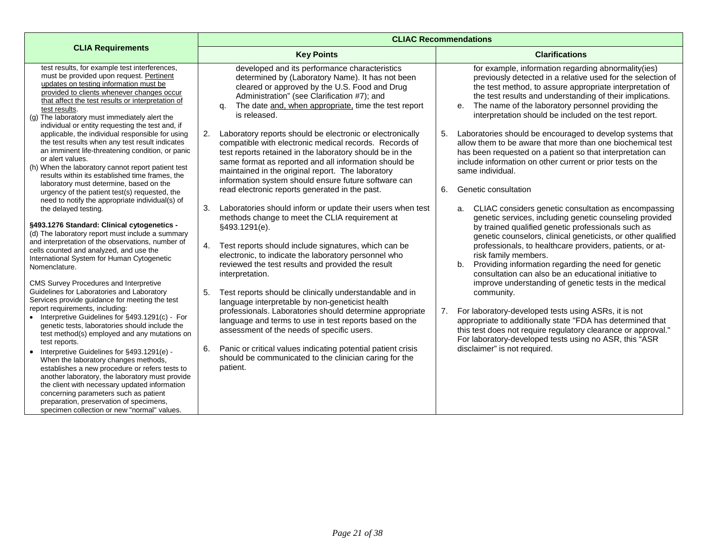|                                                                                                                                                                                                                                                                                                                                                                                          |                                                                                                                                                                                                                                                                                                                                                                                                               | <b>CLIAC Recommendations</b>                                                                                                                                                                                                                                                                                                                                  |
|------------------------------------------------------------------------------------------------------------------------------------------------------------------------------------------------------------------------------------------------------------------------------------------------------------------------------------------------------------------------------------------|---------------------------------------------------------------------------------------------------------------------------------------------------------------------------------------------------------------------------------------------------------------------------------------------------------------------------------------------------------------------------------------------------------------|---------------------------------------------------------------------------------------------------------------------------------------------------------------------------------------------------------------------------------------------------------------------------------------------------------------------------------------------------------------|
| <b>CLIA Requirements</b>                                                                                                                                                                                                                                                                                                                                                                 | <b>Key Points</b>                                                                                                                                                                                                                                                                                                                                                                                             | <b>Clarifications</b>                                                                                                                                                                                                                                                                                                                                         |
| test results, for example test interferences,<br>must be provided upon request. Pertinent<br>updates on testing information must be<br>provided to clients whenever changes occur<br>that affect the test results or interpretation of<br>test results.<br>(g) The laboratory must immediately alert the<br>individual or entity requesting the test and, if                             | developed and its performance characteristics<br>determined by (Laboratory Name). It has not been<br>cleared or approved by the U.S. Food and Drug<br>Administration" (see Clarification #7); and<br>The date and, when appropriate, time the test report<br>α.<br>is released.                                                                                                                               | for example, information regarding abnormality(ies)<br>previously detected in a relative used for the selection of<br>the test method, to assure appropriate interpretation of<br>the test results and understanding of their implications.<br>e. The name of the laboratory personnel providing the<br>interpretation should be included on the test report. |
| applicable, the individual responsible for using<br>the test results when any test result indicates<br>an imminent life-threatening condition, or panic<br>or alert values.<br>(h) When the laboratory cannot report patient test<br>results within its established time frames, the<br>laboratory must determine, based on the<br>urgency of the patient test(s) requested, the         | 2.<br>Laboratory reports should be electronic or electronically<br>compatible with electronic medical records. Records of<br>test reports retained in the laboratory should be in the<br>same format as reported and all information should be<br>maintained in the original report. The laboratory<br>information system should ensure future software can<br>read electronic reports generated in the past. | 5. Laboratories should be encouraged to develop systems that<br>allow them to be aware that more than one biochemical test<br>has been requested on a patient so that interpretation can<br>include information on other current or prior tests on the<br>same individual.<br>6.<br>Genetic consultation                                                      |
| need to notify the appropriate individual(s) of<br>the delayed testing.<br>§493.1276 Standard: Clinical cytogenetics -                                                                                                                                                                                                                                                                   | Laboratories should inform or update their users when test<br>3.<br>methods change to meet the CLIA requirement at                                                                                                                                                                                                                                                                                            | CLIAC considers genetic consultation as encompassing<br>a.<br>genetic services, including genetic counseling provided<br>by trained qualified genetic professionals such as                                                                                                                                                                                   |
| (d) The laboratory report must include a summary<br>and interpretation of the observations, number of<br>cells counted and analyzed, and use the<br>International System for Human Cytogenetic<br>Nomenclature.                                                                                                                                                                          | §493.1291(e).<br>Test reports should include signatures, which can be<br>4.<br>electronic, to indicate the laboratory personnel who<br>reviewed the test results and provided the result<br>interpretation.                                                                                                                                                                                                   | genetic counselors, clinical geneticists, or other qualified<br>professionals, to healthcare providers, patients, or at-<br>risk family members.<br>b. Providing information regarding the need for genetic<br>consultation can also be an educational initiative to                                                                                          |
| CMS Survey Procedures and Interpretive<br>Guidelines for Laboratories and Laboratory<br>Services provide guidance for meeting the test<br>report requirements, including:<br>• Interpretive Guidelines for §493.1291(c) - For<br>genetic tests, laboratories should include the<br>test method(s) employed and any mutations on<br>test reports.                                         | 5.<br>Test reports should be clinically understandable and in<br>language interpretable by non-geneticist health<br>professionals. Laboratories should determine appropriate<br>language and terms to use in test reports based on the<br>assessment of the needs of specific users.                                                                                                                          | improve understanding of genetic tests in the medical<br>community.<br>For laboratory-developed tests using ASRs, it is not<br>7.<br>appropriate to additionally state "FDA has determined that<br>this test does not require regulatory clearance or approval."<br>For laboratory-developed tests using no ASR, this "ASR                                    |
| Interpretive Guidelines for §493.1291(e) -<br>$\bullet$<br>When the laboratory changes methods,<br>establishes a new procedure or refers tests to<br>another laboratory, the laboratory must provide<br>the client with necessary updated information<br>concerning parameters such as patient<br>preparation, preservation of specimens,<br>specimen collection or new "normal" values. | 6.<br>Panic or critical values indicating potential patient crisis<br>should be communicated to the clinician caring for the<br>patient.                                                                                                                                                                                                                                                                      | disclaimer" is not required.                                                                                                                                                                                                                                                                                                                                  |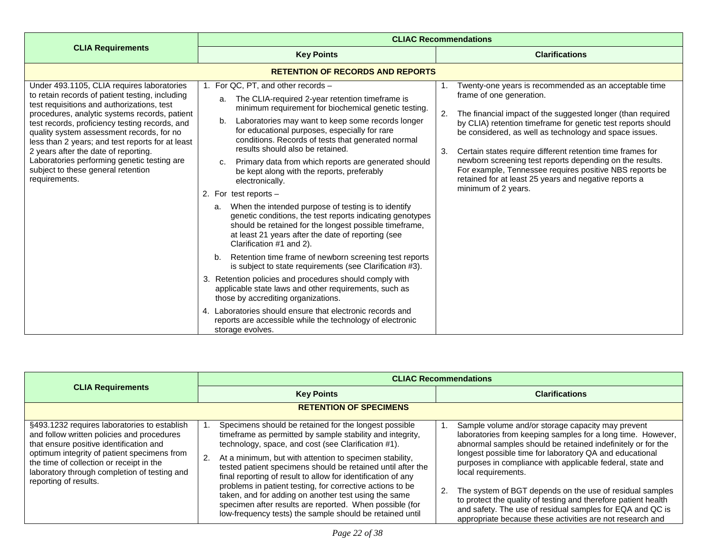<span id="page-21-0"></span>

|                                                                                                                                                                                                                                                                                                                                                                                                                                                                                               | <b>CLIAC Recommendations</b>                                                                                                                                                                                                                                                                                                                                                                                                                                                                                                                                                                                                                                                                                                                                                                                                                                                                                                                                                                                                                                                                                                                                                                                                                   |                                                                                                                                                                                                                                                                                                                                                                                                                                                                                                                                                             |
|-----------------------------------------------------------------------------------------------------------------------------------------------------------------------------------------------------------------------------------------------------------------------------------------------------------------------------------------------------------------------------------------------------------------------------------------------------------------------------------------------|------------------------------------------------------------------------------------------------------------------------------------------------------------------------------------------------------------------------------------------------------------------------------------------------------------------------------------------------------------------------------------------------------------------------------------------------------------------------------------------------------------------------------------------------------------------------------------------------------------------------------------------------------------------------------------------------------------------------------------------------------------------------------------------------------------------------------------------------------------------------------------------------------------------------------------------------------------------------------------------------------------------------------------------------------------------------------------------------------------------------------------------------------------------------------------------------------------------------------------------------|-------------------------------------------------------------------------------------------------------------------------------------------------------------------------------------------------------------------------------------------------------------------------------------------------------------------------------------------------------------------------------------------------------------------------------------------------------------------------------------------------------------------------------------------------------------|
| <b>CLIA Requirements</b>                                                                                                                                                                                                                                                                                                                                                                                                                                                                      | <b>Key Points</b>                                                                                                                                                                                                                                                                                                                                                                                                                                                                                                                                                                                                                                                                                                                                                                                                                                                                                                                                                                                                                                                                                                                                                                                                                              | <b>Clarifications</b>                                                                                                                                                                                                                                                                                                                                                                                                                                                                                                                                       |
|                                                                                                                                                                                                                                                                                                                                                                                                                                                                                               | <b>RETENTION OF RECORDS AND REPORTS</b>                                                                                                                                                                                                                                                                                                                                                                                                                                                                                                                                                                                                                                                                                                                                                                                                                                                                                                                                                                                                                                                                                                                                                                                                        |                                                                                                                                                                                                                                                                                                                                                                                                                                                                                                                                                             |
| Under 493.1105, CLIA requires laboratories<br>to retain records of patient testing, including<br>test requisitions and authorizations, test<br>procedures, analytic systems records, patient<br>test records, proficiency testing records, and<br>quality system assessment records, for no<br>less than 2 years; and test reports for at least<br>2 years after the date of reporting.<br>Laboratories performing genetic testing are<br>subject to these general retention<br>requirements. | 1. For QC, PT, and other records -<br>The CLIA-required 2-year retention timeframe is<br>a.<br>minimum requirement for biochemical genetic testing.<br>Laboratories may want to keep some records longer<br>b.<br>for educational purposes, especially for rare<br>conditions. Records of tests that generated normal<br>results should also be retained.<br>Primary data from which reports are generated should<br>C.<br>be kept along with the reports, preferably<br>electronically.<br>2. For test reports $-$<br>When the intended purpose of testing is to identify<br>a.<br>genetic conditions, the test reports indicating genotypes<br>should be retained for the longest possible timeframe,<br>at least 21 years after the date of reporting (see<br>Clarification #1 and 2).<br>Retention time frame of newborn screening test reports<br>b.<br>is subject to state requirements (see Clarification #3).<br>Retention policies and procedures should comply with<br>3.<br>applicable state laws and other requirements, such as<br>those by accrediting organizations.<br>Laboratories should ensure that electronic records and<br>$\mathbf{4}$<br>reports are accessible while the technology of electronic<br>storage evolves. | Twenty-one years is recommended as an acceptable time<br>frame of one generation.<br>2.<br>The financial impact of the suggested longer (than required<br>by CLIA) retention timeframe for genetic test reports should<br>be considered, as well as technology and space issues.<br>Certain states require different retention time frames for<br>3.<br>newborn screening test reports depending on the results.<br>For example, Tennessee requires positive NBS reports be<br>retained for at least 25 years and negative reports a<br>minimum of 2 years. |

<span id="page-21-1"></span>

|                                                                                                                                                                                                                                                                                                           | <b>CLIAC Recommendations</b>                                                                                                                                                                                                                                                                                                                                                                                                                                                                                                                                                                                          |                                                                                                                                                                                                                                                                                                                                                                                                                                                                                                                                                                                        |
|-----------------------------------------------------------------------------------------------------------------------------------------------------------------------------------------------------------------------------------------------------------------------------------------------------------|-----------------------------------------------------------------------------------------------------------------------------------------------------------------------------------------------------------------------------------------------------------------------------------------------------------------------------------------------------------------------------------------------------------------------------------------------------------------------------------------------------------------------------------------------------------------------------------------------------------------------|----------------------------------------------------------------------------------------------------------------------------------------------------------------------------------------------------------------------------------------------------------------------------------------------------------------------------------------------------------------------------------------------------------------------------------------------------------------------------------------------------------------------------------------------------------------------------------------|
| <b>CLIA Requirements</b>                                                                                                                                                                                                                                                                                  | <b>Key Points</b>                                                                                                                                                                                                                                                                                                                                                                                                                                                                                                                                                                                                     | <b>Clarifications</b>                                                                                                                                                                                                                                                                                                                                                                                                                                                                                                                                                                  |
|                                                                                                                                                                                                                                                                                                           | <b>RETENTION OF SPECIMENS</b>                                                                                                                                                                                                                                                                                                                                                                                                                                                                                                                                                                                         |                                                                                                                                                                                                                                                                                                                                                                                                                                                                                                                                                                                        |
| §493.1232 requires laboratories to establish<br>and follow written policies and procedures<br>that ensure positive identification and<br>optimum integrity of patient specimens from<br>the time of collection or receipt in the<br>laboratory through completion of testing and<br>reporting of results. | Specimens should be retained for the longest possible<br>timeframe as permitted by sample stability and integrity,<br>technology, space, and cost (see Clarification #1).<br>2.<br>At a minimum, but with attention to specimen stability,<br>tested patient specimens should be retained until after the<br>final reporting of result to allow for identification of any<br>problems in patient testing, for corrective actions to be<br>taken, and for adding on another test using the same<br>specimen after results are reported. When possible (for<br>low-frequency tests) the sample should be retained until | Sample volume and/or storage capacity may prevent<br>laboratories from keeping samples for a long time. However,<br>abnormal samples should be retained indefinitely or for the<br>longest possible time for laboratory QA and educational<br>purposes in compliance with applicable federal, state and<br>local requirements.<br>The system of BGT depends on the use of residual samples<br>to protect the quality of testing and therefore patient health<br>and safety. The use of residual samples for EQA and QC is<br>appropriate because these activities are not research and |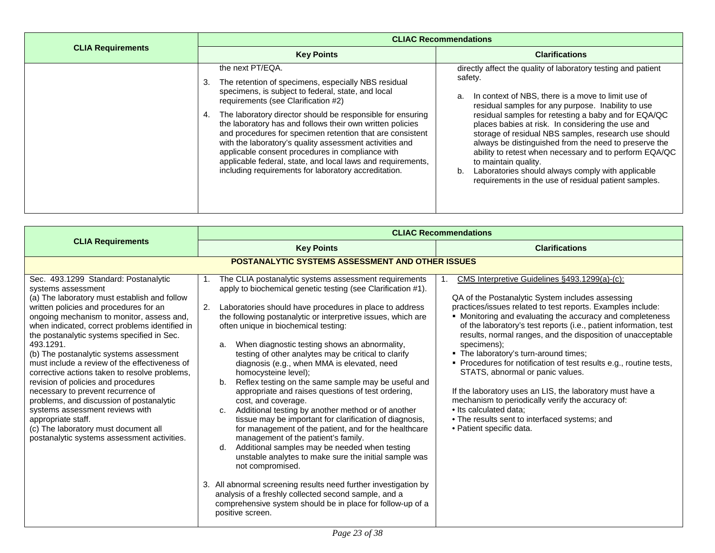|                          | <b>CLIAC Recommendations</b>                                                                                                                                                                                                                                                                                                                                                                                                                                                                                                                                                                             |                                                                                                                                                                                                                                                                                                                                                                                                                                                                                                                                                                                                                               |
|--------------------------|----------------------------------------------------------------------------------------------------------------------------------------------------------------------------------------------------------------------------------------------------------------------------------------------------------------------------------------------------------------------------------------------------------------------------------------------------------------------------------------------------------------------------------------------------------------------------------------------------------|-------------------------------------------------------------------------------------------------------------------------------------------------------------------------------------------------------------------------------------------------------------------------------------------------------------------------------------------------------------------------------------------------------------------------------------------------------------------------------------------------------------------------------------------------------------------------------------------------------------------------------|
| <b>CLIA Requirements</b> | <b>Key Points</b>                                                                                                                                                                                                                                                                                                                                                                                                                                                                                                                                                                                        | <b>Clarifications</b>                                                                                                                                                                                                                                                                                                                                                                                                                                                                                                                                                                                                         |
|                          | the next PT/EQA.<br>The retention of specimens, especially NBS residual<br>3.<br>specimens, is subject to federal, state, and local<br>requirements (see Clarification #2)<br>The laboratory director should be responsible for ensuring<br>the laboratory has and follows their own written policies<br>and procedures for specimen retention that are consistent<br>with the laboratory's quality assessment activities and<br>applicable consent procedures in compliance with<br>applicable federal, state, and local laws and requirements,<br>including requirements for laboratory accreditation. | directly affect the quality of laboratory testing and patient<br>safety.<br>In context of NBS, there is a move to limit use of<br>a.<br>residual samples for any purpose. Inability to use<br>residual samples for retesting a baby and for EQA/QC<br>places babies at risk. In considering the use and<br>storage of residual NBS samples, research use should<br>always be distinguished from the need to preserve the<br>ability to retest when necessary and to perform EQA/QC<br>to maintain quality.<br>Laboratories should always comply with applicable<br>b.<br>requirements in the use of residual patient samples. |

<span id="page-22-0"></span>

|                                                                                                                                                                                                                                                                                                                                                                                                                                                                                                                                                                                                                                                                                                                                      | <b>CLIAC Recommendations</b>                                                                                                                                                                                                                                                                                                                                                                                                                                                                                                                                                                                                                                                                                                                                                                                                                                                                                                                                                                                                                                                                                                                                                                           |                                                                                                                                                                                                                                                                                                                                                                                                                                                                                                                                                                                                                                                                                                                                                              |
|--------------------------------------------------------------------------------------------------------------------------------------------------------------------------------------------------------------------------------------------------------------------------------------------------------------------------------------------------------------------------------------------------------------------------------------------------------------------------------------------------------------------------------------------------------------------------------------------------------------------------------------------------------------------------------------------------------------------------------------|--------------------------------------------------------------------------------------------------------------------------------------------------------------------------------------------------------------------------------------------------------------------------------------------------------------------------------------------------------------------------------------------------------------------------------------------------------------------------------------------------------------------------------------------------------------------------------------------------------------------------------------------------------------------------------------------------------------------------------------------------------------------------------------------------------------------------------------------------------------------------------------------------------------------------------------------------------------------------------------------------------------------------------------------------------------------------------------------------------------------------------------------------------------------------------------------------------|--------------------------------------------------------------------------------------------------------------------------------------------------------------------------------------------------------------------------------------------------------------------------------------------------------------------------------------------------------------------------------------------------------------------------------------------------------------------------------------------------------------------------------------------------------------------------------------------------------------------------------------------------------------------------------------------------------------------------------------------------------------|
| <b>CLIA Requirements</b>                                                                                                                                                                                                                                                                                                                                                                                                                                                                                                                                                                                                                                                                                                             | <b>Key Points</b>                                                                                                                                                                                                                                                                                                                                                                                                                                                                                                                                                                                                                                                                                                                                                                                                                                                                                                                                                                                                                                                                                                                                                                                      | <b>Clarifications</b>                                                                                                                                                                                                                                                                                                                                                                                                                                                                                                                                                                                                                                                                                                                                        |
|                                                                                                                                                                                                                                                                                                                                                                                                                                                                                                                                                                                                                                                                                                                                      | <b>POSTANALYTIC SYSTEMS ASSESSMENT AND OTHER ISSUES</b>                                                                                                                                                                                                                                                                                                                                                                                                                                                                                                                                                                                                                                                                                                                                                                                                                                                                                                                                                                                                                                                                                                                                                |                                                                                                                                                                                                                                                                                                                                                                                                                                                                                                                                                                                                                                                                                                                                                              |
| Sec. 493.1299 Standard: Postanalytic<br>systems assessment<br>(a) The laboratory must establish and follow<br>written policies and procedures for an<br>ongoing mechanism to monitor, assess and,<br>when indicated, correct problems identified in<br>the postanalytic systems specified in Sec.<br>493.1291.<br>(b) The postanalytic systems assessment<br>must include a review of the effectiveness of<br>corrective actions taken to resolve problems,<br>revision of policies and procedures<br>necessary to prevent recurrence of<br>problems, and discussion of postanalytic<br>systems assessment reviews with<br>appropriate staff.<br>(c) The laboratory must document all<br>postanalytic systems assessment activities. | The CLIA postanalytic systems assessment requirements<br>apply to biochemical genetic testing (see Clarification #1).<br>2.<br>Laboratories should have procedures in place to address<br>the following postanalytic or interpretive issues, which are<br>often unique in biochemical testing:<br>When diagnostic testing shows an abnormality,<br>a.<br>testing of other analytes may be critical to clarify<br>diagnosis (e.g., when MMA is elevated, need<br>homocysteine level);<br>Reflex testing on the same sample may be useful and<br>b.<br>appropriate and raises questions of test ordering,<br>cost, and coverage.<br>Additional testing by another method or of another<br>C.<br>tissue may be important for clarification of diagnosis,<br>for management of the patient, and for the healthcare<br>management of the patient's family.<br>Additional samples may be needed when testing<br>d.<br>unstable analytes to make sure the initial sample was<br>not compromised.<br>3. All abnormal screening results need further investigation by<br>analysis of a freshly collected second sample, and a<br>comprehensive system should be in place for follow-up of a<br>positive screen. | CMS Interpretive Guidelines §493.1299(a)-(c):<br>QA of the Postanalytic System includes assessing<br>practices/issues related to test reports. Examples include:<br>• Monitoring and evaluating the accuracy and completeness<br>of the laboratory's test reports (i.e., patient information, test<br>results, normal ranges, and the disposition of unacceptable<br>specimens);<br>. The laboratory's turn-around times;<br>• Procedures for notification of test results e.g., routine tests,<br>STATS, abnormal or panic values.<br>If the laboratory uses an LIS, the laboratory must have a<br>mechanism to periodically verify the accuracy of:<br>• Its calculated data;<br>• The results sent to interfaced systems; and<br>· Patient specific data. |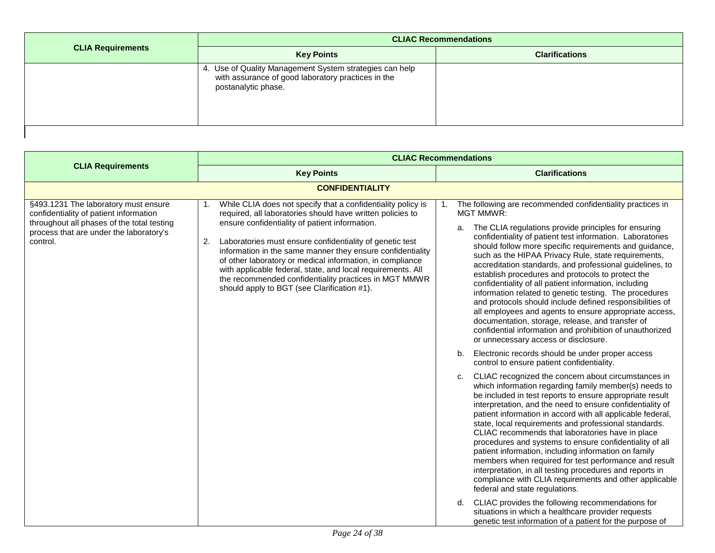| <b>CLIA Requirements</b> | <b>CLIAC Recommendations</b>                                                                                                         |                       |
|--------------------------|--------------------------------------------------------------------------------------------------------------------------------------|-----------------------|
|                          | <b>Key Points</b>                                                                                                                    | <b>Clarifications</b> |
|                          | 4. Use of Quality Management System strategies can help<br>with assurance of good laboratory practices in the<br>postanalytic phase. |                       |

<span id="page-23-0"></span>

|                                                                                                                                                                                     | <b>CLIAC Recommendations</b>                                                                                                                                                                                                                                                                                                                                                                                                                                                                                                                           |                                                                                                                                                                                                                                                                                                                                                                                                                                                                                                                                                                                                                                                                                                                                                                                                                                                                                                                                                                                                                                                                                                                                                                                                                                                                                                                                                                                                                                                                                                                                                                                                                                                                                                                                                                                                                                                                                                |
|-------------------------------------------------------------------------------------------------------------------------------------------------------------------------------------|--------------------------------------------------------------------------------------------------------------------------------------------------------------------------------------------------------------------------------------------------------------------------------------------------------------------------------------------------------------------------------------------------------------------------------------------------------------------------------------------------------------------------------------------------------|------------------------------------------------------------------------------------------------------------------------------------------------------------------------------------------------------------------------------------------------------------------------------------------------------------------------------------------------------------------------------------------------------------------------------------------------------------------------------------------------------------------------------------------------------------------------------------------------------------------------------------------------------------------------------------------------------------------------------------------------------------------------------------------------------------------------------------------------------------------------------------------------------------------------------------------------------------------------------------------------------------------------------------------------------------------------------------------------------------------------------------------------------------------------------------------------------------------------------------------------------------------------------------------------------------------------------------------------------------------------------------------------------------------------------------------------------------------------------------------------------------------------------------------------------------------------------------------------------------------------------------------------------------------------------------------------------------------------------------------------------------------------------------------------------------------------------------------------------------------------------------------------|
| <b>CLIA Requirements</b>                                                                                                                                                            | <b>Key Points</b>                                                                                                                                                                                                                                                                                                                                                                                                                                                                                                                                      | <b>Clarifications</b>                                                                                                                                                                                                                                                                                                                                                                                                                                                                                                                                                                                                                                                                                                                                                                                                                                                                                                                                                                                                                                                                                                                                                                                                                                                                                                                                                                                                                                                                                                                                                                                                                                                                                                                                                                                                                                                                          |
|                                                                                                                                                                                     | <b>CONFIDENTIALITY</b>                                                                                                                                                                                                                                                                                                                                                                                                                                                                                                                                 |                                                                                                                                                                                                                                                                                                                                                                                                                                                                                                                                                                                                                                                                                                                                                                                                                                                                                                                                                                                                                                                                                                                                                                                                                                                                                                                                                                                                                                                                                                                                                                                                                                                                                                                                                                                                                                                                                                |
| §493.1231 The laboratory must ensure<br>confidentiality of patient information<br>throughout all phases of the total testing<br>process that are under the laboratory's<br>control. | While CLIA does not specify that a confidentiality policy is<br>1.<br>required, all laboratories should have written policies to<br>ensure confidentiality of patient information.<br>Laboratories must ensure confidentiality of genetic test<br>2.<br>information in the same manner they ensure confidentiality<br>of other laboratory or medical information, in compliance<br>with applicable federal, state, and local requirements. All<br>the recommended confidentiality practices in MGT MMWR<br>should apply to BGT (see Clarification #1). | The following are recommended confidentiality practices in<br><b>MGT MMWR:</b><br>The CLIA regulations provide principles for ensuring<br>a.<br>confidentiality of patient test information. Laboratories<br>should follow more specific requirements and guidance,<br>such as the HIPAA Privacy Rule, state requirements,<br>accreditation standards, and professional guidelines, to<br>establish procedures and protocols to protect the<br>confidentiality of all patient information, including<br>information related to genetic testing. The procedures<br>and protocols should include defined responsibilities of<br>all employees and agents to ensure appropriate access,<br>documentation, storage, release, and transfer of<br>confidential information and prohibition of unauthorized<br>or unnecessary access or disclosure.<br>Electronic records should be under proper access<br>b.<br>control to ensure patient confidentiality.<br>CLIAC recognized the concern about circumstances in<br>c.<br>which information regarding family member(s) needs to<br>be included in test reports to ensure appropriate result<br>interpretation, and the need to ensure confidentiality of<br>patient information in accord with all applicable federal,<br>state, local requirements and professional standards.<br>CLIAC recommends that laboratories have in place<br>procedures and systems to ensure confidentiality of all<br>patient information, including information on family<br>members when required for test performance and result<br>interpretation, in all testing procedures and reports in<br>compliance with CLIA requirements and other applicable<br>federal and state regulations.<br>CLIAC provides the following recommendations for<br>d.<br>situations in which a healthcare provider requests<br>genetic test information of a patient for the purpose of |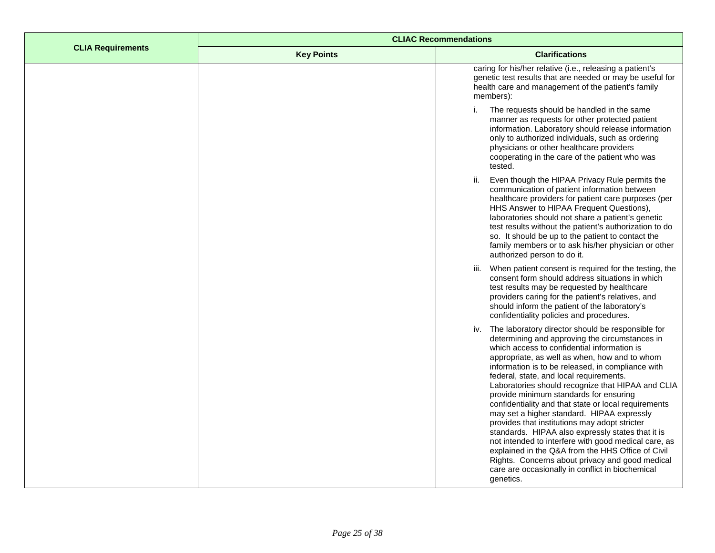|                          | <b>CLIAC Recommendations</b> |                                                                                                                                                                                                                                                                                                                                                                                                                                                                                                                                                                                                                                                                                                                                                                                                                                                        |
|--------------------------|------------------------------|--------------------------------------------------------------------------------------------------------------------------------------------------------------------------------------------------------------------------------------------------------------------------------------------------------------------------------------------------------------------------------------------------------------------------------------------------------------------------------------------------------------------------------------------------------------------------------------------------------------------------------------------------------------------------------------------------------------------------------------------------------------------------------------------------------------------------------------------------------|
| <b>CLIA Requirements</b> | <b>Key Points</b>            | <b>Clarifications</b>                                                                                                                                                                                                                                                                                                                                                                                                                                                                                                                                                                                                                                                                                                                                                                                                                                  |
|                          |                              | caring for his/her relative (i.e., releasing a patient's<br>genetic test results that are needed or may be useful for<br>health care and management of the patient's family<br>members):                                                                                                                                                                                                                                                                                                                                                                                                                                                                                                                                                                                                                                                               |
|                          |                              | The requests should be handled in the same<br>i.<br>manner as requests for other protected patient<br>information. Laboratory should release information<br>only to authorized individuals, such as ordering<br>physicians or other healthcare providers<br>cooperating in the care of the patient who was<br>tested.                                                                                                                                                                                                                                                                                                                                                                                                                                                                                                                                  |
|                          |                              | Even though the HIPAA Privacy Rule permits the<br>ii.<br>communication of patient information between<br>healthcare providers for patient care purposes (per<br>HHS Answer to HIPAA Frequent Questions),<br>laboratories should not share a patient's genetic<br>test results without the patient's authorization to do<br>so. It should be up to the patient to contact the<br>family members or to ask his/her physician or other<br>authorized person to do it.                                                                                                                                                                                                                                                                                                                                                                                     |
|                          |                              | iii. When patient consent is required for the testing, the<br>consent form should address situations in which<br>test results may be requested by healthcare<br>providers caring for the patient's relatives, and<br>should inform the patient of the laboratory's<br>confidentiality policies and procedures.                                                                                                                                                                                                                                                                                                                                                                                                                                                                                                                                         |
|                          |                              | The laboratory director should be responsible for<br>iv.<br>determining and approving the circumstances in<br>which access to confidential information is<br>appropriate, as well as when, how and to whom<br>information is to be released, in compliance with<br>federal, state, and local requirements.<br>Laboratories should recognize that HIPAA and CLIA<br>provide minimum standards for ensuring<br>confidentiality and that state or local requirements<br>may set a higher standard. HIPAA expressly<br>provides that institutions may adopt stricter<br>standards. HIPAA also expressly states that it is<br>not intended to interfere with good medical care, as<br>explained in the Q&A from the HHS Office of Civil<br>Rights. Concerns about privacy and good medical<br>care are occasionally in conflict in biochemical<br>genetics. |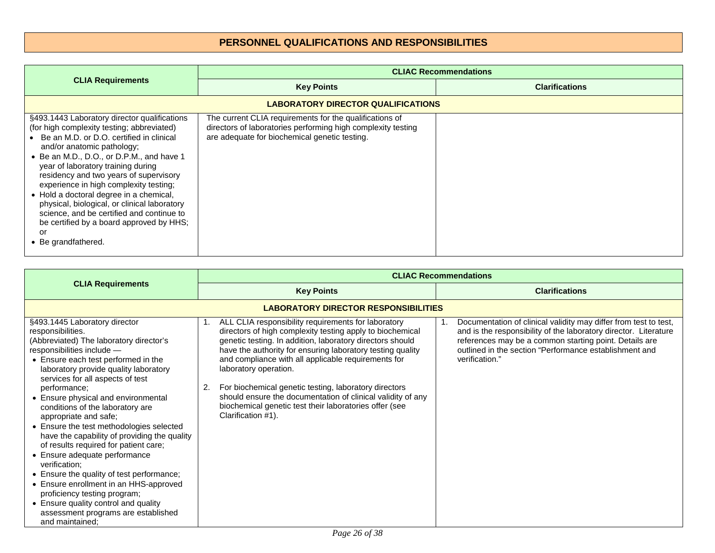# **PERSONNEL QUALIFICATIONS AND RESPONSIBILITIES**

<span id="page-25-1"></span><span id="page-25-0"></span>

|                                                                                                                                                                                                                                                                                                                                                                                                                                                                                                                                                              | <b>CLIAC Recommendations</b>                                                                                                                                             |                       |
|--------------------------------------------------------------------------------------------------------------------------------------------------------------------------------------------------------------------------------------------------------------------------------------------------------------------------------------------------------------------------------------------------------------------------------------------------------------------------------------------------------------------------------------------------------------|--------------------------------------------------------------------------------------------------------------------------------------------------------------------------|-----------------------|
| <b>CLIA Requirements</b>                                                                                                                                                                                                                                                                                                                                                                                                                                                                                                                                     | <b>Key Points</b>                                                                                                                                                        | <b>Clarifications</b> |
|                                                                                                                                                                                                                                                                                                                                                                                                                                                                                                                                                              | LABORATORY DIRECTOR QUALIFICATIONS                                                                                                                                       |                       |
| §493.1443 Laboratory director qualifications<br>(for high complexity testing; abbreviated)<br>Be an M.D. or D.O. certified in clinical<br>and/or anatomic pathology;<br>• Be an M.D., D.O., or D.P.M., and have 1<br>year of laboratory training during<br>residency and two years of supervisory<br>experience in high complexity testing;<br>• Hold a doctoral degree in a chemical,<br>physical, biological, or clinical laboratory<br>science, and be certified and continue to<br>be certified by a board approved by HHS;<br>or<br>• Be grandfathered. | The current CLIA requirements for the qualifications of<br>directors of laboratories performing high complexity testing<br>are adequate for biochemical genetic testing. |                       |

<span id="page-25-2"></span>

|                                                                                                                                                                                                                                                                                                                                                                                                                                                                                                                                                                                                                                                                                                                                                                                     | <b>CLIAC Recommendations</b>                                                                                                                                                                                                                                                                                                                                                                                                                                                                                                                    |                                                                                                                                                                                                                                                                            |
|-------------------------------------------------------------------------------------------------------------------------------------------------------------------------------------------------------------------------------------------------------------------------------------------------------------------------------------------------------------------------------------------------------------------------------------------------------------------------------------------------------------------------------------------------------------------------------------------------------------------------------------------------------------------------------------------------------------------------------------------------------------------------------------|-------------------------------------------------------------------------------------------------------------------------------------------------------------------------------------------------------------------------------------------------------------------------------------------------------------------------------------------------------------------------------------------------------------------------------------------------------------------------------------------------------------------------------------------------|----------------------------------------------------------------------------------------------------------------------------------------------------------------------------------------------------------------------------------------------------------------------------|
| <b>CLIA Requirements</b>                                                                                                                                                                                                                                                                                                                                                                                                                                                                                                                                                                                                                                                                                                                                                            | <b>Key Points</b>                                                                                                                                                                                                                                                                                                                                                                                                                                                                                                                               | <b>Clarifications</b>                                                                                                                                                                                                                                                      |
|                                                                                                                                                                                                                                                                                                                                                                                                                                                                                                                                                                                                                                                                                                                                                                                     | <b>LABORATORY DIRECTOR RESPONSIBILITIES</b>                                                                                                                                                                                                                                                                                                                                                                                                                                                                                                     |                                                                                                                                                                                                                                                                            |
| §493.1445 Laboratory director<br>responsibilities.<br>(Abbreviated) The laboratory director's<br>responsibilities include -<br>• Ensure each test performed in the<br>laboratory provide quality laboratory<br>services for all aspects of test<br>performance;<br>• Ensure physical and environmental<br>conditions of the laboratory are<br>appropriate and safe;<br>• Ensure the test methodologies selected<br>have the capability of providing the quality<br>of results required for patient care;<br>• Ensure adequate performance<br>verification;<br>• Ensure the quality of test performance;<br>• Ensure enrollment in an HHS-approved<br>proficiency testing program;<br>• Ensure quality control and quality<br>assessment programs are established<br>and maintained; | ALL CLIA responsibility requirements for laboratory<br>1.<br>directors of high complexity testing apply to biochemical<br>genetic testing. In addition, laboratory directors should<br>have the authority for ensuring laboratory testing quality<br>and compliance with all applicable requirements for<br>laboratory operation.<br>For biochemical genetic testing, laboratory directors<br>2.<br>should ensure the documentation of clinical validity of any<br>biochemical genetic test their laboratories offer (see<br>Clarification #1). | Documentation of clinical validity may differ from test to test,<br>and is the responsibility of the laboratory director. Literature<br>references may be a common starting point. Details are<br>outlined in the section "Performance establishment and<br>verification." |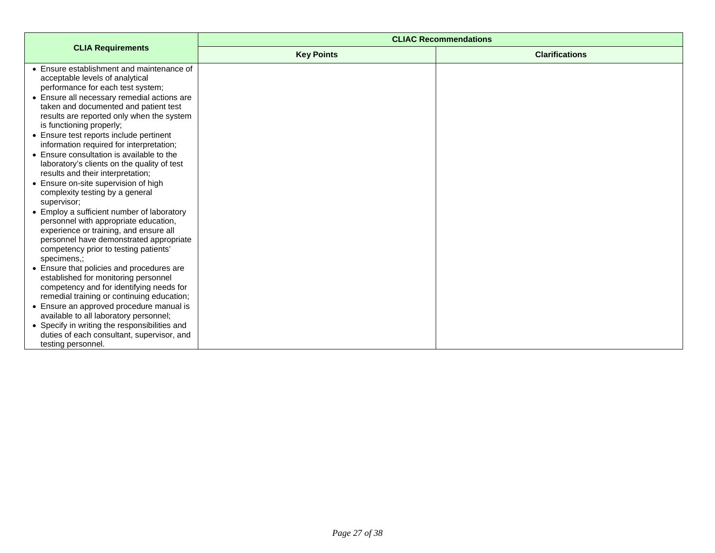|                                                                                                                                                                                                                                                                                                                                                                                                                                                                                                                                                                                                                                                                                                                                                                                                                                                                                                                                                                                                                                                                                                                                                                | <b>CLIAC Recommendations</b> |                       |
|----------------------------------------------------------------------------------------------------------------------------------------------------------------------------------------------------------------------------------------------------------------------------------------------------------------------------------------------------------------------------------------------------------------------------------------------------------------------------------------------------------------------------------------------------------------------------------------------------------------------------------------------------------------------------------------------------------------------------------------------------------------------------------------------------------------------------------------------------------------------------------------------------------------------------------------------------------------------------------------------------------------------------------------------------------------------------------------------------------------------------------------------------------------|------------------------------|-----------------------|
| <b>CLIA Requirements</b>                                                                                                                                                                                                                                                                                                                                                                                                                                                                                                                                                                                                                                                                                                                                                                                                                                                                                                                                                                                                                                                                                                                                       | <b>Key Points</b>            | <b>Clarifications</b> |
| • Ensure establishment and maintenance of<br>acceptable levels of analytical<br>performance for each test system;<br>• Ensure all necessary remedial actions are<br>taken and documented and patient test<br>results are reported only when the system<br>is functioning properly;<br>• Ensure test reports include pertinent<br>information required for interpretation;<br>• Ensure consultation is available to the<br>laboratory's clients on the quality of test<br>results and their interpretation;<br>• Ensure on-site supervision of high<br>complexity testing by a general<br>supervisor;<br>• Employ a sufficient number of laboratory<br>personnel with appropriate education,<br>experience or training, and ensure all<br>personnel have demonstrated appropriate<br>competency prior to testing patients'<br>specimens.:<br>• Ensure that policies and procedures are<br>established for monitoring personnel<br>competency and for identifying needs for<br>remedial training or continuing education;<br>• Ensure an approved procedure manual is<br>available to all laboratory personnel;<br>• Specify in writing the responsibilities and |                              |                       |
| duties of each consultant, supervisor, and<br>testing personnel.                                                                                                                                                                                                                                                                                                                                                                                                                                                                                                                                                                                                                                                                                                                                                                                                                                                                                                                                                                                                                                                                                               |                              |                       |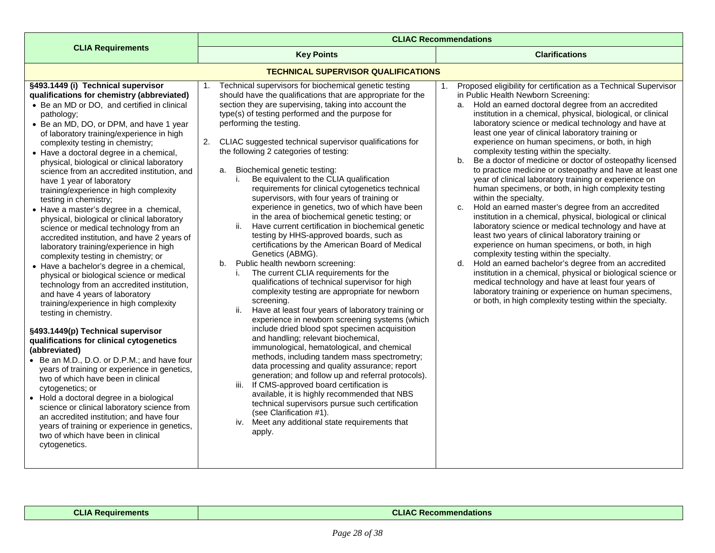<span id="page-27-0"></span>

|                                                                                                                                                                                                                                                                                                                                                                                                                                                                                                                                                                                                                                                                                                                                                                                                                                                                                                                                                                                                                                                                                                                                                                                                                                                                                                                                                                                                                                                                                                                                             | <b>CLIAC Recommendations</b>                                                                                                                                                                                                                                                                                                                                                                                                                                                                                                                                                                                                                                                                                                                                                                                                                                                                                                                                                                                                                                                                                                                                                                                                                                                                                                                                                                                                                                                                                                                                                                                                                                                                                      |                                                                                                                                                                                                                                                                                                                                                                                                                                                                                                                                                                                                                                                                                                                                                                                                                                                                                                                                                                                                                                                                                                                                                                                                                                                                                                                                                                                |
|---------------------------------------------------------------------------------------------------------------------------------------------------------------------------------------------------------------------------------------------------------------------------------------------------------------------------------------------------------------------------------------------------------------------------------------------------------------------------------------------------------------------------------------------------------------------------------------------------------------------------------------------------------------------------------------------------------------------------------------------------------------------------------------------------------------------------------------------------------------------------------------------------------------------------------------------------------------------------------------------------------------------------------------------------------------------------------------------------------------------------------------------------------------------------------------------------------------------------------------------------------------------------------------------------------------------------------------------------------------------------------------------------------------------------------------------------------------------------------------------------------------------------------------------|-------------------------------------------------------------------------------------------------------------------------------------------------------------------------------------------------------------------------------------------------------------------------------------------------------------------------------------------------------------------------------------------------------------------------------------------------------------------------------------------------------------------------------------------------------------------------------------------------------------------------------------------------------------------------------------------------------------------------------------------------------------------------------------------------------------------------------------------------------------------------------------------------------------------------------------------------------------------------------------------------------------------------------------------------------------------------------------------------------------------------------------------------------------------------------------------------------------------------------------------------------------------------------------------------------------------------------------------------------------------------------------------------------------------------------------------------------------------------------------------------------------------------------------------------------------------------------------------------------------------------------------------------------------------------------------------------------------------|--------------------------------------------------------------------------------------------------------------------------------------------------------------------------------------------------------------------------------------------------------------------------------------------------------------------------------------------------------------------------------------------------------------------------------------------------------------------------------------------------------------------------------------------------------------------------------------------------------------------------------------------------------------------------------------------------------------------------------------------------------------------------------------------------------------------------------------------------------------------------------------------------------------------------------------------------------------------------------------------------------------------------------------------------------------------------------------------------------------------------------------------------------------------------------------------------------------------------------------------------------------------------------------------------------------------------------------------------------------------------------|
| <b>CLIA Requirements</b>                                                                                                                                                                                                                                                                                                                                                                                                                                                                                                                                                                                                                                                                                                                                                                                                                                                                                                                                                                                                                                                                                                                                                                                                                                                                                                                                                                                                                                                                                                                    | <b>Key Points</b>                                                                                                                                                                                                                                                                                                                                                                                                                                                                                                                                                                                                                                                                                                                                                                                                                                                                                                                                                                                                                                                                                                                                                                                                                                                                                                                                                                                                                                                                                                                                                                                                                                                                                                 | <b>Clarifications</b>                                                                                                                                                                                                                                                                                                                                                                                                                                                                                                                                                                                                                                                                                                                                                                                                                                                                                                                                                                                                                                                                                                                                                                                                                                                                                                                                                          |
|                                                                                                                                                                                                                                                                                                                                                                                                                                                                                                                                                                                                                                                                                                                                                                                                                                                                                                                                                                                                                                                                                                                                                                                                                                                                                                                                                                                                                                                                                                                                             | <b>TECHNICAL SUPERVISOR QUALIFICATIONS</b>                                                                                                                                                                                                                                                                                                                                                                                                                                                                                                                                                                                                                                                                                                                                                                                                                                                                                                                                                                                                                                                                                                                                                                                                                                                                                                                                                                                                                                                                                                                                                                                                                                                                        |                                                                                                                                                                                                                                                                                                                                                                                                                                                                                                                                                                                                                                                                                                                                                                                                                                                                                                                                                                                                                                                                                                                                                                                                                                                                                                                                                                                |
| §493.1449 (i) Technical supervisor<br>qualifications for chemistry (abbreviated)<br>• Be an MD or DO, and certified in clinical<br>pathology;<br>• Be an MD, DO, or DPM, and have 1 year<br>of laboratory training/experience in high<br>complexity testing in chemistry;<br>• Have a doctoral degree in a chemical,<br>physical, biological or clinical laboratory<br>science from an accredited institution, and<br>have 1 year of laboratory<br>training/experience in high complexity<br>testing in chemistry;<br>• Have a master's degree in a chemical,<br>physical, biological or clinical laboratory<br>science or medical technology from an<br>accredited institution, and have 2 years of<br>laboratory training/experience in high<br>complexity testing in chemistry; or<br>• Have a bachelor's degree in a chemical,<br>physical or biological science or medical<br>technology from an accredited institution,<br>and have 4 years of laboratory<br>training/experience in high complexity<br>testing in chemistry.<br>§493.1449(p) Technical supervisor<br>qualifications for clinical cytogenetics<br>(abbreviated)<br>• Be an M.D., D.O. or D.P.M.; and have four<br>years of training or experience in genetics,<br>two of which have been in clinical<br>cytogenetics; or<br>• Hold a doctoral degree in a biological<br>science or clinical laboratory science from<br>an accredited institution; and have four<br>years of training or experience in genetics,<br>two of which have been in clinical<br>cytogenetics. | Technical supervisors for biochemical genetic testing<br>1.<br>should have the qualifications that are appropriate for the<br>section they are supervising, taking into account the<br>type(s) of testing performed and the purpose for<br>performing the testing.<br>CLIAC suggested technical supervisor qualifications for<br>2.<br>the following 2 categories of testing:<br>Biochemical genetic testing:<br>a.<br>Be equivalent to the CLIA qualification<br>i.<br>requirements for clinical cytogenetics technical<br>supervisors, with four years of training or<br>experience in genetics, two of which have been<br>in the area of biochemical genetic testing; or<br>Have current certification in biochemical genetic<br>ii.<br>testing by HHS-approved boards, such as<br>certifications by the American Board of Medical<br>Genetics (ABMG).<br>b. Public health newborn screening:<br>The current CLIA requirements for the<br>i.<br>qualifications of technical supervisor for high<br>complexity testing are appropriate for newborn<br>screening.<br>Have at least four years of laboratory training or<br>experience in newborn screening systems (which<br>include dried blood spot specimen acquisition<br>and handling; relevant biochemical,<br>immunological, hematological, and chemical<br>methods, including tandem mass spectrometry;<br>data processing and quality assurance; report<br>generation; and follow up and referral protocols).<br>iii. If CMS-approved board certification is<br>available, it is highly recommended that NBS<br>technical supervisors pursue such certification<br>(see Clarification #1).<br>iv. Meet any additional state requirements that<br>apply. | Proposed eligibility for certification as a Technical Supervisor<br>1.<br>in Public Health Newborn Screening:<br>a. Hold an earned doctoral degree from an accredited<br>institution in a chemical, physical, biological, or clinical<br>laboratory science or medical technology and have at<br>least one year of clinical laboratory training or<br>experience on human specimens, or both, in high<br>complexity testing within the specialty.<br>Be a doctor of medicine or doctor of osteopathy licensed<br>$b_{1}$<br>to practice medicine or osteopathy and have at least one<br>year of clinical laboratory training or experience on<br>human specimens, or both, in high complexity testing<br>within the specialty.<br>Hold an earned master's degree from an accredited<br>C.<br>institution in a chemical, physical, biological or clinical<br>laboratory science or medical technology and have at<br>least two years of clinical laboratory training or<br>experience on human specimens, or both, in high<br>complexity testing within the specialty.<br>Hold an earned bachelor's degree from an accredited<br>d.<br>institution in a chemical, physical or biological science or<br>medical technology and have at least four years of<br>laboratory training or experience on human specimens,<br>or both, in high complexity testing within the specialty. |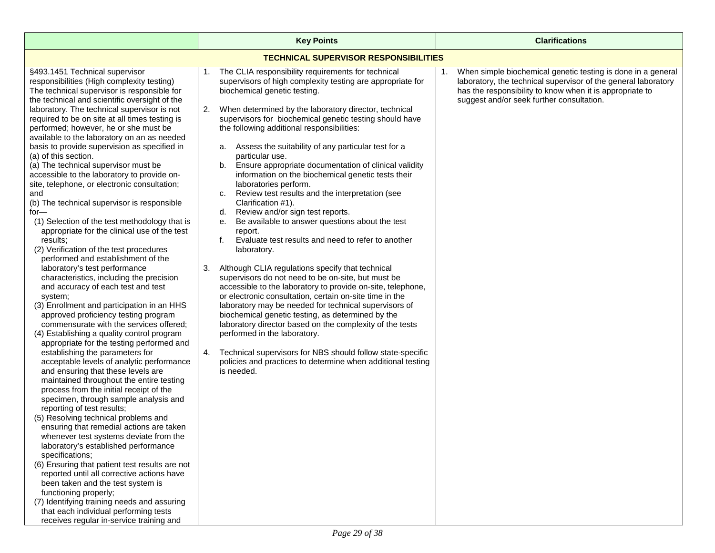<span id="page-28-0"></span>

|                                                                                                                                                                                                                                                                                                                                                                                                                                                                                                                                                                                                                                                                                                                                                                                                                                                                                                                                                                                                                                                                                                                                                                                                                                                                                                                                                                                                                                                                                                                                                                                                                                                                                                                                                                                                                                                                                                                                                                                           | <b>Key Points</b>                                                                                                                                                                                                                                                                                                                                                                                                                                                                                                                                                                                                                                                                                                                                                                                                                                                                                                                                                                                                                                                                                                                                                                                                                                                                                                                                                                                                             | <b>Clarifications</b>                                                                                                                                                                                                                         |  |
|-------------------------------------------------------------------------------------------------------------------------------------------------------------------------------------------------------------------------------------------------------------------------------------------------------------------------------------------------------------------------------------------------------------------------------------------------------------------------------------------------------------------------------------------------------------------------------------------------------------------------------------------------------------------------------------------------------------------------------------------------------------------------------------------------------------------------------------------------------------------------------------------------------------------------------------------------------------------------------------------------------------------------------------------------------------------------------------------------------------------------------------------------------------------------------------------------------------------------------------------------------------------------------------------------------------------------------------------------------------------------------------------------------------------------------------------------------------------------------------------------------------------------------------------------------------------------------------------------------------------------------------------------------------------------------------------------------------------------------------------------------------------------------------------------------------------------------------------------------------------------------------------------------------------------------------------------------------------------------------------|-------------------------------------------------------------------------------------------------------------------------------------------------------------------------------------------------------------------------------------------------------------------------------------------------------------------------------------------------------------------------------------------------------------------------------------------------------------------------------------------------------------------------------------------------------------------------------------------------------------------------------------------------------------------------------------------------------------------------------------------------------------------------------------------------------------------------------------------------------------------------------------------------------------------------------------------------------------------------------------------------------------------------------------------------------------------------------------------------------------------------------------------------------------------------------------------------------------------------------------------------------------------------------------------------------------------------------------------------------------------------------------------------------------------------------|-----------------------------------------------------------------------------------------------------------------------------------------------------------------------------------------------------------------------------------------------|--|
| <b>TECHNICAL SUPERVISOR RESPONSIBILITIES</b>                                                                                                                                                                                                                                                                                                                                                                                                                                                                                                                                                                                                                                                                                                                                                                                                                                                                                                                                                                                                                                                                                                                                                                                                                                                                                                                                                                                                                                                                                                                                                                                                                                                                                                                                                                                                                                                                                                                                              |                                                                                                                                                                                                                                                                                                                                                                                                                                                                                                                                                                                                                                                                                                                                                                                                                                                                                                                                                                                                                                                                                                                                                                                                                                                                                                                                                                                                                               |                                                                                                                                                                                                                                               |  |
| §493.1451 Technical supervisor<br>responsibilities (High complexity testing)<br>The technical supervisor is responsible for<br>the technical and scientific oversight of the<br>laboratory. The technical supervisor is not<br>required to be on site at all times testing is<br>performed; however, he or she must be<br>available to the laboratory on an as needed<br>basis to provide supervision as specified in<br>(a) of this section.<br>(a) The technical supervisor must be<br>accessible to the laboratory to provide on-<br>site, telephone, or electronic consultation;<br>and<br>(b) The technical supervisor is responsible<br>for—<br>(1) Selection of the test methodology that is<br>appropriate for the clinical use of the test<br>results;<br>(2) Verification of the test procedures<br>performed and establishment of the<br>laboratory's test performance<br>characteristics, including the precision<br>and accuracy of each test and test<br>system;<br>(3) Enrollment and participation in an HHS<br>approved proficiency testing program<br>commensurate with the services offered;<br>(4) Establishing a quality control program<br>appropriate for the testing performed and<br>establishing the parameters for<br>acceptable levels of analytic performance<br>and ensuring that these levels are<br>maintained throughout the entire testing<br>process from the initial receipt of the<br>specimen, through sample analysis and<br>reporting of test results;<br>(5) Resolving technical problems and<br>ensuring that remedial actions are taken<br>whenever test systems deviate from the<br>laboratory's established performance<br>specifications;<br>(6) Ensuring that patient test results are not<br>reported until all corrective actions have<br>been taken and the test system is<br>functioning properly;<br>(7) Identifying training needs and assuring<br>that each individual performing tests<br>receives regular in-service training and | The CLIA responsibility requirements for technical<br>1.<br>supervisors of high complexity testing are appropriate for<br>biochemical genetic testing.<br>When determined by the laboratory director, technical<br>2.<br>supervisors for biochemical genetic testing should have<br>the following additional responsibilities:<br>a. Assess the suitability of any particular test for a<br>particular use.<br>b. Ensure appropriate documentation of clinical validity<br>information on the biochemical genetic tests their<br>laboratories perform.<br>c. Review test results and the interpretation (see<br>Clarification #1).<br>Review and/or sign test reports.<br>d.<br>Be available to answer questions about the test<br>е.<br>report.<br>Evaluate test results and need to refer to another<br>f.<br>laboratory.<br>Although CLIA regulations specify that technical<br>3.<br>supervisors do not need to be on-site, but must be<br>accessible to the laboratory to provide on-site, telephone,<br>or electronic consultation, certain on-site time in the<br>laboratory may be needed for technical supervisors of<br>biochemical genetic testing, as determined by the<br>laboratory director based on the complexity of the tests<br>performed in the laboratory.<br>4. Technical supervisors for NBS should follow state-specific<br>policies and practices to determine when additional testing<br>is needed. | When simple biochemical genetic testing is done in a general<br>1.<br>laboratory, the technical supervisor of the general laboratory<br>has the responsibility to know when it is appropriate to<br>suggest and/or seek further consultation. |  |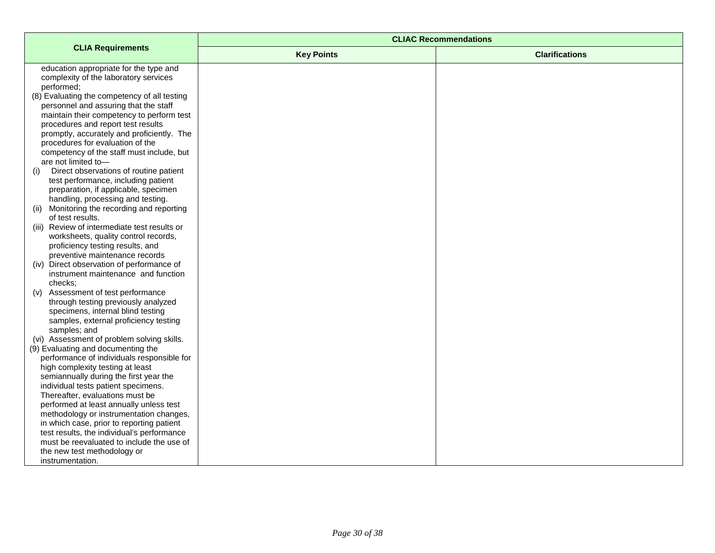|                                                                                 | <b>CLIAC Recommendations</b> |                       |
|---------------------------------------------------------------------------------|------------------------------|-----------------------|
| <b>CLIA Requirements</b>                                                        | <b>Key Points</b>            | <b>Clarifications</b> |
| education appropriate for the type and                                          |                              |                       |
| complexity of the laboratory services                                           |                              |                       |
| performed;                                                                      |                              |                       |
| (8) Evaluating the competency of all testing                                    |                              |                       |
| personnel and assuring that the staff                                           |                              |                       |
| maintain their competency to perform test<br>procedures and report test results |                              |                       |
| promptly, accurately and proficiently. The                                      |                              |                       |
| procedures for evaluation of the                                                |                              |                       |
| competency of the staff must include, but                                       |                              |                       |
| are not limited to-                                                             |                              |                       |
| Direct observations of routine patient<br>(i)                                   |                              |                       |
| test performance, including patient                                             |                              |                       |
| preparation, if applicable, specimen                                            |                              |                       |
| handling, processing and testing.                                               |                              |                       |
| (ii) Monitoring the recording and reporting                                     |                              |                       |
| of test results.                                                                |                              |                       |
| (iii) Review of intermediate test results or                                    |                              |                       |
| worksheets, quality control records,                                            |                              |                       |
| proficiency testing results, and                                                |                              |                       |
| preventive maintenance records<br>(iv) Direct observation of performance of     |                              |                       |
| instrument maintenance and function                                             |                              |                       |
| checks:                                                                         |                              |                       |
| (v) Assessment of test performance                                              |                              |                       |
| through testing previously analyzed                                             |                              |                       |
| specimens, internal blind testing                                               |                              |                       |
| samples, external proficiency testing                                           |                              |                       |
| samples; and                                                                    |                              |                       |
| (vi) Assessment of problem solving skills.                                      |                              |                       |
| (9) Evaluating and documenting the                                              |                              |                       |
| performance of individuals responsible for                                      |                              |                       |
| high complexity testing at least                                                |                              |                       |
| semiannually during the first year the<br>individual tests patient specimens.   |                              |                       |
| Thereafter, evaluations must be                                                 |                              |                       |
| performed at least annually unless test                                         |                              |                       |
| methodology or instrumentation changes,                                         |                              |                       |
| in which case, prior to reporting patient                                       |                              |                       |
| test results, the individual's performance                                      |                              |                       |
| must be reevaluated to include the use of                                       |                              |                       |
| the new test methodology or                                                     |                              |                       |
| instrumentation.                                                                |                              |                       |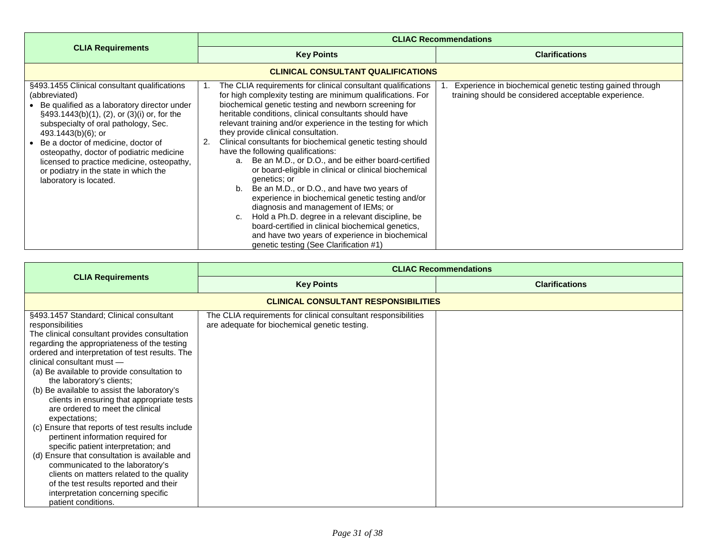<span id="page-30-0"></span>

|                                                                                                                                                                                                                                                                                                                                                                                                                                     | <b>CLIAC Recommendations</b>                                                                                                                                                                                                                                                                                                                                                                                                                                                                                                                                                                                                                                                                                                                                                                                                                                                                                                                                     |                                                                                                                  |
|-------------------------------------------------------------------------------------------------------------------------------------------------------------------------------------------------------------------------------------------------------------------------------------------------------------------------------------------------------------------------------------------------------------------------------------|------------------------------------------------------------------------------------------------------------------------------------------------------------------------------------------------------------------------------------------------------------------------------------------------------------------------------------------------------------------------------------------------------------------------------------------------------------------------------------------------------------------------------------------------------------------------------------------------------------------------------------------------------------------------------------------------------------------------------------------------------------------------------------------------------------------------------------------------------------------------------------------------------------------------------------------------------------------|------------------------------------------------------------------------------------------------------------------|
| <b>CLIA Requirements</b>                                                                                                                                                                                                                                                                                                                                                                                                            | <b>Key Points</b>                                                                                                                                                                                                                                                                                                                                                                                                                                                                                                                                                                                                                                                                                                                                                                                                                                                                                                                                                | <b>Clarifications</b>                                                                                            |
|                                                                                                                                                                                                                                                                                                                                                                                                                                     | <b>CLINICAL CONSULTANT QUALIFICATIONS</b>                                                                                                                                                                                                                                                                                                                                                                                                                                                                                                                                                                                                                                                                                                                                                                                                                                                                                                                        |                                                                                                                  |
| §493.1455 Clinical consultant qualifications<br>(abbreviated)<br>Be qualified as a laboratory director under<br>$\S$ 493.1443(b)(1), (2), or (3)(i) or, for the<br>subspecialty of oral pathology, Sec.<br>$493.1443(b)(6)$ ; or<br>Be a doctor of medicine, doctor of<br>osteopathy, doctor of podiatric medicine<br>licensed to practice medicine, osteopathy,<br>or podiatry in the state in which the<br>laboratory is located. | The CLIA requirements for clinical consultant qualifications<br>for high complexity testing are minimum qualifications. For<br>biochemical genetic testing and newborn screening for<br>heritable conditions, clinical consultants should have<br>relevant training and/or experience in the testing for which<br>they provide clinical consultation.<br>Clinical consultants for biochemical genetic testing should<br>have the following qualifications:<br>Be an M.D., or D.O., and be either board-certified<br>$a_{-}$<br>or board-eligible in clinical or clinical biochemical<br>genetics; or<br>Be an M.D., or D.O., and have two years of<br>b.<br>experience in biochemical genetic testing and/or<br>diagnosis and management of IEMs; or<br>Hold a Ph.D. degree in a relevant discipline, be<br>C.<br>board-certified in clinical biochemical genetics,<br>and have two years of experience in biochemical<br>genetic testing (See Clarification #1) | Experience in biochemical genetic testing gained through<br>training should be considered acceptable experience. |

<span id="page-30-1"></span>

|                                                                                                                                                                                                                                                                                                                                                                                                                                                                                                                                                                                                                                                                                                                                                                                                                                                       | <b>CLIAC Recommendations</b>                                                                                    |                       |
|-------------------------------------------------------------------------------------------------------------------------------------------------------------------------------------------------------------------------------------------------------------------------------------------------------------------------------------------------------------------------------------------------------------------------------------------------------------------------------------------------------------------------------------------------------------------------------------------------------------------------------------------------------------------------------------------------------------------------------------------------------------------------------------------------------------------------------------------------------|-----------------------------------------------------------------------------------------------------------------|-----------------------|
| <b>CLIA Requirements</b>                                                                                                                                                                                                                                                                                                                                                                                                                                                                                                                                                                                                                                                                                                                                                                                                                              | <b>Key Points</b>                                                                                               | <b>Clarifications</b> |
|                                                                                                                                                                                                                                                                                                                                                                                                                                                                                                                                                                                                                                                                                                                                                                                                                                                       | <b>CLINICAL CONSULTANT RESPONSIBILITIES</b>                                                                     |                       |
| §493.1457 Standard; Clinical consultant<br>responsibilities<br>The clinical consultant provides consultation<br>regarding the appropriateness of the testing<br>ordered and interpretation of test results. The<br>clinical consultant must -<br>(a) Be available to provide consultation to<br>the laboratory's clients;<br>(b) Be available to assist the laboratory's<br>clients in ensuring that appropriate tests<br>are ordered to meet the clinical<br>expectations;<br>(c) Ensure that reports of test results include<br>pertinent information required for<br>specific patient interpretation; and<br>(d) Ensure that consultation is available and<br>communicated to the laboratory's<br>clients on matters related to the quality<br>of the test results reported and their<br>interpretation concerning specific<br>patient conditions. | The CLIA requirements for clinical consultant responsibilities<br>are adequate for biochemical genetic testing. |                       |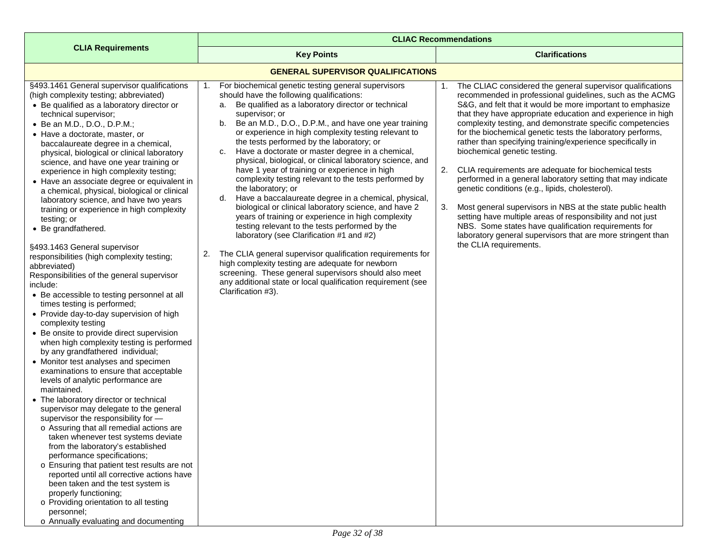<span id="page-31-0"></span>

|                                                                                                                                                                                                                                                                                                                                                                                                                                                                                                                                                                                                                                                                                                                                                                                                                                                                                                                                                                                                                                                                                                                                                                                                                                                                                                                                                                                                                                                                                                                                                                                                                                                                                                                                                                 | <b>CLIAC Recommendations</b>                                                                                                                                                                                                                                                                                                                                                                                                                                                                                                                                                                                                                                                                                                                                                                                                                                                                                                                                                                                                                                                                                                                               |                                                                                                                                                                                                                                                                                                                                                                                                                                                                                                                                                                                                                                                                                                                                                                                                                                                                                                                                                    |
|-----------------------------------------------------------------------------------------------------------------------------------------------------------------------------------------------------------------------------------------------------------------------------------------------------------------------------------------------------------------------------------------------------------------------------------------------------------------------------------------------------------------------------------------------------------------------------------------------------------------------------------------------------------------------------------------------------------------------------------------------------------------------------------------------------------------------------------------------------------------------------------------------------------------------------------------------------------------------------------------------------------------------------------------------------------------------------------------------------------------------------------------------------------------------------------------------------------------------------------------------------------------------------------------------------------------------------------------------------------------------------------------------------------------------------------------------------------------------------------------------------------------------------------------------------------------------------------------------------------------------------------------------------------------------------------------------------------------------------------------------------------------|------------------------------------------------------------------------------------------------------------------------------------------------------------------------------------------------------------------------------------------------------------------------------------------------------------------------------------------------------------------------------------------------------------------------------------------------------------------------------------------------------------------------------------------------------------------------------------------------------------------------------------------------------------------------------------------------------------------------------------------------------------------------------------------------------------------------------------------------------------------------------------------------------------------------------------------------------------------------------------------------------------------------------------------------------------------------------------------------------------------------------------------------------------|----------------------------------------------------------------------------------------------------------------------------------------------------------------------------------------------------------------------------------------------------------------------------------------------------------------------------------------------------------------------------------------------------------------------------------------------------------------------------------------------------------------------------------------------------------------------------------------------------------------------------------------------------------------------------------------------------------------------------------------------------------------------------------------------------------------------------------------------------------------------------------------------------------------------------------------------------|
| <b>CLIA Requirements</b>                                                                                                                                                                                                                                                                                                                                                                                                                                                                                                                                                                                                                                                                                                                                                                                                                                                                                                                                                                                                                                                                                                                                                                                                                                                                                                                                                                                                                                                                                                                                                                                                                                                                                                                                        | <b>Key Points</b>                                                                                                                                                                                                                                                                                                                                                                                                                                                                                                                                                                                                                                                                                                                                                                                                                                                                                                                                                                                                                                                                                                                                          | <b>Clarifications</b>                                                                                                                                                                                                                                                                                                                                                                                                                                                                                                                                                                                                                                                                                                                                                                                                                                                                                                                              |
|                                                                                                                                                                                                                                                                                                                                                                                                                                                                                                                                                                                                                                                                                                                                                                                                                                                                                                                                                                                                                                                                                                                                                                                                                                                                                                                                                                                                                                                                                                                                                                                                                                                                                                                                                                 | <b>GENERAL SUPERVISOR QUALIFICATIONS</b>                                                                                                                                                                                                                                                                                                                                                                                                                                                                                                                                                                                                                                                                                                                                                                                                                                                                                                                                                                                                                                                                                                                   |                                                                                                                                                                                                                                                                                                                                                                                                                                                                                                                                                                                                                                                                                                                                                                                                                                                                                                                                                    |
| §493.1461 General supervisor qualifications<br>(high complexity testing; abbreviated)<br>• Be qualified as a laboratory director or<br>technical supervisor;<br>• Be an M.D., D.O., D.P.M.;<br>• Have a doctorate, master, or<br>baccalaureate degree in a chemical,<br>physical, biological or clinical laboratory<br>science, and have one year training or<br>experience in high complexity testing;<br>• Have an associate degree or equivalent in<br>a chemical, physical, biological or clinical<br>laboratory science, and have two years<br>training or experience in high complexity<br>testing; or<br>• Be grandfathered.<br>§493.1463 General supervisor<br>responsibilities (high complexity testing;<br>abbreviated)<br>Responsibilities of the general supervisor<br>include:<br>• Be accessible to testing personnel at all<br>times testing is performed;<br>• Provide day-to-day supervision of high<br>complexity testing<br>• Be onsite to provide direct supervision<br>when high complexity testing is performed<br>by any grandfathered individual;<br>• Monitor test analyses and specimen<br>examinations to ensure that acceptable<br>levels of analytic performance are<br>maintained.<br>• The laboratory director or technical<br>supervisor may delegate to the general<br>supervisor the responsibility for -<br>o Assuring that all remedial actions are<br>taken whenever test systems deviate<br>from the laboratory's established<br>performance specifications;<br>o Ensuring that patient test results are not<br>reported until all corrective actions have<br>been taken and the test system is<br>properly functioning;<br>o Providing orientation to all testing<br>personnel;<br>o Annually evaluating and documenting | 1. For biochemical genetic testing general supervisors<br>should have the following qualifications:<br>Be qualified as a laboratory director or technical<br>a.<br>supervisor; or<br>Be an M.D., D.O., D.P.M., and have one year training<br>b.<br>or experience in high complexity testing relevant to<br>the tests performed by the laboratory; or<br>Have a doctorate or master degree in a chemical,<br>C.<br>physical, biological, or clinical laboratory science, and<br>have 1 year of training or experience in high<br>complexity testing relevant to the tests performed by<br>the laboratory; or<br>d. Have a baccalaureate degree in a chemical, physical,<br>biological or clinical laboratory science, and have 2<br>years of training or experience in high complexity<br>testing relevant to the tests performed by the<br>laboratory (see Clarification #1 and #2)<br>The CLIA general supervisor qualification requirements for<br>2.<br>high complexity testing are adequate for newborn<br>screening. These general supervisors should also meet<br>any additional state or local qualification requirement (see<br>Clarification #3). | 1. The CLIAC considered the general supervisor qualifications<br>recommended in professional guidelines, such as the ACMG<br>S&G, and felt that it would be more important to emphasize<br>that they have appropriate education and experience in high<br>complexity testing, and demonstrate specific competencies<br>for the biochemical genetic tests the laboratory performs,<br>rather than specifying training/experience specifically in<br>biochemical genetic testing.<br>2.<br>CLIA requirements are adequate for biochemical tests<br>performed in a general laboratory setting that may indicate<br>genetic conditions (e.g., lipids, cholesterol).<br>3.<br>Most general supervisors in NBS at the state public health<br>setting have multiple areas of responsibility and not just<br>NBS. Some states have qualification requirements for<br>laboratory general supervisors that are more stringent than<br>the CLIA requirements. |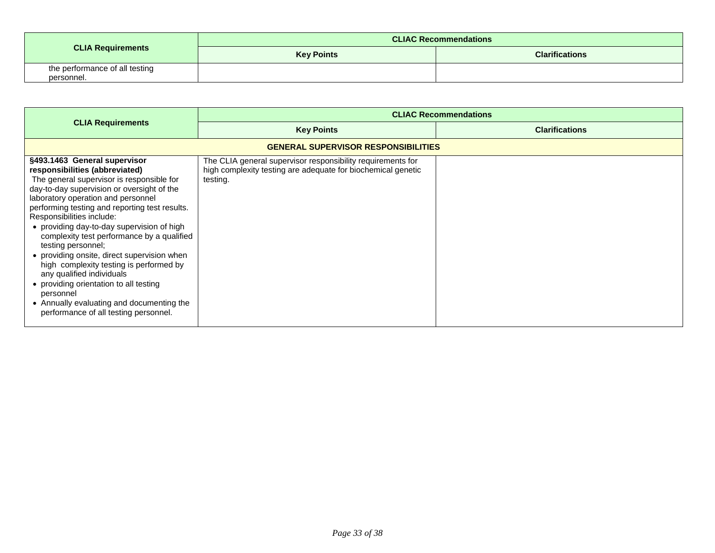|                                              |                   | <b>CLIAC Recommendations</b> |
|----------------------------------------------|-------------------|------------------------------|
| <b>CLIA Requirements</b>                     | <b>Key Points</b> | <b>Clarifications</b>        |
| the performance of all testing<br>personnel. |                   |                              |

<span id="page-32-0"></span>

|                                                                                                                                                                                                                                                                                                                                                                                                                                                                                                                                                                                                                                                                      | <b>CLIAC Recommendations</b>                                                                                                            |                       |
|----------------------------------------------------------------------------------------------------------------------------------------------------------------------------------------------------------------------------------------------------------------------------------------------------------------------------------------------------------------------------------------------------------------------------------------------------------------------------------------------------------------------------------------------------------------------------------------------------------------------------------------------------------------------|-----------------------------------------------------------------------------------------------------------------------------------------|-----------------------|
| <b>CLIA Requirements</b>                                                                                                                                                                                                                                                                                                                                                                                                                                                                                                                                                                                                                                             | <b>Key Points</b>                                                                                                                       | <b>Clarifications</b> |
|                                                                                                                                                                                                                                                                                                                                                                                                                                                                                                                                                                                                                                                                      | <b>GENERAL SUPERVISOR RESPONSIBILITIES</b>                                                                                              |                       |
| §493.1463 General supervisor<br>responsibilities (abbreviated)<br>The general supervisor is responsible for<br>day-to-day supervision or oversight of the<br>laboratory operation and personnel<br>performing testing and reporting test results.<br>Responsibilities include:<br>• providing day-to-day supervision of high<br>complexity test performance by a qualified<br>testing personnel;<br>• providing onsite, direct supervision when<br>high complexity testing is performed by<br>any qualified individuals<br>• providing orientation to all testing<br>personnel<br>• Annually evaluating and documenting the<br>performance of all testing personnel. | The CLIA general supervisor responsibility requirements for<br>high complexity testing are adequate for biochemical genetic<br>testing. |                       |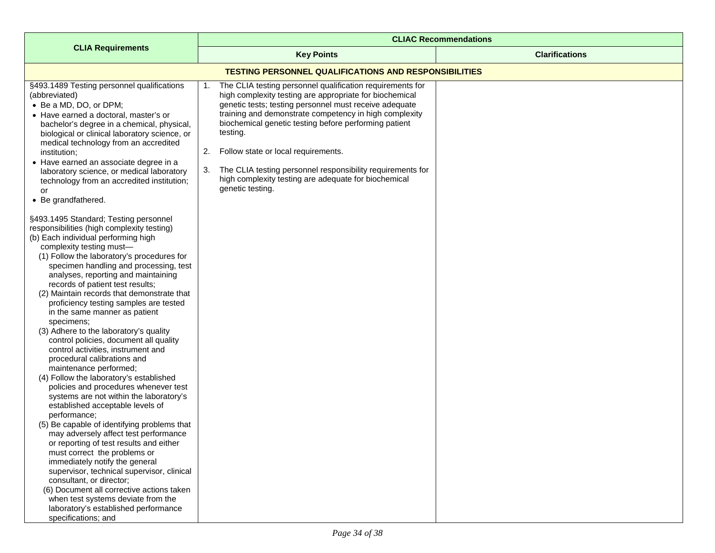<span id="page-33-0"></span>

|                                                                                                                                                                                                                                                                                                                                                                                                                                                                                                                                                                                                                                                                                                                                                                                                                                                                                                                                                                                                                                                                                       | <b>CLIAC Recommendations</b>                                                                                                                                                                                                                                                                                                                                                                                                                                                                                     |                       |
|---------------------------------------------------------------------------------------------------------------------------------------------------------------------------------------------------------------------------------------------------------------------------------------------------------------------------------------------------------------------------------------------------------------------------------------------------------------------------------------------------------------------------------------------------------------------------------------------------------------------------------------------------------------------------------------------------------------------------------------------------------------------------------------------------------------------------------------------------------------------------------------------------------------------------------------------------------------------------------------------------------------------------------------------------------------------------------------|------------------------------------------------------------------------------------------------------------------------------------------------------------------------------------------------------------------------------------------------------------------------------------------------------------------------------------------------------------------------------------------------------------------------------------------------------------------------------------------------------------------|-----------------------|
| <b>CLIA Requirements</b>                                                                                                                                                                                                                                                                                                                                                                                                                                                                                                                                                                                                                                                                                                                                                                                                                                                                                                                                                                                                                                                              | <b>Key Points</b>                                                                                                                                                                                                                                                                                                                                                                                                                                                                                                | <b>Clarifications</b> |
|                                                                                                                                                                                                                                                                                                                                                                                                                                                                                                                                                                                                                                                                                                                                                                                                                                                                                                                                                                                                                                                                                       | <b>TESTING PERSONNEL QUALIFICATIONS AND RESPONSIBILITIES</b>                                                                                                                                                                                                                                                                                                                                                                                                                                                     |                       |
| §493.1489 Testing personnel qualifications<br>(abbreviated)<br>• Be a MD, DO, or DPM;<br>• Have earned a doctoral, master's or<br>bachelor's degree in a chemical, physical,<br>biological or clinical laboratory science, or<br>medical technology from an accredited<br>institution;<br>• Have earned an associate degree in a<br>laboratory science, or medical laboratory<br>technology from an accredited institution;<br>or<br>• Be grandfathered.<br>§493.1495 Standard; Testing personnel<br>responsibilities (high complexity testing)<br>(b) Each individual performing high<br>complexity testing must-<br>(1) Follow the laboratory's procedures for<br>specimen handling and processing, test<br>analyses, reporting and maintaining<br>records of patient test results;<br>(2) Maintain records that demonstrate that<br>proficiency testing samples are tested<br>in the same manner as patient<br>specimens;<br>(3) Adhere to the laboratory's quality<br>control policies, document all quality<br>control activities, instrument and<br>procedural calibrations and | The CLIA testing personnel qualification requirements for<br>1.<br>high complexity testing are appropriate for biochemical<br>genetic tests; testing personnel must receive adequate<br>training and demonstrate competency in high complexity<br>biochemical genetic testing before performing patient<br>testing.<br>Follow state or local requirements.<br>2.<br>The CLIA testing personnel responsibility requirements for<br>3.<br>high complexity testing are adequate for biochemical<br>genetic testing. |                       |
| maintenance performed;<br>(4) Follow the laboratory's established<br>policies and procedures whenever test<br>systems are not within the laboratory's<br>established acceptable levels of<br>performance;<br>(5) Be capable of identifying problems that<br>may adversely affect test performance<br>or reporting of test results and either<br>must correct the problems or<br>immediately notify the general<br>supervisor, technical supervisor, clinical<br>consultant, or director;<br>(6) Document all corrective actions taken<br>when test systems deviate from the<br>laboratory's established performance<br>specifications; and                                                                                                                                                                                                                                                                                                                                                                                                                                            |                                                                                                                                                                                                                                                                                                                                                                                                                                                                                                                  |                       |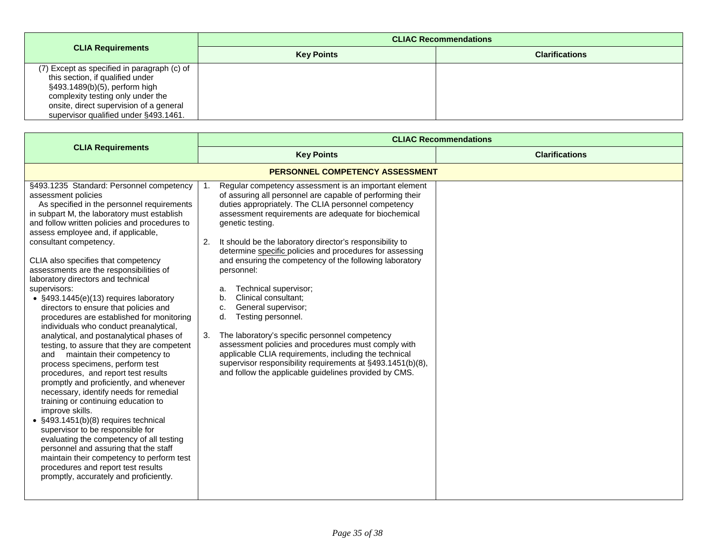|                                                                                                                                                                                                                                           | <b>CLIAC Recommendations</b> |                       |
|-------------------------------------------------------------------------------------------------------------------------------------------------------------------------------------------------------------------------------------------|------------------------------|-----------------------|
| <b>CLIA Requirements</b>                                                                                                                                                                                                                  | <b>Key Points</b>            | <b>Clarifications</b> |
| (7) Except as specified in paragraph (c) of<br>this section, if qualified under<br>§493.1489(b)(5), perform high<br>complexity testing only under the<br>onsite, direct supervision of a general<br>supervisor qualified under §493.1461. |                              |                       |

<span id="page-34-0"></span>

|                                                                                                                                                                                                                                                                                                                                                                                                                                                                                                                                                                                                                                                                                                                                                                                                                                                                                                                                                                                                                                                                                                                                                                                                                                                       | <b>CLIAC Recommendations</b>                                                                                                                                                                                                                                                                                                                                                                                                                                                                                                                                                                                                                                                                                                                                                                                                                                                      |                       |
|-------------------------------------------------------------------------------------------------------------------------------------------------------------------------------------------------------------------------------------------------------------------------------------------------------------------------------------------------------------------------------------------------------------------------------------------------------------------------------------------------------------------------------------------------------------------------------------------------------------------------------------------------------------------------------------------------------------------------------------------------------------------------------------------------------------------------------------------------------------------------------------------------------------------------------------------------------------------------------------------------------------------------------------------------------------------------------------------------------------------------------------------------------------------------------------------------------------------------------------------------------|-----------------------------------------------------------------------------------------------------------------------------------------------------------------------------------------------------------------------------------------------------------------------------------------------------------------------------------------------------------------------------------------------------------------------------------------------------------------------------------------------------------------------------------------------------------------------------------------------------------------------------------------------------------------------------------------------------------------------------------------------------------------------------------------------------------------------------------------------------------------------------------|-----------------------|
| <b>CLIA Requirements</b>                                                                                                                                                                                                                                                                                                                                                                                                                                                                                                                                                                                                                                                                                                                                                                                                                                                                                                                                                                                                                                                                                                                                                                                                                              | <b>Key Points</b>                                                                                                                                                                                                                                                                                                                                                                                                                                                                                                                                                                                                                                                                                                                                                                                                                                                                 | <b>Clarifications</b> |
|                                                                                                                                                                                                                                                                                                                                                                                                                                                                                                                                                                                                                                                                                                                                                                                                                                                                                                                                                                                                                                                                                                                                                                                                                                                       | <b>PERSONNEL COMPETENCY ASSESSMENT</b>                                                                                                                                                                                                                                                                                                                                                                                                                                                                                                                                                                                                                                                                                                                                                                                                                                            |                       |
| §493.1235 Standard: Personnel competency<br>assessment policies<br>As specified in the personnel requirements<br>in subpart M, the laboratory must establish<br>and follow written policies and procedures to<br>assess employee and, if applicable,<br>consultant competency.<br>CLIA also specifies that competency<br>assessments are the responsibilities of<br>laboratory directors and technical<br>supervisors:<br>• §493.1445(e)(13) requires laboratory<br>directors to ensure that policies and<br>procedures are established for monitoring<br>individuals who conduct preanalytical,<br>analytical, and postanalytical phases of<br>testing, to assure that they are competent<br>and maintain their competency to<br>process specimens, perform test<br>procedures, and report test results<br>promptly and proficiently, and whenever<br>necessary, identify needs for remedial<br>training or continuing education to<br>improve skills.<br>• §493.1451(b)(8) requires technical<br>supervisor to be responsible for<br>evaluating the competency of all testing<br>personnel and assuring that the staff<br>maintain their competency to perform test<br>procedures and report test results<br>promptly, accurately and proficiently. | Regular competency assessment is an important element<br>of assuring all personnel are capable of performing their<br>duties appropriately. The CLIA personnel competency<br>assessment requirements are adequate for biochemical<br>genetic testing.<br>It should be the laboratory director's responsibility to<br>2.<br>determine specific policies and procedures for assessing<br>and ensuring the competency of the following laboratory<br>personnel:<br>Technical supervisor;<br>a.<br>Clinical consultant:<br>b.<br>General supervisor;<br>c.<br>Testing personnel.<br>d.<br>The laboratory's specific personnel competency<br>3.<br>assessment policies and procedures must comply with<br>applicable CLIA requirements, including the technical<br>supervisor responsibility requirements at §493.1451(b)(8),<br>and follow the applicable guidelines provided by CMS. |                       |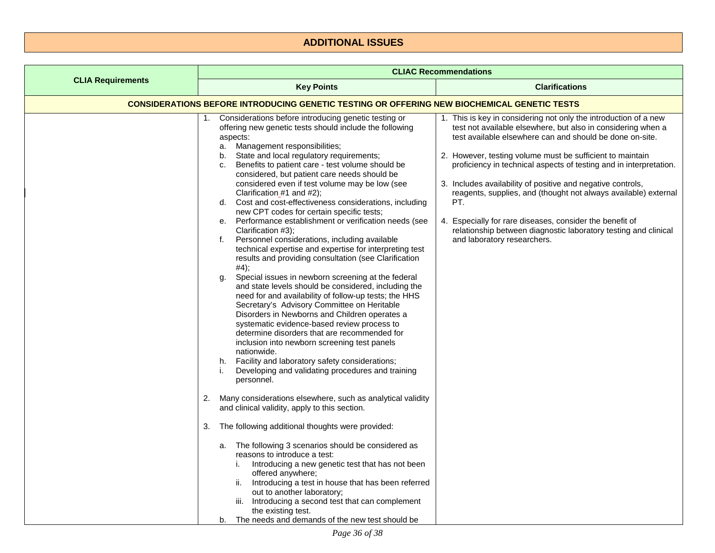## **ADDITIONAL ISSUES**

<span id="page-35-1"></span><span id="page-35-0"></span>

|                          | <b>CLIAC Recommendations</b>                                                                                                                                                                                                                                                                                                                                                                                                                                                                                                                                                                                                                                                                                                                                                                                                                                                                                                                                                                                                                                                                                                                                                                                                                                                                                                                                                                                                                                                                                                                                                                                                                                                                                                                                                                                                                                                                                                                          |                                                                                                                                                                                                                                                                                                                                                                                                                                                                                                                                                                                                                                        |
|--------------------------|-------------------------------------------------------------------------------------------------------------------------------------------------------------------------------------------------------------------------------------------------------------------------------------------------------------------------------------------------------------------------------------------------------------------------------------------------------------------------------------------------------------------------------------------------------------------------------------------------------------------------------------------------------------------------------------------------------------------------------------------------------------------------------------------------------------------------------------------------------------------------------------------------------------------------------------------------------------------------------------------------------------------------------------------------------------------------------------------------------------------------------------------------------------------------------------------------------------------------------------------------------------------------------------------------------------------------------------------------------------------------------------------------------------------------------------------------------------------------------------------------------------------------------------------------------------------------------------------------------------------------------------------------------------------------------------------------------------------------------------------------------------------------------------------------------------------------------------------------------------------------------------------------------------------------------------------------------|----------------------------------------------------------------------------------------------------------------------------------------------------------------------------------------------------------------------------------------------------------------------------------------------------------------------------------------------------------------------------------------------------------------------------------------------------------------------------------------------------------------------------------------------------------------------------------------------------------------------------------------|
| <b>CLIA Requirements</b> | <b>Key Points</b>                                                                                                                                                                                                                                                                                                                                                                                                                                                                                                                                                                                                                                                                                                                                                                                                                                                                                                                                                                                                                                                                                                                                                                                                                                                                                                                                                                                                                                                                                                                                                                                                                                                                                                                                                                                                                                                                                                                                     | <b>Clarifications</b>                                                                                                                                                                                                                                                                                                                                                                                                                                                                                                                                                                                                                  |
|                          | <u>CONSIDERATIONS BEFORE INTRODUCING GENETIC TESTING OR OFFERING NEW BIOCHEMICAL GENETIC TESTS</u>                                                                                                                                                                                                                                                                                                                                                                                                                                                                                                                                                                                                                                                                                                                                                                                                                                                                                                                                                                                                                                                                                                                                                                                                                                                                                                                                                                                                                                                                                                                                                                                                                                                                                                                                                                                                                                                    |                                                                                                                                                                                                                                                                                                                                                                                                                                                                                                                                                                                                                                        |
|                          | 1. Considerations before introducing genetic testing or<br>offering new genetic tests should include the following<br>aspects:<br>a. Management responsibilities;<br>State and local regulatory requirements;<br>b.<br>Benefits to patient care - test volume should be<br>c.<br>considered, but patient care needs should be<br>considered even if test volume may be low (see<br>Clarification_#1 and #2);<br>d. Cost and cost-effectiveness considerations, including<br>new CPT codes for certain specific tests;<br>Performance establishment or verification needs (see<br>е.<br>Clarification #3);<br>Personnel considerations, including available<br>f.<br>technical expertise and expertise for interpreting test<br>results and providing consultation (see Clarification<br>#4);<br>Special issues in newborn screening at the federal<br>g.<br>and state levels should be considered, including the<br>need for and availability of follow-up tests; the HHS<br>Secretary's Advisory Committee on Heritable<br>Disorders in Newborns and Children operates a<br>systematic evidence-based review process to<br>determine disorders that are recommended for<br>inclusion into newborn screening test panels<br>nationwide.<br>Facility and laboratory safety considerations;<br>h.<br>Developing and validating procedures and training<br>j.<br>personnel.<br>Many considerations elsewhere, such as analytical validity<br>2.<br>and clinical validity, apply to this section.<br>The following additional thoughts were provided:<br>3.<br>a. The following 3 scenarios should be considered as<br>reasons to introduce a test:<br>Introducing a new genetic test that has not been<br>offered anywhere;<br>ii. Introducing a test in house that has been referred<br>out to another laboratory;<br>iii. Introducing a second test that can complement<br>the existing test.<br>The needs and demands of the new test should be<br>b. | 1. This is key in considering not only the introduction of a new<br>test not available elsewhere, but also in considering when a<br>test available elsewhere can and should be done on-site.<br>2. However, testing volume must be sufficient to maintain<br>proficiency in technical aspects of testing and in interpretation.<br>3. Includes availability of positive and negative controls,<br>reagents, supplies, and (thought not always available) external<br>PT.<br>4. Especially for rare diseases, consider the benefit of<br>relationship between diagnostic laboratory testing and clinical<br>and laboratory researchers. |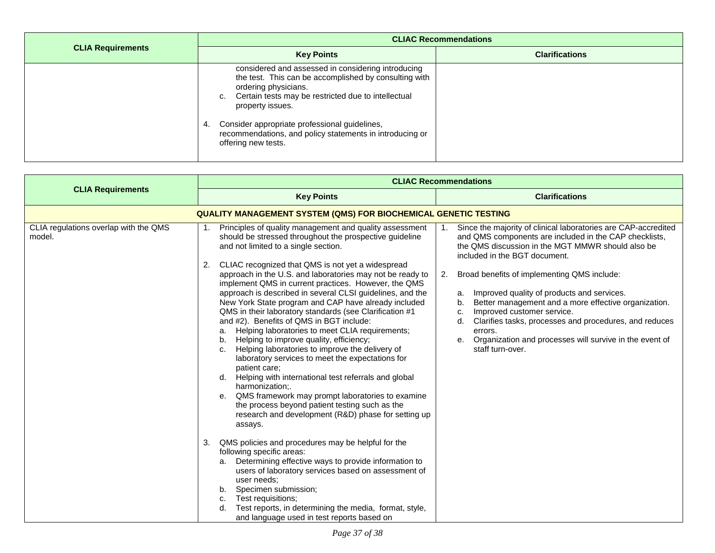|                          | <b>CLIAC Recommendations</b>                                                                                                                                                                                                                                                                                                                                 |                       |
|--------------------------|--------------------------------------------------------------------------------------------------------------------------------------------------------------------------------------------------------------------------------------------------------------------------------------------------------------------------------------------------------------|-----------------------|
| <b>CLIA Requirements</b> | <b>Key Points</b>                                                                                                                                                                                                                                                                                                                                            | <b>Clarifications</b> |
|                          | considered and assessed in considering introducing<br>the test. This can be accomplished by consulting with<br>ordering physicians.<br>c. Certain tests may be restricted due to intellectual<br>property issues.<br>Consider appropriate professional guidelines,<br>-4.<br>recommendations, and policy statements in introducing or<br>offering new tests. |                       |

<span id="page-36-0"></span>

|                                                 | <b>CLIAC Recommendations</b>                                                                                                                                                                                                                                                                                                                                                                                                                                                                                                                                                                                                                                                                                                                                                                                                                                                                                                                                                                                                                                                                                                                                                                                                                                                                                                                                                                                                                                                      |                                                                                                                                                                                                                                                                                                                                                                                                                                                                                                                                                                                                 |
|-------------------------------------------------|-----------------------------------------------------------------------------------------------------------------------------------------------------------------------------------------------------------------------------------------------------------------------------------------------------------------------------------------------------------------------------------------------------------------------------------------------------------------------------------------------------------------------------------------------------------------------------------------------------------------------------------------------------------------------------------------------------------------------------------------------------------------------------------------------------------------------------------------------------------------------------------------------------------------------------------------------------------------------------------------------------------------------------------------------------------------------------------------------------------------------------------------------------------------------------------------------------------------------------------------------------------------------------------------------------------------------------------------------------------------------------------------------------------------------------------------------------------------------------------|-------------------------------------------------------------------------------------------------------------------------------------------------------------------------------------------------------------------------------------------------------------------------------------------------------------------------------------------------------------------------------------------------------------------------------------------------------------------------------------------------------------------------------------------------------------------------------------------------|
| <b>CLIA Requirements</b>                        | <b>Key Points</b>                                                                                                                                                                                                                                                                                                                                                                                                                                                                                                                                                                                                                                                                                                                                                                                                                                                                                                                                                                                                                                                                                                                                                                                                                                                                                                                                                                                                                                                                 | <b>Clarifications</b>                                                                                                                                                                                                                                                                                                                                                                                                                                                                                                                                                                           |
|                                                 | <b>QUALITY MANAGEMENT SYSTEM (QMS) FOR BIOCHEMICAL GENETIC TESTING</b>                                                                                                                                                                                                                                                                                                                                                                                                                                                                                                                                                                                                                                                                                                                                                                                                                                                                                                                                                                                                                                                                                                                                                                                                                                                                                                                                                                                                            |                                                                                                                                                                                                                                                                                                                                                                                                                                                                                                                                                                                                 |
| CLIA regulations overlap with the QMS<br>model. | Principles of quality management and quality assessment<br>should be stressed throughout the prospective guideline<br>and not limited to a single section.<br>CLIAC recognized that QMS is not yet a widespread<br>2.<br>approach in the U.S. and laboratories may not be ready to<br>implement QMS in current practices. However, the QMS<br>approach is described in several CLSI guidelines, and the<br>New York State program and CAP have already included<br>QMS in their laboratory standards (see Clarification #1<br>and #2). Benefits of QMS in BGT include:<br>Helping laboratories to meet CLIA requirements;<br>a.<br>Helping to improve quality, efficiency;<br>b.<br>Helping laboratories to improve the delivery of<br>c.<br>laboratory services to meet the expectations for<br>patient care:<br>Helping with international test referrals and global<br>d.<br>harmonization:<br>QMS framework may prompt laboratories to examine<br>е.<br>the process beyond patient testing such as the<br>research and development (R&D) phase for setting up<br>assays.<br>QMS policies and procedures may be helpful for the<br>3.<br>following specific areas:<br>Determining effective ways to provide information to<br>a.<br>users of laboratory services based on assessment of<br>user needs;<br>Specimen submission;<br>b.<br>Test requisitions;<br>c.<br>Test reports, in determining the media, format, style,<br>d.<br>and language used in test reports based on | Since the majority of clinical laboratories are CAP-accredited<br>1.<br>and QMS components are included in the CAP checklists,<br>the QMS discussion in the MGT MMWR should also be<br>included in the BGT document.<br>Broad benefits of implementing QMS include:<br>2.<br>Improved quality of products and services.<br>a.<br>Better management and a more effective organization.<br>b.<br>Improved customer service.<br>C.<br>Clarifies tasks, processes and procedures, and reduces<br>d.<br>errors.<br>Organization and processes will survive in the event of<br>е.<br>staff turn-over. |